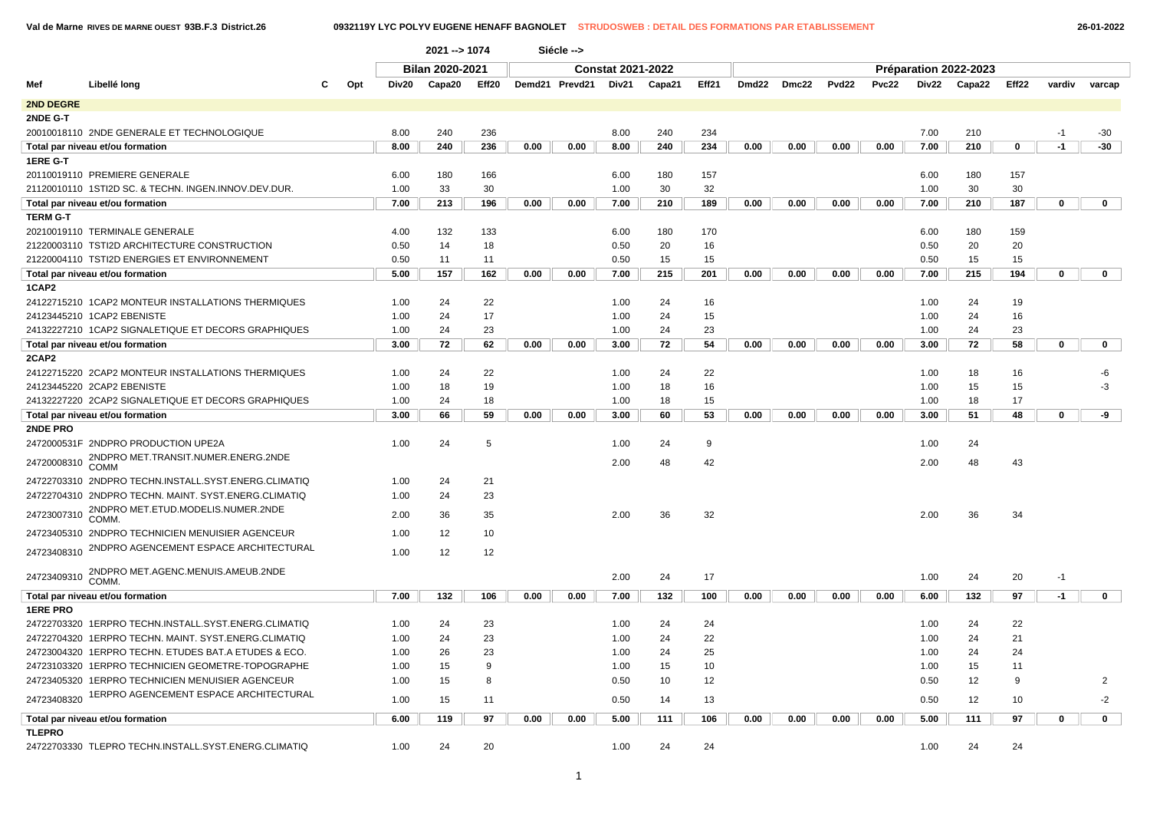**Val de Marne RIVES DE MARNE OUEST 93B.F.3 District.26 0932119Y LYC POLYV EUGENE HENAFF BAGNOLET STRUDOSWEB : DETAIL DES FORMATIONS PAR ETABLISSEMENT 26-01-2022**

|                 |                                                      |     |       | 2021 -- > 1074         |                   |      | Siécle -->     |                          |        |       |       |       |       |       |       |                       |                   |             |                |  |
|-----------------|------------------------------------------------------|-----|-------|------------------------|-------------------|------|----------------|--------------------------|--------|-------|-------|-------|-------|-------|-------|-----------------------|-------------------|-------------|----------------|--|
|                 |                                                      |     |       | <b>Bilan 2020-2021</b> |                   |      |                | <b>Constat 2021-2022</b> |        |       |       |       |       |       |       | Préparation 2022-2023 |                   |             |                |  |
| Mef             | Libellé long                                         | Opt | Div20 | Capa20                 | Eff <sub>20</sub> |      | Demd21 Prevd21 | Div21                    | Capa21 | Eff21 | Dmd22 | Dmc22 | Pvd22 | Pvc22 | Div22 | Capa22                | Eff <sub>22</sub> | vardiv      | varcap         |  |
| 2ND DEGRE       |                                                      |     |       |                        |                   |      |                |                          |        |       |       |       |       |       |       |                       |                   |             |                |  |
| 2NDE G-T        |                                                      |     |       |                        |                   |      |                |                          |        |       |       |       |       |       |       |                       |                   |             |                |  |
|                 | 20010018110 2NDE GENERALE ET TECHNOLOGIQUE           |     | 8.00  | 240                    | 236               |      |                | 8.00                     | 240    | 234   |       |       |       |       | 7.00  | 210                   |                   | $-1$        | $-30$          |  |
|                 | Total par niveau et/ou formation                     |     | 8.00  | 240                    | 236               | 0.00 | 0.00           | 8.00                     | 240    | 234   | 0.00  | 0.00  | 0.00  | 0.00  | 7.00  | 210                   | $\mathbf 0$       | $-1$        | $-30$          |  |
| 1ERE G-T        |                                                      |     |       |                        |                   |      |                |                          |        |       |       |       |       |       |       |                       |                   |             |                |  |
|                 | 20110019110 PREMIERE GENERALE                        |     | 6.00  | 180                    | 166               |      |                | 6.00                     | 180    | 157   |       |       |       |       | 6.00  | 180                   | 157               |             |                |  |
|                 | 21120010110 1STI2D SC. & TECHN. INGEN.INNOV.DEV.DUR  |     | 1.00  | 33                     | 30                |      |                | 1.00                     | 30     | 32    |       |       |       |       | 1.00  | 30                    | 30                |             |                |  |
|                 | Total par niveau et/ou formation                     |     | 7.00  | 213                    | 196               | 0.00 | 0.00           | 7.00                     | 210    | 189   | 0.00  | 0.00  | 0.00  | 0.00  | 7.00  | 210                   | 187               | $\mathbf 0$ | $\mathbf 0$    |  |
| TERM G-T        |                                                      |     |       |                        |                   |      |                |                          |        |       |       |       |       |       |       |                       |                   |             |                |  |
|                 | 20210019110 TERMINALE GENERALE                       |     | 4.00  | 132                    | 133               |      |                | 6.00                     | 180    | 170   |       |       |       |       | 6.00  | 180                   | 159               |             |                |  |
|                 | 21220003110 TSTI2D ARCHITECTURE CONSTRUCTION         |     | 0.50  | 14                     | 18                |      |                | 0.50                     | 20     | 16    |       |       |       |       | 0.50  | 20                    | 20                |             |                |  |
|                 | 21220004110 TSTI2D ENERGIES ET ENVIRONNEMENT         |     | 0.50  | 11                     | 11                |      |                | 0.50                     | 15     | 15    |       |       |       |       | 0.50  | 15                    | 15                |             |                |  |
|                 | Total par niveau et/ou formation                     |     | 5.00  | 157                    | 162               | 0.00 | 0.00           | 7.00                     | 215    | 201   | 0.00  | 0.00  | 0.00  | 0.00  | 7.00  | 215                   | 194               | 0           | $\mathbf 0$    |  |
| 1CAP2           |                                                      |     |       |                        |                   |      |                |                          |        |       |       |       |       |       |       |                       |                   |             |                |  |
|                 | 24122715210 1CAP2 MONTEUR INSTALLATIONS THERMIQUES   |     | 1.00  | 24                     | 22                |      |                | 1.00                     | 24     | 16    |       |       |       |       | 1.00  | 24                    | 19                |             |                |  |
|                 | 24123445210 1CAP2 EBENISTE                           |     | 1.00  | 24                     | 17                |      |                | 1.00                     | 24     | 15    |       |       |       |       | 1.00  | 24                    | 16                |             |                |  |
|                 | 24132227210 1CAP2 SIGNALETIQUE ET DECORS GRAPHIQUES  |     | 1.00  | 24                     | 23                |      |                | 1.00                     | 24     | 23    |       |       |       |       | 1.00  | 24                    | 23                |             |                |  |
|                 | Total par niveau et/ou formation                     |     | 3.00  | 72                     | 62                | 0.00 | 0.00           | 3.00                     | 72     | 54    | 0.00  | 0.00  | 0.00  | 0.00  | 3.00  | 72                    | 58                | 0           | 0              |  |
| 2CAP2           |                                                      |     |       |                        |                   |      |                |                          |        |       |       |       |       |       |       |                       |                   |             |                |  |
|                 | 24122715220 2CAP2 MONTEUR INSTALLATIONS THERMIQUES   |     | 1.00  | 24                     | 22                |      |                | 1.00                     | 24     | 22    |       |       |       |       | 1.00  | 18                    | 16                |             | -6             |  |
|                 | 24123445220 2CAP2 EBENISTE                           |     | 1.00  | 18                     | 19                |      |                | 1.00                     | 18     | 16    |       |       |       |       | 1.00  | 15                    | 15                |             | -3             |  |
|                 | 24132227220 2CAP2 SIGNALETIQUE ET DECORS GRAPHIQUES  |     | 1.00  | 24                     | 18                |      |                | 1.00                     | 18     | 15    |       |       |       |       | 1.00  | 18                    | 17                |             |                |  |
|                 | Total par niveau et/ou formation                     |     | 3.00  | 66                     | 59                | 0.00 | 0.00           | 3.00                     | 60     | 53    | 0.00  | 0.00  | 0.00  | 0.00  | 3.00  | 51                    | 48                | 0           | -9             |  |
| 2NDE PRO        |                                                      |     |       |                        |                   |      |                |                          |        |       |       |       |       |       |       |                       |                   |             |                |  |
|                 | 2472000531F 2NDPRO PRODUCTION UPE2A                  |     | 1.00  | 24                     | 5                 |      |                | 1.00                     | 24     | 9     |       |       |       |       | 1.00  | 24                    |                   |             |                |  |
| 24720008310     | 2NDPRO MET.TRANSIT.NUMER.ENERG.2NDE<br><b>COMM</b>   |     |       |                        |                   |      |                | 2.00                     | 48     | 42    |       |       |       |       | 2.00  | 48                    | 43                |             |                |  |
|                 | 24722703310 2NDPRO TECHN.INSTALL.SYST.ENERG.CLIMATIQ |     | 1.00  | 24                     | 21                |      |                |                          |        |       |       |       |       |       |       |                       |                   |             |                |  |
|                 | 24722704310 2NDPRO TECHN. MAINT. SYST.ENERG.CLIMATIQ |     | 1.00  | 24                     | 23                |      |                |                          |        |       |       |       |       |       |       |                       |                   |             |                |  |
|                 | 2NDPRO MET.ETUD.MODELIS.NUMER.2NDE                   |     | 2.00  |                        |                   |      |                |                          | 36     |       |       |       |       |       |       |                       | 34                |             |                |  |
| 24723007310     | COMM.                                                |     |       | 36                     | 35                |      |                | 2.00                     |        | 32    |       |       |       |       | 2.00  | 36                    |                   |             |                |  |
|                 | 24723405310 2NDPRO TECHNICIEN MENUISIER AGENCEUR     |     | 1.00  | 12                     | 10                |      |                |                          |        |       |       |       |       |       |       |                       |                   |             |                |  |
| 24723408310     | 2NDPRO AGENCEMENT ESPACE ARCHITECTURAL               |     | 1.00  | 12                     | 12                |      |                |                          |        |       |       |       |       |       |       |                       |                   |             |                |  |
|                 | 2NDPRO MET.AGENC.MENUIS.AMEUB.2NDE                   |     |       |                        |                   |      |                |                          |        |       |       |       |       |       |       |                       |                   |             |                |  |
| 24723409310     | <b>COMM</b>                                          |     |       |                        |                   |      |                | 2.00                     | 24     | 17    |       |       |       |       | 1.00  | 24                    | 20                | $-1$        |                |  |
|                 | Total par niveau et/ou formation                     |     | 7.00  | 132                    | 106               | 0.00 | 0.00           | 7.00                     | 132    | 100   | 0.00  | 0.00  | 0.00  | 0.00  | 6.00  | 132                   | 97                | $-1$        | $\mathbf 0$    |  |
| <b>1ERE PRO</b> |                                                      |     |       |                        |                   |      |                |                          |        |       |       |       |       |       |       |                       |                   |             |                |  |
|                 | 24722703320 1ERPRO TECHN.INSTALL.SYST.ENERG.CLIMATIQ |     | 1.00  | 24                     | 23                |      |                | 1.00                     | 24     | 24    |       |       |       |       | 1.00  | 24                    | 22                |             |                |  |
|                 | 24722704320 1ERPRO TECHN. MAINT. SYST.ENERG.CLIMATIQ |     | 1.00  | 24                     | 23                |      |                | 1.00                     | 24     | 22    |       |       |       |       | 1.00  | 24                    | 21                |             |                |  |
|                 | 24723004320 1ERPRO TECHN. ETUDES BAT.A ETUDES & ECO. |     | 1.00  | 26                     | 23                |      |                | 1.00                     | 24     | 25    |       |       |       |       | 1.00  | 24                    | 24                |             |                |  |
|                 | 24723103320 1ERPRO TECHNICIEN GEOMETRE-TOPOGRAPHE    |     | 1.00  | 15                     | 9                 |      |                | 1.00                     | 15     | 10    |       |       |       |       | 1.00  | 15                    | 11                |             |                |  |
|                 | 24723405320 1ERPRO TECHNICIEN MENUISIER AGENCEUR     |     | 1.00  | 15                     | 8                 |      |                | 0.50                     | 10     | 12    |       |       |       |       | 0.50  | 12                    | 9                 |             | $\overline{2}$ |  |
| 24723408320     | 1ERPRO AGENCEMENT ESPACE ARCHITECTURAL               |     | 1.00  | 15                     | 11                |      |                | 0.50                     | 14     | 13    |       |       |       |       | 0.50  | 12                    | 10                |             | $-2$           |  |
|                 | Total par niveau et/ou formation                     |     | 6.00  | 119                    | 97                | 0.00 | 0.00           | 5.00                     | 111    | 106   | 0.00  | 0.00  | 0.00  | 0.00  | 5.00  | 111                   | 97                | $\mathbf 0$ | $\mathbf 0$    |  |
| <b>TLEPRO</b>   |                                                      |     |       |                        |                   |      |                |                          |        |       |       |       |       |       |       |                       |                   |             |                |  |
|                 | 24722703330 TLEPRO TECHN.INSTALL.SYST.ENERG.CLIMATIQ |     | 1.00  | 24                     | 20                |      |                | 1.00                     | 24     | 24    |       |       |       |       | 1.00  | 24                    | 24                |             |                |  |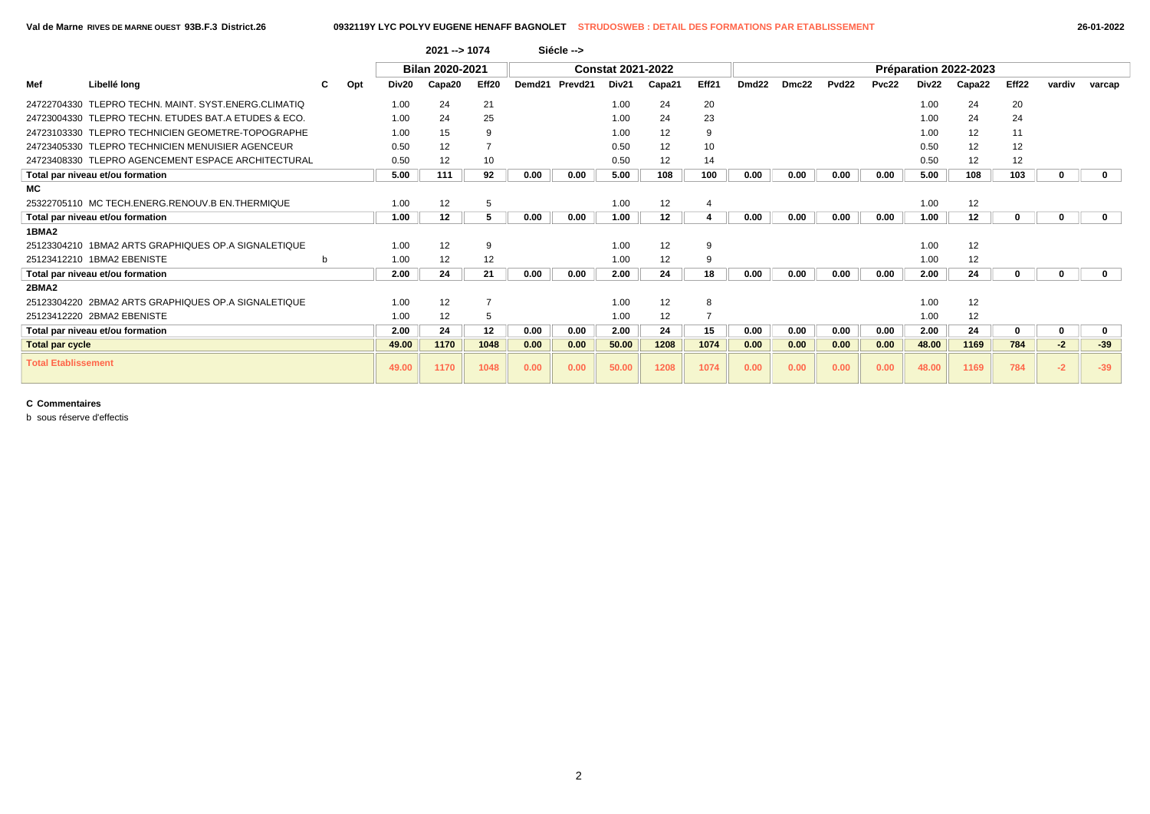|                            |                                                        |    |     |       | 2021 -- > 1074  |                |        | Siécle -->          |                          |        |                |                   |       |                   |       |                   |                       |          |        |             |
|----------------------------|--------------------------------------------------------|----|-----|-------|-----------------|----------------|--------|---------------------|--------------------------|--------|----------------|-------------------|-------|-------------------|-------|-------------------|-----------------------|----------|--------|-------------|
|                            |                                                        |    |     |       | Bilan 2020-2021 |                |        |                     | <b>Constat 2021-2022</b> |        |                |                   |       |                   |       |                   | Préparation 2022-2023 |          |        |             |
| Mef                        | Libellé long                                           | C. | Opt | Div20 | Capa20          | Eff20          | Demd21 | Prevd <sub>21</sub> | Div21                    | Capa21 | Eff21          | Dmd <sub>22</sub> | Dmc22 | Pvd <sub>22</sub> | Pvc22 | Div <sub>22</sub> | Capa22                | Eff22    | vardiv | varcap      |
|                            | 24722704330 TLEPRO TECHN, MAINT, SYST, ENERG, CLIMATIQ |    |     | 1.00  | 24              | 21             |        |                     | 1.00                     | 24     | 20             |                   |       |                   |       | 1.00              | 24                    | 20       |        |             |
|                            | 24723004330 TLEPRO TECHN, ETUDES BAT.A ETUDES & ECO.   |    |     | 1.00  | 24              | 25             |        |                     | 1.00                     | 24     | 23             |                   |       |                   |       | 1.00              | 24                    | 24       |        |             |
|                            | 24723103330 TLEPRO TECHNICIEN GEOMETRE-TOPOGRAPHE      |    |     | 1.00  | 15              | 9              |        |                     | 1.00                     | 12     | 9              |                   |       |                   |       | 1.00              | 12                    | 11       |        |             |
|                            | 24723405330 TLEPRO TECHNICIEN MENUISIER AGENCEUR       |    |     | 0.50  | 12              |                |        |                     | 0.50                     | 12     | 10             |                   |       |                   |       | 0.50              | 12                    | 12       |        |             |
|                            | 24723408330 TLEPRO AGENCEMENT ESPACE ARCHITECTURAL     |    |     | 0.50  | 12              | 10             |        |                     | 0.50                     | 12     | 14             |                   |       |                   |       | 0.50              | 12                    | 12       |        |             |
|                            | Total par niveau et/ou formation                       |    |     | 5.00  | 111             | 92             | 0.00   | 0.00                | 5.00                     | 108    | 100            | 0.00              | 0.00  | 0.00              | 0.00  | 5.00              | 108                   | 103      | 0      | $\mathbf 0$ |
| МC                         |                                                        |    |     |       |                 |                |        |                     |                          |        |                |                   |       |                   |       |                   |                       |          |        |             |
|                            | 25322705110 MC TECH.ENERG.RENOUV.B EN.THERMIQUE        |    |     | 1.00  | 12              | 5              |        |                     | 1.00                     | 12     | $\overline{4}$ |                   |       |                   |       | 1.00              | 12                    |          |        |             |
|                            | Total par niveau et/ou formation                       |    |     | 1.00  | 12              | 5              | 0.00   | 0.00                | 1.00                     | 12     |                | 0.00              | 0.00  | 0.00              | 0.00  | 1.00              | 12                    | $\Omega$ | 0      | $\mathbf 0$ |
| 1BMA2                      |                                                        |    |     |       |                 |                |        |                     |                          |        |                |                   |       |                   |       |                   |                       |          |        |             |
|                            | 25123304210 1BMA2 ARTS GRAPHIQUES OP.A SIGNALETIQUE    |    |     | 1.00  | 12              | 9              |        |                     | 1.00                     | 12     | 9              |                   |       |                   |       | 1.00              | 12                    |          |        |             |
|                            | 25123412210 1BMA2 EBENISTE                             | b  |     | 1.00  | 12              | 12             |        |                     | 1.00                     | 12     | 9              |                   |       |                   |       | 1.00              | 12                    |          |        |             |
|                            | Total par niveau et/ou formation                       |    |     | 2.00  | 24              | 21             | 0.00   | 0.00                | 2.00                     | 24     | 18             | 0.00              | 0.00  | 0.00              | 0.00  | 2.00              | 24                    | $\Omega$ | 0      | $\mathbf 0$ |
| 2BMA2                      |                                                        |    |     |       |                 |                |        |                     |                          |        |                |                   |       |                   |       |                   |                       |          |        |             |
|                            | 25123304220 2BMA2 ARTS GRAPHIQUES OP.A SIGNALETIQUE    |    |     | 1.00  | 12              | $\overline{7}$ |        |                     | 1.00                     | 12     | 8              |                   |       |                   |       | 1.00              | 12                    |          |        |             |
|                            | 25123412220 2BMA2 EBENISTE                             |    |     | 1.00  | 12              | 5              |        |                     | 1.00                     | 12     |                |                   |       |                   |       | 1.00              | 12                    |          |        |             |
|                            | Total par niveau et/ou formation                       |    |     | 2.00  | 24              | 12             | 0.00   | 0.00                | 2.00                     | 24     | 15             | 0.00              | 0.00  | 0.00              | 0.00  | 2.00              | 24                    | $\bf{0}$ | 0      | 0           |
| <b>Total par cycle</b>     |                                                        |    |     | 49.00 | 1170            | 1048           | 0.00   | 0.00                | 50.00                    | 1208   | 1074           | 0.00              | 0.00  | 0.00              | 0.00  | 48.00             | 1169                  | 784      | $-2$   | $-39$       |
| <b>Total Etablissement</b> |                                                        |    |     | 49.00 | 1170            | 1048           | 0.00   | 0.00                | 50.00                    | 1208   | 1074           | 0.00              | 0.00  | 0.00              | 0.00  | 48.00             | 1169                  | 784      | $-2$   | $-39$       |

b sous réserve d'effectis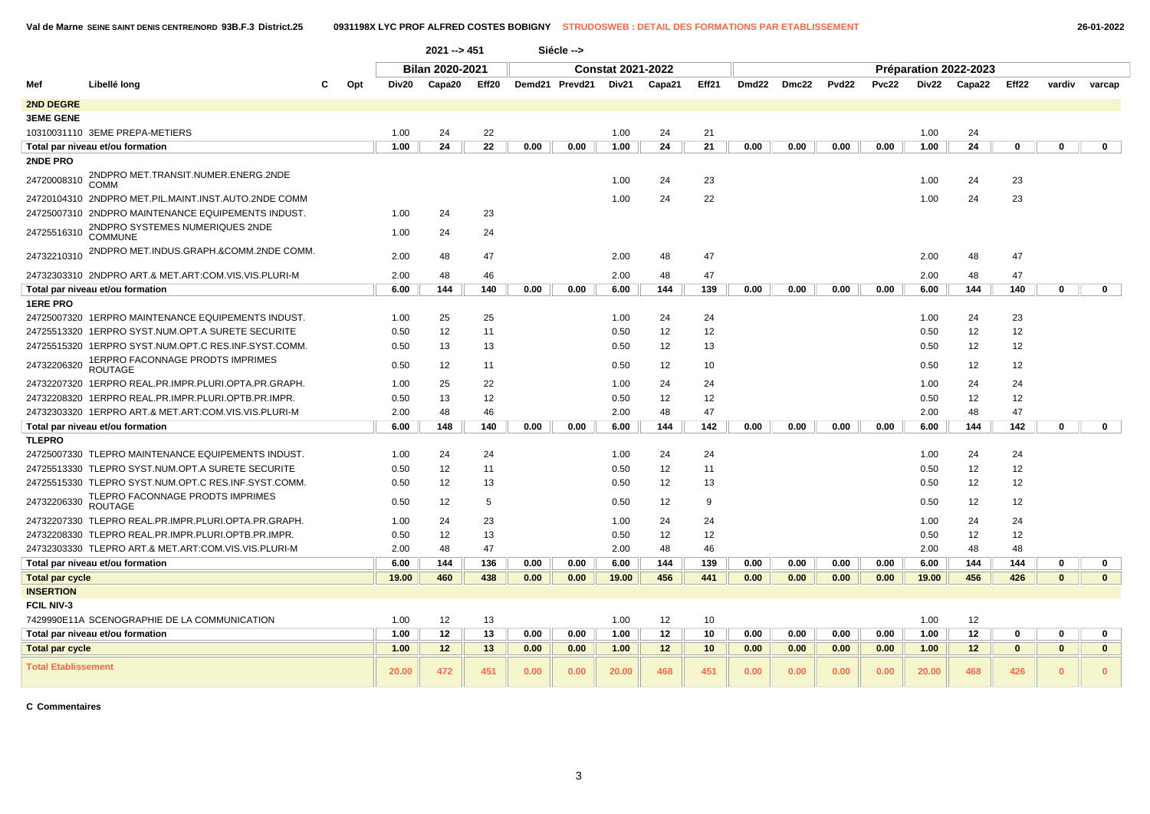|                            |                                                      |     |       | 2021 -- > 451          |       |      | Siécle -->           |                          |        |       |       |       |                   |       |       |                       |              |              |              |
|----------------------------|------------------------------------------------------|-----|-------|------------------------|-------|------|----------------------|--------------------------|--------|-------|-------|-------|-------------------|-------|-------|-----------------------|--------------|--------------|--------------|
|                            |                                                      |     |       | <b>Bilan 2020-2021</b> |       |      |                      | <b>Constat 2021-2022</b> |        |       |       |       |                   |       |       | Préparation 2022-2023 |              |              |              |
| Mef                        | Libellé long                                         | Opt | Div20 | Capa20                 | Eff20 |      | Demd21 Prevd21 Div21 |                          | Capa21 | Eff21 | Dmd22 | Dmc22 | Pvd <sub>22</sub> | Pvc22 |       | Div22 Capa22          | Eff22        | vardiv       | varcap       |
| <b>2ND DEGRE</b>           |                                                      |     |       |                        |       |      |                      |                          |        |       |       |       |                   |       |       |                       |              |              |              |
| <b>3EME GENE</b>           |                                                      |     |       |                        |       |      |                      |                          |        |       |       |       |                   |       |       |                       |              |              |              |
|                            | 10310031110 3EME PREPA-METIERS                       |     | 1.00  | 24                     | 22    |      |                      | 1.00                     | 24     | 21    |       |       |                   |       | 1.00  | 24                    |              |              |              |
|                            | Total par niveau et/ou formation                     |     | 1.00  | 24                     | 22    | 0.00 | 0.00                 | 1.00                     | 24     | 21    | 0.00  | 0.00  | 0.00              | 0.00  | 1.00  | 24                    | $\mathbf 0$  | $\mathbf 0$  | $\mathbf 0$  |
| <b>2NDE PRO</b>            |                                                      |     |       |                        |       |      |                      |                          |        |       |       |       |                   |       |       |                       |              |              |              |
| 24720008310                | 2NDPRO MET.TRANSIT.NUMER.ENERG.2NDE<br>COMM          |     |       |                        |       |      |                      | 1.00                     | 24     | 23    |       |       |                   |       | 1.00  | 24                    | 23           |              |              |
|                            | 24720104310 2NDPRO MET.PIL.MAINT.INST.AUTO.2NDE COMM |     |       |                        |       |      |                      | 1.00                     | 24     | 22    |       |       |                   |       | 1.00  | 24                    | 23           |              |              |
|                            | 24725007310 2NDPRO MAINTENANCE EQUIPEMENTS INDUST.   |     | 1.00  | 24                     | 23    |      |                      |                          |        |       |       |       |                   |       |       |                       |              |              |              |
| 24725516310                | 2NDPRO SYSTEMES NUMERIQUES 2NDE<br><b>COMMUNE</b>    |     | 1.00  | 24                     | 24    |      |                      |                          |        |       |       |       |                   |       |       |                       |              |              |              |
| 24732210310                | 2NDPRO MET.INDUS.GRAPH.&COMM.2NDE COMM.              |     | 2.00  | 48                     | 47    |      |                      | 2.00                     | 48     | 47    |       |       |                   |       | 2.00  | 48                    | 47           |              |              |
|                            | 24732303310 2NDPRO ART.& MET.ART:COM.VIS.VIS.PLURI-M |     | 2.00  | 48                     | 46    |      |                      | 2.00                     | 48     | 47    |       |       |                   |       | 2.00  | 48                    | 47           |              |              |
|                            | Total par niveau et/ou formation                     |     | 6.00  | 144                    | 140   | 0.00 | 0.00                 | 6.00                     | 144    | 139   | 0.00  | 0.00  | 0.00              | 0.00  | 6.00  | 144                   | 140          | $\mathbf 0$  | $\mathbf{0}$ |
| <b>1ERE PRO</b>            |                                                      |     |       |                        |       |      |                      |                          |        |       |       |       |                   |       |       |                       |              |              |              |
|                            | 24725007320_1ERPRO MAINTENANCE EQUIPEMENTS INDUST.   |     | 1.00  | 25                     | 25    |      |                      | 1.00                     | 24     | 24    |       |       |                   |       | 1.00  | 24                    | 23           |              |              |
|                            | 24725513320 1ERPRO SYST.NUM.OPT.A SURETE SECURITE    |     | 0.50  | 12                     | 11    |      |                      | 0.50                     | 12     | 12    |       |       |                   |       | 0.50  | 12                    | 12           |              |              |
|                            |                                                      |     | 0.50  | 13                     | 13    |      |                      | 0.50                     | 12     | 13    |       |       |                   |       | 0.50  | 12                    | 12           |              |              |
| 24732206320                | 1ERPRO FACONNAGE PRODTS IMPRIMES<br><b>ROUTAGE</b>   |     | 0.50  | 12                     | 11    |      |                      | 0.50                     | 12     | 10    |       |       |                   |       | 0.50  | 12                    | 12           |              |              |
|                            | 24732207320_1ERPRO REAL.PR.IMPR.PLURI.OPTA.PR.GRAPH. |     | 1.00  | 25                     | 22    |      |                      | 1.00                     | 24     | 24    |       |       |                   |       | 1.00  | 24                    | 24           |              |              |
|                            |                                                      |     | 0.50  | 13                     | 12    |      |                      | 0.50                     | 12     | 12    |       |       |                   |       | 0.50  | 12                    | 12           |              |              |
|                            | 24732303320 1ERPRO ART.& MET.ART:COM.VIS.VIS.PLURI-M |     | 2.00  | 48                     | 46    |      |                      | 2.00                     | 48     | 47    |       |       |                   |       | 2.00  | 48                    | 47           |              |              |
|                            | Total par niveau et/ou formation                     |     | 6.00  | 148                    | 140   | 0.00 | 0.00                 | 6.00                     | 144    | 142   | 0.00  | 0.00  | 0.00              | 0.00  | 6.00  | 144                   | 142          | $\mathbf 0$  | $\mathbf 0$  |
| <b>TLEPRO</b>              |                                                      |     |       |                        |       |      |                      |                          |        |       |       |       |                   |       |       |                       |              |              |              |
|                            | 24725007330 TLEPRO MAINTENANCE EQUIPEMENTS INDUST.   |     | 1.00  | 24                     | 24    |      |                      | 1.00                     | 24     | 24    |       |       |                   |       | 1.00  | 24                    | 24           |              |              |
|                            | 24725513330 TLEPRO SYST.NUM.OPT.A SURETE SECURITE    |     | 0.50  | 12                     | 11    |      |                      | 0.50                     | 12     | 11    |       |       |                   |       | 0.50  | 12                    | 12           |              |              |
|                            | 24725515330 TLEPRO SYST.NUM.OPT.C RES.INF.SYST.COMM. |     | 0.50  | 12                     | 13    |      |                      | 0.50                     | 12     | 13    |       |       |                   |       | 0.50  | 12                    | 12           |              |              |
| 24732206330                | TLEPRO FACONNAGE PRODTS IMPRIMES<br><b>ROUTAGE</b>   |     | 0.50  | 12                     | 5     |      |                      | 0.50                     | 12     | 9     |       |       |                   |       | 0.50  | 12                    | 12           |              |              |
|                            | 24732207330 TLEPRO REAL.PR.IMPR.PLURI.OPTA.PR.GRAPH. |     | 1.00  | 24                     | 23    |      |                      | 1.00                     | 24     | 24    |       |       |                   |       | 1.00  | 24                    | 24           |              |              |
|                            | 24732208330 TLEPRO REAL.PR.IMPR.PLURI.OPTB.PR.IMPR.  |     | 0.50  | 12                     | 13    |      |                      | 0.50                     | 12     | 12    |       |       |                   |       | 0.50  | 12                    | 12           |              |              |
|                            | 24732303330 TLEPRO ART.& MET.ART:COM.VIS.VIS.PLURI-M |     | 2.00  | 48                     | 47    |      |                      | 2.00                     | 48     | 46    |       |       |                   |       | 2.00  | 48                    | 48           |              |              |
|                            | Total par niveau et/ou formation                     |     | 6.00  | 144                    | 136   | 0.00 | 0.00                 | 6.00                     | 144    | 139   | 0.00  | 0.00  | 0.00              | 0.00  | 6.00  | 144                   | 144          | 0            | $\mathbf 0$  |
| <b>Total par cycle</b>     |                                                      |     | 19.00 | 460                    | 438   | 0.00 | 0.00                 | 19.00                    | 456    | 441   | 0.00  | 0.00  | 0.00              | 0.00  | 19.00 | 456                   | 426          | $\mathbf{0}$ | $\mathbf{0}$ |
| <b>INSERTION</b>           |                                                      |     |       |                        |       |      |                      |                          |        |       |       |       |                   |       |       |                       |              |              |              |
| <b>FCIL NIV-3</b>          |                                                      |     |       |                        |       |      |                      |                          |        |       |       |       |                   |       |       |                       |              |              |              |
|                            | 7429990E11A SCENOGRAPHIE DE LA COMMUNICATION         |     | 1.00  | 12                     | 13    |      |                      | 1.00                     | 12     | 10    |       |       |                   |       | 1.00  | 12                    |              |              |              |
|                            | Total par niveau et/ou formation                     |     | 1.00  | 12                     | 13    | 0.00 | 0.00                 | 1.00                     | 12     | 10    | 0.00  | 0.00  | 0.00              | 0.00  | 1.00  | 12                    | $\mathbf 0$  | $\mathbf 0$  | $\mathbf 0$  |
| <b>Total par cycle</b>     |                                                      |     | 1.00  | 12                     | 13    | 0.00 | 0.00                 | 1.00                     | 12     | 10    | 0.00  | 0.00  | 0.00              | 0.00  | 1.00  | 12                    | $\mathbf{0}$ | $\mathbf{0}$ | $\mathbf 0$  |
| <b>Total Etablissement</b> |                                                      |     | 20.00 | 472                    | 451   | 0.00 | 0.00                 | 20.00                    | 468    | 451   | 0.00  | 0.00  | 0.00              | 0.00  | 20.00 | 468                   | 426          | $\mathbf{0}$ | $\mathbf{0}$ |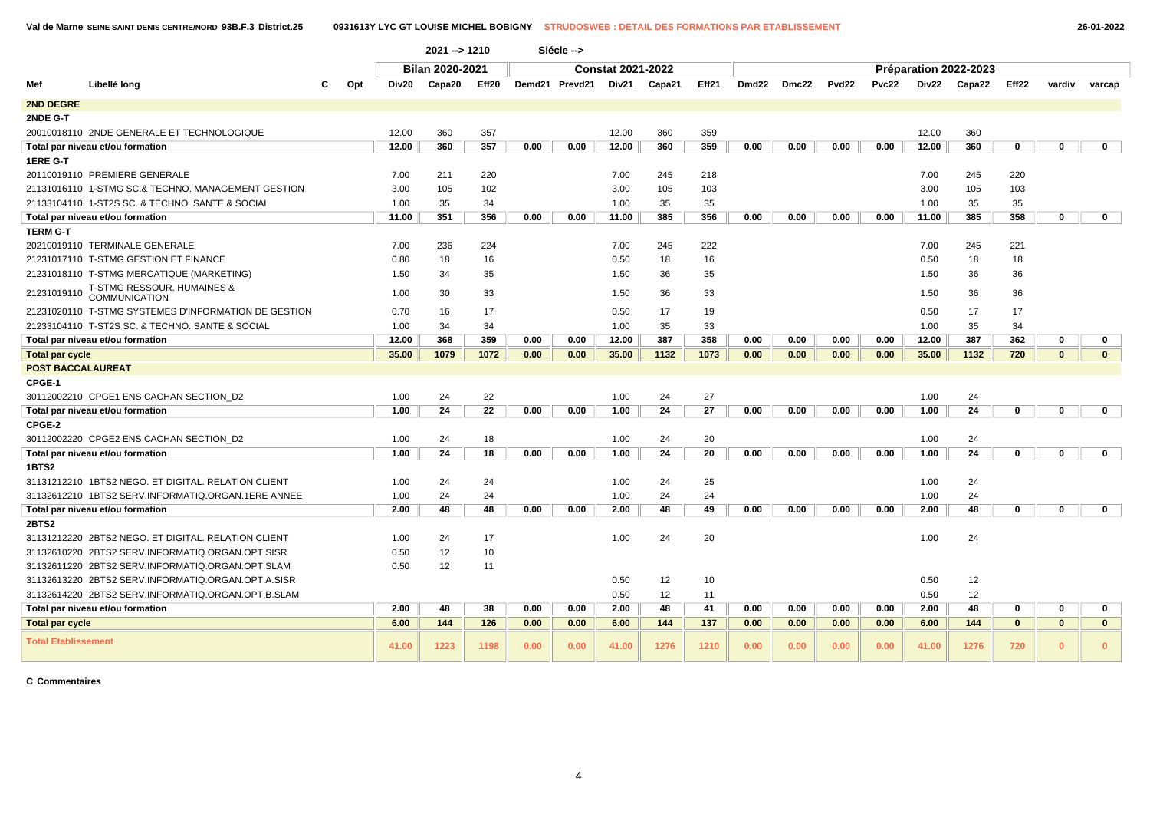|                            |                                                      |     |       | 2021 -- > 1210         |       |      | Siécle -->     |                          |        |       |                   |       |       |              |       |                       |              |              |              |
|----------------------------|------------------------------------------------------|-----|-------|------------------------|-------|------|----------------|--------------------------|--------|-------|-------------------|-------|-------|--------------|-------|-----------------------|--------------|--------------|--------------|
|                            |                                                      |     |       | <b>Bilan 2020-2021</b> |       |      |                | <b>Constat 2021-2022</b> |        |       |                   |       |       |              |       | Préparation 2022-2023 |              |              |              |
| Mef                        | Libellé long                                         | Opt | Div20 | Capa20                 | Eff20 |      | Demd21 Prevd21 | Div21                    | Capa21 | Eff21 | Dmd <sub>22</sub> | Dmc22 | Pvd22 | <b>Pvc22</b> | Div22 | Capa22                | Eff22        | vardiv       | varcap       |
| <b>2ND DEGRE</b>           |                                                      |     |       |                        |       |      |                |                          |        |       |                   |       |       |              |       |                       |              |              |              |
| 2NDE G-T                   |                                                      |     |       |                        |       |      |                |                          |        |       |                   |       |       |              |       |                       |              |              |              |
|                            | 20010018110 2NDE GENERALE ET TECHNOLOGIQUE           |     | 12.00 | 360                    | 357   |      |                | 12.00                    | 360    | 359   |                   |       |       |              | 12.00 | 360                   |              |              |              |
|                            | Total par niveau et/ou formation                     |     | 12.00 | 360                    | 357   | 0.00 | 0.00           | 12.00                    | 360    | 359   | 0.00              | 0.00  | 0.00  | 0.00         | 12.00 | 360                   | 0            | 0            | $\mathbf 0$  |
| 1ERE G-T                   |                                                      |     |       |                        |       |      |                |                          |        |       |                   |       |       |              |       |                       |              |              |              |
|                            | 20110019110 PREMIERE GENERALE                        |     | 7.00  | 211                    | 220   |      |                | 7.00                     | 245    | 218   |                   |       |       |              | 7.00  | 245                   | 220          |              |              |
|                            | 21131016110 1-STMG SC.& TECHNO, MANAGEMENT GESTION   |     | 3.00  | 105                    | 102   |      |                | 3.00                     | 105    | 103   |                   |       |       |              | 3.00  | 105                   | 103          |              |              |
|                            | 21133104110 1-ST2S SC. & TECHNO. SANTE & SOCIAL      |     | 1.00  | 35                     | 34    |      |                | 1.00                     | 35     | 35    |                   |       |       |              | 1.00  | 35                    | 35           |              |              |
|                            | Total par niveau et/ou formation                     |     | 11.00 | 351                    | 356   | 0.00 | 0.00           | 11.00                    | 385    | 356   | 0.00              | 0.00  | 0.00  | 0.00         | 11.00 | 385                   | 358          | $\mathbf{0}$ | $\mathbf{0}$ |
| <b>TERM G-T</b>            |                                                      |     |       |                        |       |      |                |                          |        |       |                   |       |       |              |       |                       |              |              |              |
|                            | 20210019110 TERMINALE GENERALE                       |     | 7.00  | 236                    | 224   |      |                | 7.00                     | 245    | 222   |                   |       |       |              | 7.00  | 245                   | 221          |              |              |
|                            | 21231017110 T-STMG GESTION ET FINANCE                |     | 0.80  | 18                     | 16    |      |                | 0.50                     | 18     | 16    |                   |       |       |              | 0.50  | 18                    | 18           |              |              |
|                            | 21231018110 T-STMG MERCATIQUE (MARKETING)            |     | 1.50  | 34                     | 35    |      |                | 1.50                     | 36     | 35    |                   |       |       |              | 1.50  | 36                    | 36           |              |              |
| 21231019110                | T-STMG RESSOUR. HUMAINES &<br><b>COMMUNICATION</b>   |     | 1.00  | 30                     | 33    |      |                | 1.50                     | 36     | 33    |                   |       |       |              | 1.50  | 36                    | 36           |              |              |
|                            | 21231020110 T-STMG SYSTEMES D'INFORMATION DE GESTION |     | 0.70  | 16                     | 17    |      |                | 0.50                     | 17     | 19    |                   |       |       |              | 0.50  | 17                    | 17           |              |              |
|                            | 21233104110 T-ST2S SC. & TECHNO. SANTE & SOCIAL      |     | 1.00  | 34                     | 34    |      |                | 1.00                     | 35     | 33    |                   |       |       |              | 1.00  | 35                    | 34           |              |              |
|                            | Total par niveau et/ou formation                     |     | 12.00 | 368                    | 359   | 0.00 | 0.00           | 12.00                    | 387    | 358   | 0.00              | 0.00  | 0.00  | 0.00         | 12.00 | 387                   | 362          | 0            | $\mathbf 0$  |
| <b>Total par cycle</b>     |                                                      |     | 35.00 | 1079                   | 1072  | 0.00 | 0.00           | 35.00                    | 1132   | 1073  | 0.00              | 0.00  | 0.00  | 0.00         | 35.00 | 1132                  | 720          | $\mathbf{0}$ | $\mathbf{0}$ |
| <b>POST BACCALAUREAT</b>   |                                                      |     |       |                        |       |      |                |                          |        |       |                   |       |       |              |       |                       |              |              |              |
| CPGE-1                     |                                                      |     |       |                        |       |      |                |                          |        |       |                   |       |       |              |       |                       |              |              |              |
|                            | 30112002210 CPGE1 ENS CACHAN SECTION D2              |     | 1.00  | 24                     | 22    |      |                | 1.00                     | 24     | 27    |                   |       |       |              | 1.00  | 24                    |              |              |              |
|                            | Total par niveau et/ou formation                     |     | 1.00  | 24                     | 22    | 0.00 | 0.00           | 1.00                     | 24     | 27    | 0.00              | 0.00  | 0.00  | 0.00         | 1.00  | 24                    | $\mathbf{0}$ | $\mathbf{0}$ | $\mathbf{0}$ |
| CPGE-2                     |                                                      |     |       |                        |       |      |                |                          |        |       |                   |       |       |              |       |                       |              |              |              |
|                            | 30112002220 CPGE2 ENS CACHAN SECTION D2              |     | 1.00  | 24                     | 18    |      |                | 1.00                     | 24     | 20    |                   |       |       |              | 1.00  | 24                    |              |              |              |
|                            | Total par niveau et/ou formation                     |     | 1.00  | 24                     | 18    | 0.00 | 0.00           | 1.00                     | 24     | 20    | 0.00              | 0.00  | 0.00  | 0.00         | 1.00  | 24                    | 0            | 0            | $\mathbf 0$  |
| 1BTS2                      |                                                      |     |       |                        |       |      |                |                          |        |       |                   |       |       |              |       |                       |              |              |              |
|                            | 31131212210 1BTS2 NEGO. ET DIGITAL. RELATION CLIENT  |     | 1.00  | 24                     | 24    |      |                | 1.00                     | 24     | 25    |                   |       |       |              | 1.00  | 24                    |              |              |              |
|                            | 31132612210 1BTS2 SERV.INFORMATIQ.ORGAN.1ERE ANNEE   |     | 1.00  | 24                     | 24    |      |                | 1.00                     | 24     | 24    |                   |       |       |              | 1.00  | 24                    |              |              |              |
|                            | Total par niveau et/ou formation                     |     | 2.00  | 48                     | 48    | 0.00 | 0.00           | 2.00                     | 48     | 49    | 0.00              | 0.00  | 0.00  | 0.00         | 2.00  | 48                    | 0            | 0            | $\mathbf 0$  |
| <b>2BTS2</b>               |                                                      |     |       |                        |       |      |                |                          |        |       |                   |       |       |              |       |                       |              |              |              |
|                            | 31131212220 2BTS2 NEGO. ET DIGITAL. RELATION CLIENT  |     | 1.00  | 24                     | 17    |      |                | 1.00                     | 24     | 20    |                   |       |       |              | 1.00  | 24                    |              |              |              |
|                            | 31132610220 2BTS2 SERV.INFORMATIQ.ORGAN.OPT.SISR     |     | 0.50  | 12                     | 10    |      |                |                          |        |       |                   |       |       |              |       |                       |              |              |              |
|                            | 31132611220 2BTS2 SERV.INFORMATIQ.ORGAN.OPT.SLAM     |     | 0.50  | 12                     | 11    |      |                |                          |        |       |                   |       |       |              |       |                       |              |              |              |
|                            | 31132613220 2BTS2 SERV.INFORMATIQ.ORGAN.OPT.A.SISR   |     |       |                        |       |      |                | 0.50                     | 12     | 10    |                   |       |       |              | 0.50  | 12                    |              |              |              |
|                            | 31132614220 2BTS2 SERV.INFORMATIQ.ORGAN.OPT.B.SLAM   |     |       |                        |       |      |                | 0.50                     | 12     | 11    |                   |       |       |              | 0.50  | 12                    |              |              |              |
|                            | Total par niveau et/ou formation                     |     | 2.00  | 48                     | 38    | 0.00 | 0.00           | 2.00                     | 48     | 41    | 0.00              | 0.00  | 0.00  | 0.00         | 2.00  | 48                    | 0            | $\mathbf 0$  | $\mathbf 0$  |
| <b>Total par cycle</b>     |                                                      |     | 6.00  | 144                    | 126   | 0.00 | 0.00           | 6.00                     | 144    | 137   | 0.00              | 0.00  | 0.00  | 0.00         | 6.00  | 144                   | $\mathbf{0}$ | $\mathbf{0}$ | $\mathbf{0}$ |
| <b>Total Etablissement</b> |                                                      |     | 41.00 | 1223                   | 1198  | 0.00 | 0.00           | 41.00                    | 1276   | 1210  | 0.00              | 0.00  | 0.00  | 0.00         | 41.00 | 1276                  | 720          | $\mathbf{0}$ | $\mathbf{0}$ |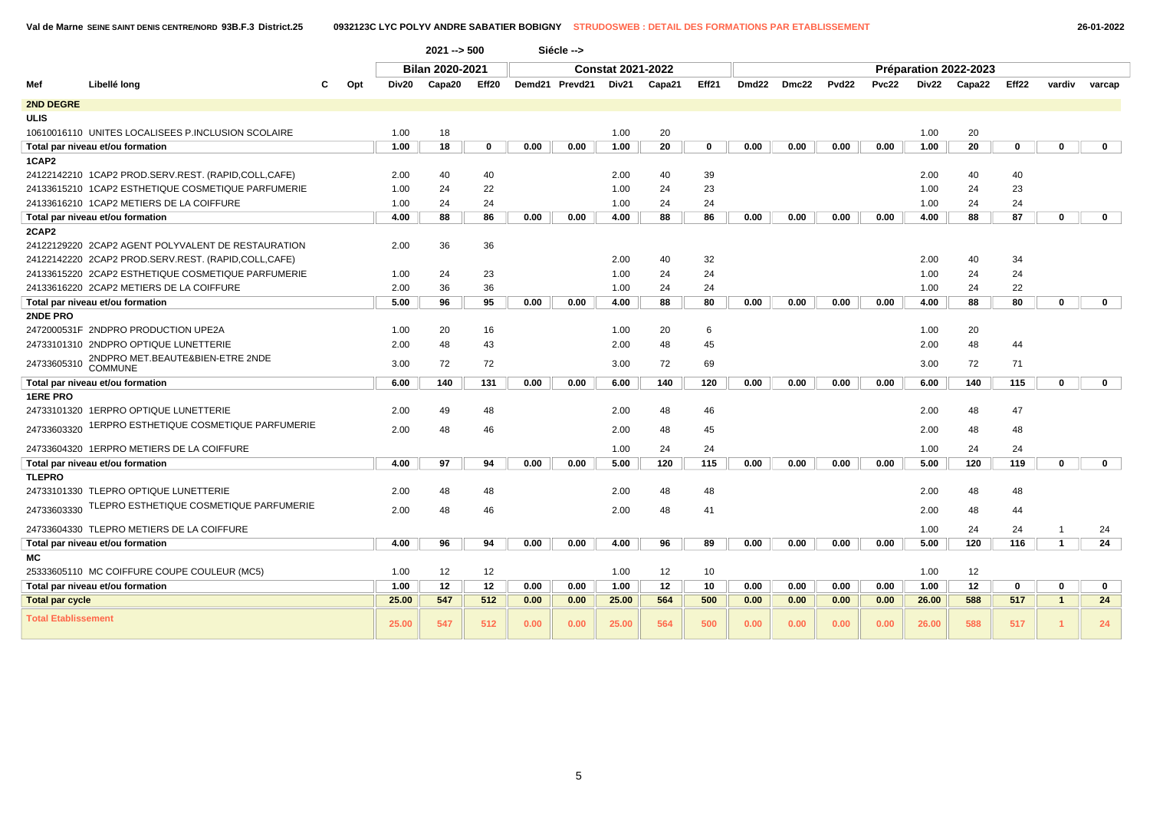|                            |                                                     |     |       | $2021 - 500$           |             |      | Siécle -->     |                          |        |             |       |       |                   |       |       |                       |             |                |              |  |
|----------------------------|-----------------------------------------------------|-----|-------|------------------------|-------------|------|----------------|--------------------------|--------|-------------|-------|-------|-------------------|-------|-------|-----------------------|-------------|----------------|--------------|--|
|                            |                                                     |     |       | <b>Bilan 2020-2021</b> |             |      |                | <b>Constat 2021-2022</b> |        |             |       |       |                   |       |       | Préparation 2022-2023 |             |                |              |  |
| Mef                        | Libellé long                                        | Opt | Div20 | Capa20                 | Eff20       |      | Demd21 Prevd21 | Div21                    | Capa21 | Eff21       | Dmd22 | Dmc22 | Pvd <sub>22</sub> | Pvc22 | Div22 | Capa22                | Eff22       | vardiv         | varcap       |  |
| 2ND DEGRE                  |                                                     |     |       |                        |             |      |                |                          |        |             |       |       |                   |       |       |                       |             |                |              |  |
| <b>ULIS</b>                |                                                     |     |       |                        |             |      |                |                          |        |             |       |       |                   |       |       |                       |             |                |              |  |
|                            | 10610016110 UNITES LOCALISEES P.INCLUSION SCOLAIRE  |     | 1.00  | 18                     |             |      |                | 1.00                     | 20     |             |       |       |                   |       | 1.00  | 20                    |             |                |              |  |
|                            | Total par niveau et/ou formation                    |     | 1.00  | 18                     | $\mathbf 0$ | 0.00 | 0.00           | 1.00                     | 20     | $\mathbf 0$ | 0.00  | 0.00  | 0.00              | 0.00  | 1.00  | 20                    | 0           | $\mathbf 0$    | $\mathbf 0$  |  |
| 1CAP2                      |                                                     |     |       |                        |             |      |                |                          |        |             |       |       |                   |       |       |                       |             |                |              |  |
|                            | 24122142210 1CAP2 PROD.SERV.REST. (RAPID,COLL,CAFE) |     | 2.00  | 40                     | 40          |      |                | 2.00                     | 40     | 39          |       |       |                   |       | 2.00  | 40                    | 40          |                |              |  |
|                            | 24133615210 1CAP2 ESTHETIQUE COSMETIQUE PARFUMERIE  |     | 1.00  | 24                     | 22          |      |                | 1.00                     | 24     | 23          |       |       |                   |       | 1.00  | 24                    | 23          |                |              |  |
|                            | 24133616210 1CAP2 METIERS DE LA COIFFURE            |     | 1.00  | 24                     | 24          |      |                | 1.00                     | 24     | 24          |       |       |                   |       | 1.00  | 24                    | 24          |                |              |  |
|                            | Total par niveau et/ou formation                    |     | 4.00  | 88                     | 86          | 0.00 | 0.00           | 4.00                     | 88     | 86          | 0.00  | 0.00  | 0.00              | 0.00  | 4.00  | 88                    | 87          | $\mathbf 0$    | $\mathbf 0$  |  |
| 2CAP2                      |                                                     |     |       |                        |             |      |                |                          |        |             |       |       |                   |       |       |                       |             |                |              |  |
|                            | 24122129220 2CAP2 AGENT POLYVALENT DE RESTAURATION  |     | 2.00  | 36                     | 36          |      |                |                          |        |             |       |       |                   |       |       |                       |             |                |              |  |
|                            | 24122142220 2CAP2 PROD.SERV.REST. (RAPID,COLL,CAFE) |     |       |                        |             |      |                | 2.00                     | 40     | 32          |       |       |                   |       | 2.00  | 40                    | 34          |                |              |  |
|                            | 24133615220 2CAP2 ESTHETIQUE COSMETIQUE PARFUMERIE  |     | 1.00  | 24                     | 23          |      |                | 1.00                     | 24     | 24          |       |       |                   |       | 1.00  | 24                    | 24          |                |              |  |
|                            | 24133616220 2CAP2 METIERS DE LA COIFFURE            |     | 2.00  | 36                     | 36          |      |                | 1.00                     | 24     | 24          |       |       |                   |       | 1.00  | 24                    | 22          |                |              |  |
|                            | Total par niveau et/ou formation                    |     | 5.00  | 96                     | 95          | 0.00 | 0.00           | 4.00                     | 88     | 80          | 0.00  | 0.00  | 0.00              | 0.00  | 4.00  | 88                    | 80          | $\mathbf 0$    | $\mathbf 0$  |  |
| 2NDE PRO                   |                                                     |     |       |                        |             |      |                |                          |        |             |       |       |                   |       |       |                       |             |                |              |  |
|                            | 2472000531F 2NDPRO PRODUCTION UPE2A                 |     | 1.00  | 20                     | 16          |      |                | 1.00                     | 20     | 6           |       |       |                   |       | 1.00  | 20                    |             |                |              |  |
|                            | 24733101310 2NDPRO OPTIQUE LUNETTERIE               |     | 2.00  | 48                     | 43          |      |                | 2.00                     | 48     | 45          |       |       |                   |       | 2.00  | 48                    | 44          |                |              |  |
| 24733605310                | 2NDPRO MET.BEAUTE&BIEN-ETRE 2NDE<br><b>COMMUNE</b>  |     | 3.00  | 72                     | 72          |      |                | 3.00                     | 72     | 69          |       |       |                   |       | 3.00  | 72                    | 71          |                |              |  |
|                            | Total par niveau et/ou formation                    |     | 6.00  | 140                    | 131         | 0.00 | 0.00           | 6.00                     | 140    | 120         | 0.00  | 0.00  | 0.00              | 0.00  | 6.00  | 140                   | 115         | $\mathbf{0}$   | $\mathbf 0$  |  |
| <b>1ERE PRO</b>            |                                                     |     |       |                        |             |      |                |                          |        |             |       |       |                   |       |       |                       |             |                |              |  |
|                            | 24733101320 1ERPRO OPTIQUE LUNETTERIE               |     | 2.00  | 49                     | 48          |      |                | 2.00                     | 48     | 46          |       |       |                   |       | 2.00  | 48                    | 47          |                |              |  |
| 24733603320                | 1ERPRO ESTHETIQUE COSMETIQUE PARFUMERIE             |     | 2.00  | 48                     | 46          |      |                | 2.00                     | 48     | 45          |       |       |                   |       | 2.00  | 48                    | 48          |                |              |  |
|                            | 24733604320 1ERPRO METIERS DE LA COIFFURE           |     |       |                        |             |      |                | 1.00                     | 24     | 24          |       |       |                   |       | 1.00  | 24                    | 24          |                |              |  |
|                            | Total par niveau et/ou formation                    |     | 4.00  | 97                     | 94          | 0.00 | 0.00           | 5.00                     | 120    | 115         | 0.00  | 0.00  | 0.00              | 0.00  | 5.00  | 120                   | 119         | $\mathbf 0$    | $\mathbf{0}$ |  |
| <b>TLEPRO</b>              |                                                     |     |       |                        |             |      |                |                          |        |             |       |       |                   |       |       |                       |             |                |              |  |
|                            | 24733101330 TLEPRO OPTIQUE LUNETTERIE               |     | 2.00  | 48                     | 48          |      |                | 2.00                     | 48     | 48          |       |       |                   |       | 2.00  | 48                    | 48          |                |              |  |
| 24733603330                | TLEPRO ESTHETIQUE COSMETIQUE PARFUMERIE             |     | 2.00  | 48                     | 46          |      |                | 2.00                     | 48     | 41          |       |       |                   |       | 2.00  | 48                    | 44          |                |              |  |
|                            | 24733604330 TLEPRO METIERS DE LA COIFFURE           |     |       |                        |             |      |                |                          |        |             |       |       |                   |       | 1.00  | 24                    | 24          | $\overline{1}$ | 24           |  |
|                            | Total par niveau et/ou formation                    |     | 4.00  | 96                     | 94          | 0.00 | 0.00           | 4.00                     | 96     | 89          | 0.00  | 0.00  | 0.00              | 0.00  | 5.00  | 120                   | 116         | $\mathbf{1}$   | 24           |  |
| МC                         |                                                     |     |       |                        |             |      |                |                          |        |             |       |       |                   |       |       |                       |             |                |              |  |
|                            | 25333605110 MC COIFFURE COUPE COULEUR (MC5)         |     | 1.00  | 12                     | 12          |      |                | 1.00                     | 12     | 10          |       |       |                   |       | 1.00  | 12                    |             |                |              |  |
|                            | Total par niveau et/ou formation                    |     | 1.00  | 12                     | 12          | 0.00 | 0.00           | 1.00                     | 12     | 10          | 0.00  | 0.00  | 0.00              | 0.00  | 1.00  | 12                    | $\mathbf 0$ | $\mathbf 0$    | $\mathbf 0$  |  |
| <b>Total par cycle</b>     |                                                     |     | 25.00 | 547                    | 512         | 0.00 | 0.00           | 25.00                    | 564    | 500         | 0.00  | 0.00  | 0.00              | 0.00  | 26.00 | 588                   | 517         | $\overline{1}$ | 24           |  |
| <b>Total Etablissement</b> |                                                     |     | 25.00 | 547                    | 512         | 0.00 | 0.00           | 25.00                    | 564    | 500         | 0.00  | 0.00  | 0.00              | 0.00  | 26.00 | 588                   | 517         | -1             | 24           |  |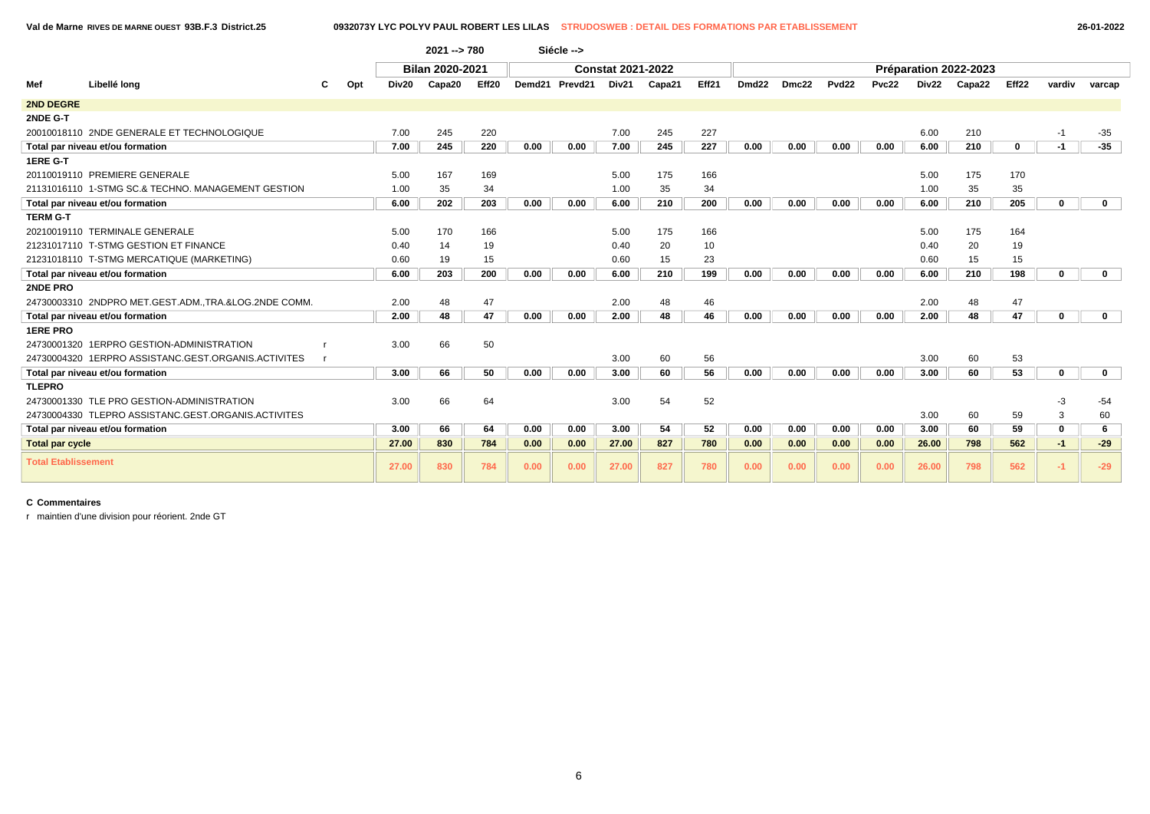**Val de Marne RIVES DE MARNE OUEST 93B.F.3 District.25 0932073Y LYC POLYV PAUL ROBERT LES LILAS STRUDOSWEB : DETAIL DES FORMATIONS PAR ETABLISSEMENT 26-01-2022**

|                            |                                                      |     |       | $2021 - 780$           |       |        | Siécle -->          |                          |        |       |                   |       |                   |       |       |                       |             |             |              |
|----------------------------|------------------------------------------------------|-----|-------|------------------------|-------|--------|---------------------|--------------------------|--------|-------|-------------------|-------|-------------------|-------|-------|-----------------------|-------------|-------------|--------------|
|                            |                                                      |     |       | <b>Bilan 2020-2021</b> |       |        |                     | <b>Constat 2021-2022</b> |        |       |                   |       |                   |       |       | Préparation 2022-2023 |             |             |              |
| Mef                        | Libellé long                                         | Opt | Div20 | Capa20                 | Eff20 | Demd21 | Prevd <sub>21</sub> | Div21                    | Capa21 | Eff21 | Dmd <sub>22</sub> | Dmc22 | Pvd <sub>22</sub> | Pvc22 | Div22 | Capa22                | Eff22       | vardiv      | varcap       |
| 2ND DEGRE                  |                                                      |     |       |                        |       |        |                     |                          |        |       |                   |       |                   |       |       |                       |             |             |              |
| 2NDE G-T                   |                                                      |     |       |                        |       |        |                     |                          |        |       |                   |       |                   |       |       |                       |             |             |              |
|                            | 20010018110 2NDE GENERALE ET TECHNOLOGIQUE           |     | 7.00  | 245                    | 220   |        |                     | 7.00                     | 245    | 227   |                   |       |                   |       | 6.00  | 210                   |             | $-1$        | $-35$        |
|                            | Total par niveau et/ou formation                     |     | 7.00  | 245                    | 220   | 0.00   | 0.00                | 7.00                     | 245    | 227   | 0.00              | 0.00  | 0.00              | 0.00  | 6.00  | 210                   | $\mathbf 0$ | $-1$        | $-35$        |
| 1ERE G-T                   |                                                      |     |       |                        |       |        |                     |                          |        |       |                   |       |                   |       |       |                       |             |             |              |
|                            | 20110019110 PREMIERE GENERALE                        |     | 5.00  | 167                    | 169   |        |                     | 5.00                     | 175    | 166   |                   |       |                   |       | 5.00  | 175                   | 170         |             |              |
|                            | 21131016110 1-STMG SC.& TECHNO, MANAGEMENT GESTION   |     | 1.00  | 35                     | 34    |        |                     | 1.00                     | 35     | 34    |                   |       |                   |       | 1.00  | 35                    | 35          |             |              |
|                            | Total par niveau et/ou formation                     |     | 6.00  | 202                    | 203   | 0.00   | 0.00                | 6.00                     | 210    | 200   | 0.00              | 0.00  | 0.00              | 0.00  | 6.00  | 210                   | 205         | 0           | $\mathbf{0}$ |
| <b>TERM G-T</b>            |                                                      |     |       |                        |       |        |                     |                          |        |       |                   |       |                   |       |       |                       |             |             |              |
|                            | 20210019110 TERMINALE GENERALE                       |     | 5.00  | 170                    | 166   |        |                     | 5.00                     | 175    | 166   |                   |       |                   |       | 5.00  | 175                   | 164         |             |              |
|                            | 21231017110 T-STMG GESTION ET FINANCE                |     | 0.40  | 14                     | 19    |        |                     | 0.40                     | 20     | 10    |                   |       |                   |       | 0.40  | 20                    | 19          |             |              |
|                            | 21231018110 T-STMG MERCATIQUE (MARKETING)            |     | 0.60  | 19                     | 15    |        |                     | 0.60                     | 15     | 23    |                   |       |                   |       | 0.60  | 15                    | 15          |             |              |
|                            | Total par niveau et/ou formation                     |     | 6.00  | 203                    | 200   | 0.00   | 0.00                | 6.00                     | 210    | 199   | 0.00              | 0.00  | 0.00              | 0.00  | 6.00  | 210                   | 198         | $\mathbf 0$ | $\mathbf{0}$ |
| 2NDE PRO                   |                                                      |     |       |                        |       |        |                     |                          |        |       |                   |       |                   |       |       |                       |             |             |              |
|                            | 24730003310 2NDPRO MET.GEST.ADM.,TRA.&LOG.2NDE COMM. |     | 2.00  | 48                     | 47    |        |                     | 2.00                     | 48     | 46    |                   |       |                   |       | 2.00  | 48                    | 47          |             |              |
|                            | Total par niveau et/ou formation                     |     | 2.00  | 48                     | 47    | 0.00   | 0.00                | 2.00                     | 48     | 46    | 0.00              | 0.00  | 0.00              | 0.00  | 2.00  | 48                    | 47          | $\mathbf 0$ | $\mathbf{0}$ |
| <b>1ERE PRO</b>            |                                                      |     |       |                        |       |        |                     |                          |        |       |                   |       |                   |       |       |                       |             |             |              |
|                            | 24730001320 1ERPRO GESTION-ADMINISTRATION            |     | 3.00  | 66                     | 50    |        |                     |                          |        |       |                   |       |                   |       |       |                       |             |             |              |
|                            | 24730004320 1ERPRO ASSISTANC.GEST.ORGANIS.ACTIVITES  |     |       |                        |       |        |                     | 3.00                     | 60     | 56    |                   |       |                   |       | 3.00  | 60                    | 53          |             |              |
|                            | Total par niveau et/ou formation                     |     | 3.00  | 66                     | 50    | 0.00   | 0.00                | 3.00                     | 60     | 56    | 0.00              | 0.00  | 0.00              | 0.00  | 3.00  | 60                    | 53          | $\mathbf 0$ | $\mathbf 0$  |
| <b>TLEPRO</b>              |                                                      |     |       |                        |       |        |                     |                          |        |       |                   |       |                   |       |       |                       |             |             |              |
|                            | 24730001330 TLE PRO GESTION-ADMINISTRATION           |     | 3.00  | 66                     | 64    |        |                     | 3.00                     | 54     | 52    |                   |       |                   |       |       |                       |             | -3          | $-54$        |
|                            | 24730004330 TLEPRO ASSISTANC.GEST.ORGANIS.ACTIVITES  |     |       |                        |       |        |                     |                          |        |       |                   |       |                   |       | 3.00  | 60                    | 59          | 3           | 60           |
|                            | Total par niveau et/ou formation                     |     | 3.00  | 66                     | 64    | 0.00   | 0.00                | 3.00                     | 54     | 52    | 0.00              | 0.00  | 0.00              | 0.00  | 3.00  | 60                    | 59          | $\mathbf 0$ | 6            |
| <b>Total par cycle</b>     |                                                      |     | 27.00 | 830                    | 784   | 0.00   | 0.00                | 27.00                    | 827    | 780   | 0.00              | 0.00  | 0.00              | 0.00  | 26.00 | 798                   | 562         | $-1$        | $-29$        |
| <b>Total Etablissement</b> |                                                      |     | 27.00 | 830                    | 784   | 0.00   | 0.00                | 27.00                    | 827    | 780   | 0.00              | 0.00  | 0.00              | 0.00  | 26.00 | 798                   | 562         | $-1$        | $-29$        |

### **C Commentaires**

r maintien d'une division pour réorient. 2nde GT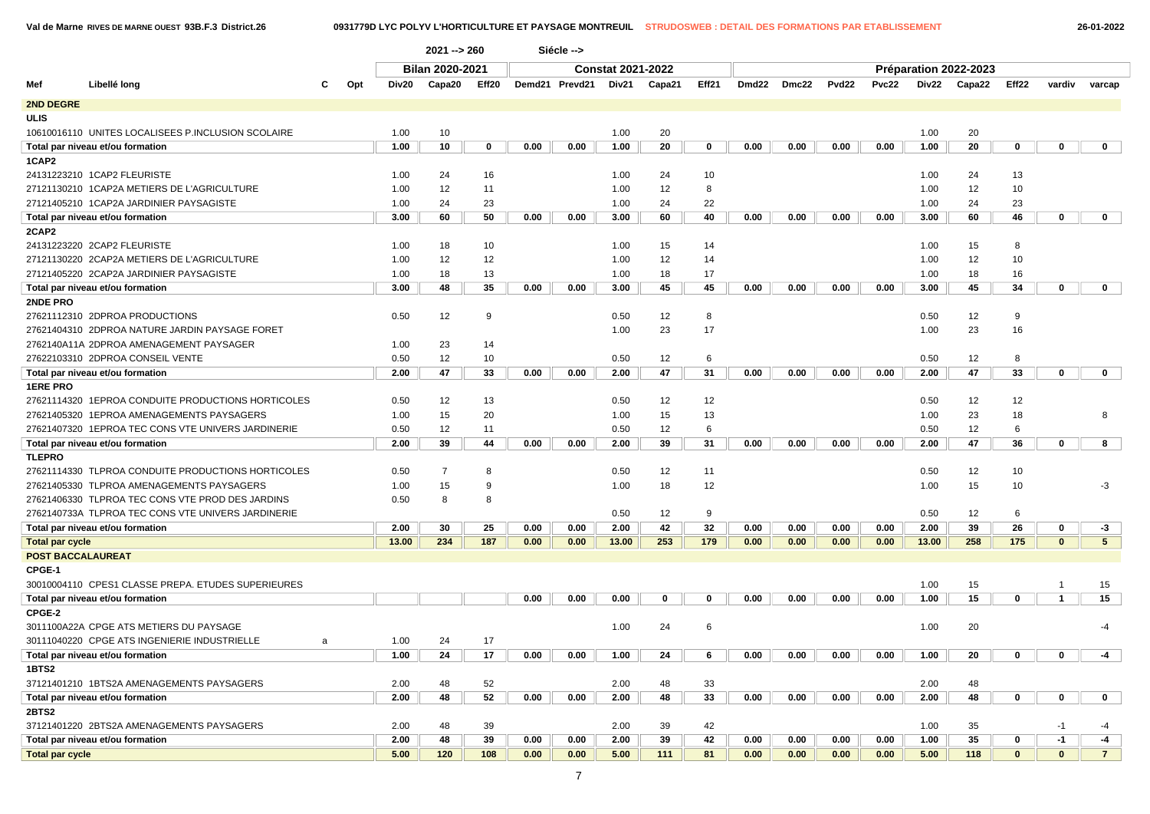**Val de Marne RIVES DE MARNE OUEST 93B.F.3 District.26 0931779D LYC POLYV L'HORTICULTURE ET PAYSAGE MONTREUIL STRUDOSWEB : DETAIL DES FORMATIONS PAR ETABLISSEMENT 26-01-2022**

|                        |                                                    |     |       | $2021 - 260$           |       |      | Siécle -->     |                          |        |       |      |             |       |       |       |                       |              |                |                |
|------------------------|----------------------------------------------------|-----|-------|------------------------|-------|------|----------------|--------------------------|--------|-------|------|-------------|-------|-------|-------|-----------------------|--------------|----------------|----------------|
|                        |                                                    |     |       | <b>Bilan 2020-2021</b> |       |      |                | <b>Constat 2021-2022</b> |        |       |      |             |       |       |       | Préparation 2022-2023 |              |                |                |
| Mef                    | Libellé long<br>C                                  | Opt | Div20 | Capa20                 | Eff20 |      | Demd21 Prevd21 | Div21                    | Capa21 | Eff21 |      | Dmd22 Dmc22 | Pvd22 | Pvc22 |       | Div22 Capa22          | Eff22        | vardiv         | varcap         |
| <b>2ND DEGRE</b>       |                                                    |     |       |                        |       |      |                |                          |        |       |      |             |       |       |       |                       |              |                |                |
| ULIS                   |                                                    |     |       |                        |       |      |                |                          |        |       |      |             |       |       |       |                       |              |                |                |
|                        | 10610016110 UNITES LOCALISEES P.INCLUSION SCOLAIRE |     | 1.00  | 10                     |       |      |                | 1.00                     | 20     |       |      |             |       |       | 1.00  | 20                    |              |                |                |
|                        | Total par niveau et/ou formation                   |     | 1.00  | 10                     | 0     | 0.00 | 0.00           | 1.00                     | 20     | 0     | 0.00 | 0.00        | 0.00  | 0.00  | 1.00  | 20                    | 0            | $\mathbf 0$    | $\mathbf{0}$   |
| 1CAP2                  |                                                    |     |       |                        |       |      |                |                          |        |       |      |             |       |       |       |                       |              |                |                |
|                        | 24131223210 1CAP2 FLEURISTE                        |     | 1.00  | 24                     | 16    |      |                | 1.00                     | 24     | 10    |      |             |       |       | 1.00  | 24                    | 13           |                |                |
|                        | 27121130210 1CAP2A METIERS DE L'AGRICULTURE        |     | 1.00  | 12                     | 11    |      |                | 1.00                     | 12     | 8     |      |             |       |       | 1.00  | 12                    | 10           |                |                |
|                        | 27121405210 1CAP2A JARDINIER PAYSAGISTE            |     | 1.00  | 24                     | 23    |      |                | 1.00                     | 24     | 22    |      |             |       |       | 1.00  | 24                    | 23           |                |                |
|                        | Total par niveau et/ou formation                   |     | 3.00  | 60                     | 50    | 0.00 | 0.00           | 3.00                     | 60     | 40    | 0.00 | 0.00        | 0.00  | 0.00  | 3.00  | 60                    | 46           | 0              | $\mathbf{0}$   |
| 2CAP2                  |                                                    |     |       |                        |       |      |                |                          |        |       |      |             |       |       |       |                       |              |                |                |
|                        | 24131223220 2CAP2 FLEURISTE                        |     | 1.00  | 18                     | 10    |      |                | 1.00                     | 15     | 14    |      |             |       |       | 1.00  | 15                    | 8            |                |                |
|                        | 27121130220 2CAP2A METIERS DE L'AGRICULTURE        |     | 1.00  | 12                     | 12    |      |                | 1.00                     | 12     | 14    |      |             |       |       | 1.00  | 12                    | 10           |                |                |
|                        | 27121405220 2CAP2A JARDINIER PAYSAGISTE            |     | 1.00  | 18                     | 13    |      |                | 1.00                     | 18     | 17    |      |             |       |       | 1.00  | 18                    | 16           |                |                |
|                        | Total par niveau et/ou formation                   |     | 3.00  | 48                     | 35    | 0.00 | 0.00           | 3.00                     | 45     | 45    | 0.00 | 0.00        | 0.00  | 0.00  | 3.00  | 45                    | 34           | $\mathbf 0$    | $\mathbf{0}$   |
| 2NDE PRO               |                                                    |     |       |                        |       |      |                |                          |        |       |      |             |       |       |       |                       |              |                |                |
|                        | 27621112310 2DPROA PRODUCTIONS                     |     | 0.50  | 12                     | 9     |      |                | 0.50                     | 12     | 8     |      |             |       |       | 0.50  | 12                    | 9            |                |                |
|                        | 27621404310 2DPROA NATURE JARDIN PAYSAGE FORET     |     |       |                        |       |      |                | 1.00                     | 23     | 17    |      |             |       |       | 1.00  | 23                    | 16           |                |                |
|                        | 2762140A11A 2DPROA AMENAGEMENT PAYSAGER            |     | 1.00  | 23                     | 14    |      |                |                          |        |       |      |             |       |       |       |                       |              |                |                |
|                        | 27622103310 2DPROA CONSEIL VENTE                   |     | 0.50  | 12                     | 10    |      |                | 0.50                     | 12     | 6     |      |             |       |       | 0.50  | 12                    | 8            |                |                |
|                        | Total par niveau et/ou formation                   |     | 2.00  | 47                     | 33    | 0.00 | 0.00           | 2.00                     | 47     | 31    | 0.00 | 0.00        | 0.00  | 0.00  | 2.00  | 47                    | 33           | 0              | $\mathbf{0}$   |
| <b>1ERE PRO</b>        |                                                    |     |       |                        |       |      |                |                          |        |       |      |             |       |       |       |                       |              |                |                |
|                        | 27621114320 1EPROA CONDUITE PRODUCTIONS HORTICOLES |     | 0.50  | 12                     | 13    |      |                | 0.50                     | 12     | 12    |      |             |       |       | 0.50  | 12                    | 12           |                |                |
|                        | 27621405320 1EPROA AMENAGEMENTS PAYSAGERS          |     | 1.00  | 15                     | 20    |      |                | 1.00                     | 15     | 13    |      |             |       |       | 1.00  | 23                    | 18           |                | 8              |
|                        | 27621407320 1EPROA TEC CONS VTE UNIVERS JARDINERIE |     | 0.50  | 12                     | 11    |      |                | 0.50                     | 12     | 6     |      |             |       |       | 0.50  | 12                    | 6            |                |                |
|                        | Total par niveau et/ou formation                   |     | 2.00  | 39                     | 44    | 0.00 | 0.00           | 2.00                     | 39     | 31    | 0.00 | 0.00        | 0.00  | 0.00  | 2.00  | 47                    | 36           | 0              | 8              |
| <b>TLEPRO</b>          |                                                    |     |       |                        |       |      |                |                          |        |       |      |             |       |       |       |                       |              |                |                |
|                        | 27621114330 TLPROA CONDUITE PRODUCTIONS HORTICOLES |     | 0.50  | $\overline{7}$         | 8     |      |                | 0.50                     | 12     | 11    |      |             |       |       | 0.50  | 12                    | 10           |                |                |
|                        | 27621405330 TLPROA AMENAGEMENTS PAYSAGERS          |     | 1.00  | 15                     | 9     |      |                | 1.00                     | 18     | 12    |      |             |       |       | 1.00  | 15                    | 10           |                | $-3$           |
|                        | 27621406330 TLPROA TEC CONS VTE PROD DES JARDINS   |     | 0.50  | 8                      | 8     |      |                |                          |        |       |      |             |       |       |       |                       |              |                |                |
|                        | 2762140733A TLPROA TEC CONS VTE UNIVERS JARDINERIE |     |       |                        |       |      |                | 0.50                     | 12     | 9     |      |             |       |       | 0.50  | 12                    | 6            |                |                |
|                        | Total par niveau et/ou formation                   |     | 2.00  | 30                     | 25    | 0.00 | 0.00           | 2.00                     | 42     | 32    | 0.00 | 0.00        | 0.00  | 0.00  | 2.00  | 39                    | 26           | $\mathbf 0$    | -3             |
| <b>Total par cycle</b> |                                                    |     | 13.00 | 234                    | 187   | 0.00 | 0.00           | 13.00                    | 253    | 179   | 0.00 | 0.00        | 0.00  | 0.00  | 13.00 | 258                   | 175          | $\mathbf{0}$   | 5 <sup>5</sup> |
|                        | <b>POST BACCALAUREAT</b>                           |     |       |                        |       |      |                |                          |        |       |      |             |       |       |       |                       |              |                |                |
| CPGE-1                 |                                                    |     |       |                        |       |      |                |                          |        |       |      |             |       |       |       |                       |              |                |                |
|                        | 30010004110 CPES1 CLASSE PREPA. ETUDES SUPERIEURES |     |       |                        |       |      |                |                          |        |       |      |             |       |       | 1.00  | 15                    |              | $\overline{1}$ | 15             |
|                        | Total par niveau et/ou formation                   |     |       |                        |       | 0.00 | 0.00           | 0.00                     | 0      | 0     | 0.00 | 0.00        | 0.00  | 0.00  | 1.00  | 15                    | $\mathbf 0$  | $\overline{1}$ | 15             |
| CPGE-2                 |                                                    |     |       |                        |       |      |                |                          |        |       |      |             |       |       |       |                       |              |                |                |
|                        | 3011100A22A CPGE ATS METIERS DU PAYSAGE            |     |       |                        |       |      |                | 1.00                     | 24     | 6     |      |             |       |       | 1.00  | 20                    |              |                | -4             |
|                        | 30111040220 CPGE ATS INGENIERIE INDUSTRIELLE<br>a  |     | 1.00  | 24                     | 17    |      |                |                          |        |       |      |             |       |       |       |                       |              |                |                |
|                        | Total par niveau et/ou formation                   |     | 1.00  | 24                     | 17    | 0.00 | 0.00           | 1.00                     | 24     |       | 0.00 | 0.00        | 0.00  | 0.00  | 1.00  | 20                    |              | $\bf{0}$       |                |
| 1BTS2                  |                                                    |     |       |                        |       |      |                |                          |        |       |      |             |       |       |       |                       |              |                |                |
|                        | 37121401210 1BTS2A AMENAGEMENTS PAYSAGERS          |     | 2.00  | 48                     | 52    |      |                | 2.00                     | 48     | 33    |      |             |       |       | 2.00  | 48                    |              |                |                |
|                        | Total par niveau et/ou formation                   |     | 2.00  | 48                     | 52    | 0.00 | 0.00           | 2.00                     | 48     | 33    | 0.00 | 0.00        | 0.00  | 0.00  | 2.00  | 48                    | $\mathbf 0$  | 0              | $\mathbf{0}$   |
| 2BTS2                  |                                                    |     |       |                        |       |      |                |                          |        |       |      |             |       |       |       |                       |              |                |                |
|                        | 37121401220 2BTS2A AMENAGEMENTS PAYSAGERS          |     | 2.00  | 48                     | 39    |      |                | 2.00                     | 39     | 42    |      |             |       |       | 1.00  | 35                    |              | $-1$           | -4             |
|                        | Total par niveau et/ou formation                   |     | 2.00  | 48                     | 39    | 0.00 | 0.00           | 2.00                     | 39     | 42    | 0.00 | 0.00        | 0.00  | 0.00  | 1.00  | 35                    | $\mathbf 0$  | $-1$           | $-4$           |
| <b>Total par cycle</b> |                                                    |     | 5.00  | 120                    | 108   | 0.00 | 0.00           | 5.00                     | 111    | 81    | 0.00 | 0.00        | 0.00  | 0.00  | 5.00  | 118                   | $\mathbf{0}$ | $\mathbf{0}$   | 7 <sup>7</sup> |
|                        |                                                    |     |       |                        |       |      |                |                          |        |       |      |             |       |       |       |                       |              |                |                |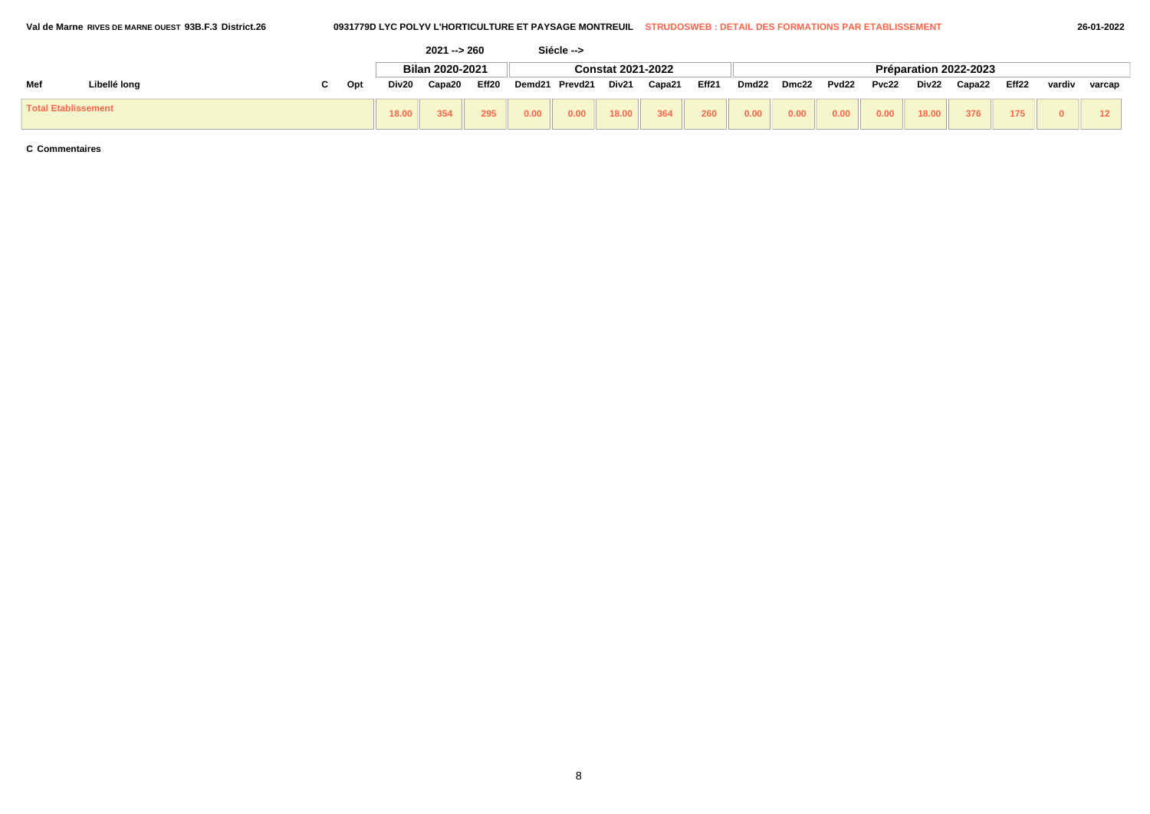|                            |              |     |       | $2021 - 260$    |                   |        | Siécle --> |                          |        |       |                   |       |       |       |       |                       |       |        |        |
|----------------------------|--------------|-----|-------|-----------------|-------------------|--------|------------|--------------------------|--------|-------|-------------------|-------|-------|-------|-------|-----------------------|-------|--------|--------|
|                            |              |     |       | Bilan 2020-2021 |                   |        |            | <b>Constat 2021-2022</b> |        |       |                   |       |       |       |       | Préparation 2022-2023 |       |        |        |
| Mef                        | Libellé long | Opt | Div20 | Capa20          | Eff <sub>20</sub> | Demd21 | Prevd21    | Div21                    | Capa21 | Eff21 | Dmd <sub>22</sub> | Dmc22 | Pvd22 | Pvc22 | Div22 | Capa22                | Eff22 | vardiv | varcap |
| <b>Total Etablissement</b> |              |     | 18.00 | 354             | 295               | 0.00   | 0.00       | 18.00                    | 364    | 260   | 0.00              | 0.00  | 0.00  | 0.00  | 18.00 | 376                   | 175   |        |        |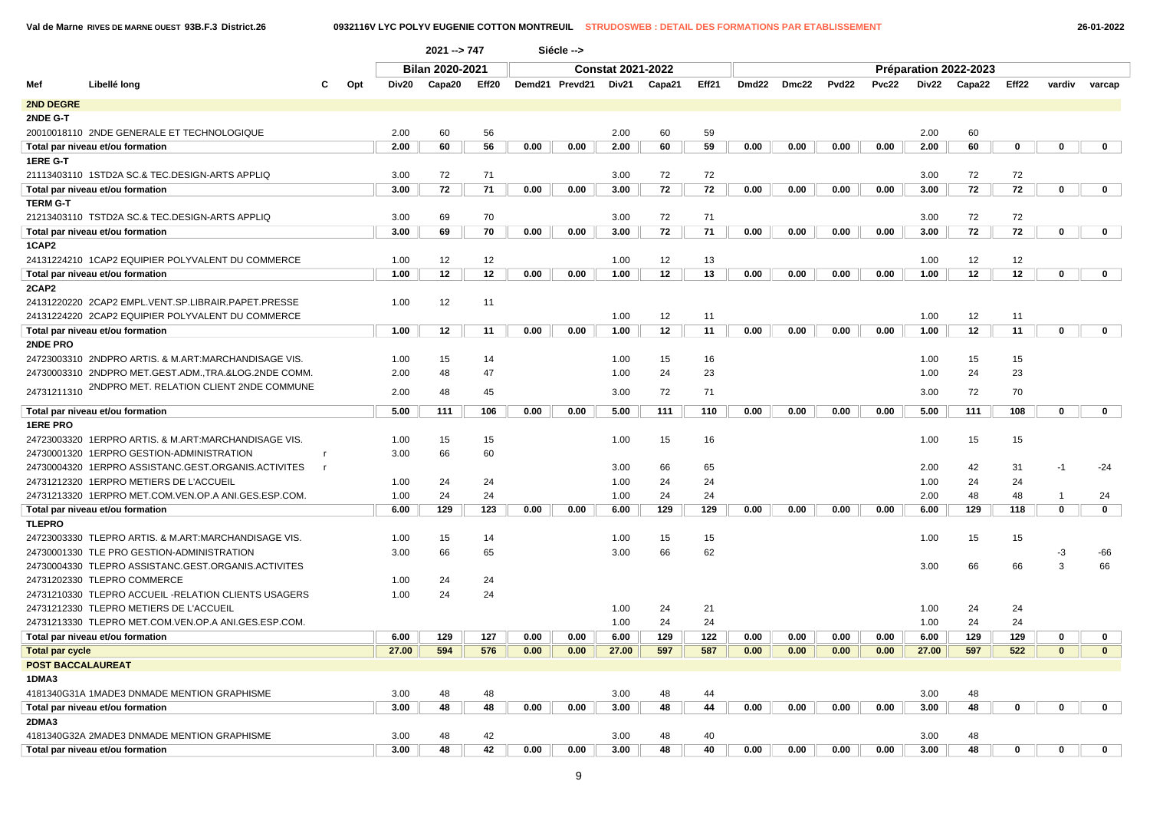**Val de Marne RIVES DE MARNE OUEST 93B.F.3 District.26 0932116V LYC POLYV EUGENIE COTTON MONTREUIL STRUDOSWEB : DETAIL DES FORMATIONS PAR ETABLISSEMENT 26-01-2022**

|                        |                                                      |     |       | $2021 - 747$    |       |      | Siécle -->     |                          |        |       |       |       |       |       |       |                       |              |                |              |
|------------------------|------------------------------------------------------|-----|-------|-----------------|-------|------|----------------|--------------------------|--------|-------|-------|-------|-------|-------|-------|-----------------------|--------------|----------------|--------------|
|                        |                                                      |     |       | Bilan 2020-2021 |       |      |                | <b>Constat 2021-2022</b> |        |       |       |       |       |       |       | Préparation 2022-2023 |              |                |              |
| Mef                    | Libellé long<br>C                                    | Opt | Div20 | Capa20          | Eff20 |      | Demd21 Prevd21 | Div21                    | Capa21 | Eff21 | Dmd22 | Dmc22 | Pvd22 | Pvc22 | Div22 | Capa22                | Eff22        | vardiv         | varcap       |
| 2ND DEGRE              |                                                      |     |       |                 |       |      |                |                          |        |       |       |       |       |       |       |                       |              |                |              |
| 2NDE G-T               |                                                      |     |       |                 |       |      |                |                          |        |       |       |       |       |       |       |                       |              |                |              |
|                        | 20010018110 2NDE GENERALE ET TECHNOLOGIQUE           |     | 2.00  | 60              | 56    |      |                | 2.00                     | 60     | 59    |       |       |       |       | 2.00  | 60                    |              |                |              |
|                        | Total par niveau et/ou formation                     |     | 2.00  | 60              | 56    | 0.00 | 0.00           | 2.00                     | 60     | 59    | 0.00  | 0.00  | 0.00  | 0.00  | 2.00  | 60                    | 0            | 0              | 0            |
| 1ERE G-T               |                                                      |     |       |                 |       |      |                |                          |        |       |       |       |       |       |       |                       |              |                |              |
|                        | 21113403110 1STD2A SC.& TEC.DESIGN-ARTS APPLIQ       |     | 3.00  | 72              | 71    |      |                | 3.00                     | 72     | 72    |       |       |       |       | 3.00  | 72                    | 72           |                |              |
|                        | Total par niveau et/ou formation                     |     | 3.00  | 72              | 71    | 0.00 | 0.00           | 3.00                     | 72     | 72    | 0.00  | 0.00  | 0.00  | 0.00  | 3.00  | 72                    | 72           | $\mathbf 0$    | $\mathbf 0$  |
| <b>TERM G-T</b>        |                                                      |     |       |                 |       |      |                |                          |        |       |       |       |       |       |       |                       |              |                |              |
|                        | 21213403110 TSTD2A SC.& TEC.DESIGN-ARTS APPLIQ       |     | 3.00  | 69              | 70    |      |                | 3.00                     | 72     | 71    |       |       |       |       | 3.00  | 72                    | 72           |                |              |
|                        | Total par niveau et/ou formation                     |     | 3.00  | 69              | 70    | 0.00 | 0.00           | 3.00                     | 72     | 71    | 0.00  | 0.00  | 0.00  | 0.00  | 3.00  | 72                    | 72           | $\mathbf 0$    | $\mathbf 0$  |
| 1CAP2                  |                                                      |     |       |                 |       |      |                |                          |        |       |       |       |       |       |       |                       |              |                |              |
|                        | 24131224210 1CAP2 EQUIPIER POLYVALENT DU COMMERCE    |     | 1.00  | 12              | 12    |      |                | 1.00                     | 12     | 13    |       |       |       |       | 1.00  | 12                    | 12           |                |              |
|                        | Total par niveau et/ou formation                     |     | 1.00  | 12              | 12    | 0.00 | 0.00           | 1.00                     | 12     | 13    | 0.00  | 0.00  | 0.00  | 0.00  | 1.00  | 12                    | 12           | $\mathbf 0$    | $\mathbf 0$  |
| 2CAP2                  |                                                      |     |       |                 |       |      |                |                          |        |       |       |       |       |       |       |                       |              |                |              |
|                        | 24131220220 2CAP2 EMPL.VENT.SP.LIBRAIR.PAPET.PRESSE  |     | 1.00  | 12              | 11    |      |                |                          |        |       |       |       |       |       |       |                       |              |                |              |
|                        | 24131224220 2CAP2 EQUIPIER POLYVALENT DU COMMERCE    |     |       |                 |       |      |                | 1.00                     | 12     | 11    |       |       |       |       | 1.00  | 12                    | 11           |                |              |
|                        | Total par niveau et/ou formation                     |     | 1.00  | 12              | 11    | 0.00 | 0.00           | 1.00                     | 12     | 11    | 0.00  | 0.00  | 0.00  | 0.00  | 1.00  | 12                    | 11           | $\mathbf 0$    | $\mathbf 0$  |
| 2NDE PRO               |                                                      |     |       |                 |       |      |                |                          |        |       |       |       |       |       |       |                       |              |                |              |
|                        | 24723003310 2NDPRO ARTIS. & M.ART:MARCHANDISAGE VIS. |     | 1.00  | 15              | 14    |      |                | 1.00                     | 15     | 16    |       |       |       |       | 1.00  | 15                    | 15           |                |              |
|                        | 24730003310 2NDPRO MET.GEST.ADM.,TRA.&LOG.2NDE COMM. |     | 2.00  | 48              | 47    |      |                | 1.00                     | 24     | 23    |       |       |       |       | 1.00  | 24                    | 23           |                |              |
| 24731211310            | 2NDPRO MET. RELATION CLIENT 2NDE COMMUNE             |     | 2.00  | 48              | 45    |      |                | 3.00                     | 72     | 71    |       |       |       |       | 3.00  | 72                    | 70           |                |              |
|                        |                                                      |     |       |                 |       |      |                |                          |        |       |       |       |       |       |       |                       |              |                |              |
|                        | Total par niveau et/ou formation                     |     | 5.00  | 111             | 106   | 0.00 | 0.00           | 5.00                     | 111    | 110   | 0.00  | 0.00  | 0.00  | 0.00  | 5.00  | 111                   | 108          | $\mathbf 0$    | $\mathbf 0$  |
| <b>1ERE PRO</b>        |                                                      |     |       |                 |       |      |                |                          |        |       |       |       |       |       |       |                       |              |                |              |
|                        | 24723003320 1ERPRO ARTIS. & M.ART:MARCHANDISAGE VIS. |     | 1.00  | 15              | 15    |      |                | 1.00                     | 15     | 16    |       |       |       |       | 1.00  | 15                    | 15           |                |              |
|                        | 24730001320 1ERPRO GESTION-ADMINISTRATION            |     | 3.00  | 66              | 60    |      |                |                          |        |       |       |       |       |       |       |                       |              |                |              |
|                        | 24730004320 1ERPRO ASSISTANC.GEST.ORGANIS.ACTIVITES  |     |       |                 |       |      |                | 3.00                     | 66     | 65    |       |       |       |       | 2.00  | 42                    | 31           | $-1$           | $-24$        |
|                        | 24731212320 1ERPRO METIERS DE L'ACCUEIL              |     | 1.00  | 24              | 24    |      |                | 1.00                     | 24     | 24    |       |       |       |       | 1.00  | 24                    | 24           |                |              |
|                        | 24731213320 1ERPRO MET.COM.VEN.OP.A ANI.GES.ESP.COM. |     | 1.00  | 24              | 24    |      |                | 1.00                     | 24     | 24    |       |       |       |       | 2.00  | 48                    | 48           | $\overline{1}$ | 24           |
|                        | Total par niveau et/ou formation                     |     | 6.00  | 129             | 123   | 0.00 | 0.00           | 6.00                     | 129    | 129   | 0.00  | 0.00  | 0.00  | 0.00  | 6.00  | 129                   | 118          | $\mathbf 0$    | $\mathbf 0$  |
| <b>TLEPRO</b>          |                                                      |     |       |                 |       |      |                |                          |        |       |       |       |       |       |       |                       |              |                |              |
|                        | 24723003330 TLEPRO ARTIS. & M.ART:MARCHANDISAGE VIS. |     | 1.00  | 15              | 14    |      |                | 1.00                     | 15     | 15    |       |       |       |       | 1.00  | 15                    | 15           |                |              |
|                        | 24730001330 TLE PRO GESTION-ADMINISTRATION           |     | 3.00  | 66              | 65    |      |                | 3.00                     | 66     | 62    |       |       |       |       |       |                       |              | -3             | -66          |
|                        | 24730004330 TLEPRO ASSISTANC.GEST.ORGANIS.ACTIVITES  |     |       |                 |       |      |                |                          |        |       |       |       |       |       | 3.00  | 66                    | 66           | 3              | 66           |
|                        | 24731202330 TLEPRO COMMERCE                          |     | 1.00  | 24              | 24    |      |                |                          |        |       |       |       |       |       |       |                       |              |                |              |
|                        | 24731210330 TLEPRO ACCUEIL -RELATION CLIENTS USAGERS |     | 1.00  | 24              | 24    |      |                |                          |        |       |       |       |       |       |       |                       |              |                |              |
|                        | 24731212330 TLEPRO METIERS DE L'ACCUEIL              |     |       |                 |       |      |                | 1.00                     | 24     | 21    |       |       |       |       | 1.00  | 24                    | 24           |                |              |
|                        | 24731213330 TLEPRO MET.COM.VEN.OP.A ANI.GES.ESP.COM. |     |       |                 |       |      |                | 1.00                     | 24     | 24    |       |       |       |       | 1.00  | 24                    | 24           |                |              |
|                        | Total par niveau et/ou formation                     |     | 6.00  | 129             | 127   | 0.00 | 0.00           | 6.00                     | 129    | 122   | 0.00  | 0.00  | 0.00  | 0.00  | 6.00  | 129                   | 129          | 0              | $\mathbf 0$  |
| <b>Total par cycle</b> |                                                      |     | 27.00 | 594             | 576   | 0.00 | 0.00           | 27.00                    | 597    | 587   | 0.00  | 0.00  | 0.00  | 0.00  | 27.00 | 597                   | 522          | $\mathbf{0}$   | $\mathbf{0}$ |
|                        | <b>POST BACCALAUREAT</b>                             |     |       |                 |       |      |                |                          |        |       |       |       |       |       |       |                       |              |                |              |
| 1DMA3                  |                                                      |     |       |                 |       |      |                |                          |        |       |       |       |       |       |       |                       |              |                |              |
|                        | 4181340G31A 1MADE3 DNMADE MENTION GRAPHISME          |     | 3.00  | 48              | 48    |      |                | 3.00                     | 48     | 44    |       |       |       |       | 3.00  | 48                    |              |                |              |
|                        | Total par niveau et/ou formation                     |     | 3.00  | 48              | 48    | 0.00 | 0.00           | 3.00                     | 48     | 44    | 0.00  | 0.00  | 0.00  | 0.00  | 3.00  | 48                    | 0            | $\mathbf 0$    | $\mathbf 0$  |
| 2DMA3                  |                                                      |     |       |                 |       |      |                |                          |        |       |       |       |       |       |       |                       |              |                |              |
|                        | 4181340G32A 2MADE3 DNMADE MENTION GRAPHISME          |     | 3.00  | 48              | 42    |      |                | 3.00                     | 48     | 40    |       |       |       |       | 3.00  | 48                    |              |                |              |
|                        | Total par niveau et/ou formation                     |     | 3.00  | 48              | 42    | 0.00 | 0.00           | 3.00                     | 48     | 40    | 0.00  | 0.00  | 0.00  | 0.00  | 3.00  | 48                    | $\mathbf{0}$ | $\mathbf{0}$   | $\bf{0}$     |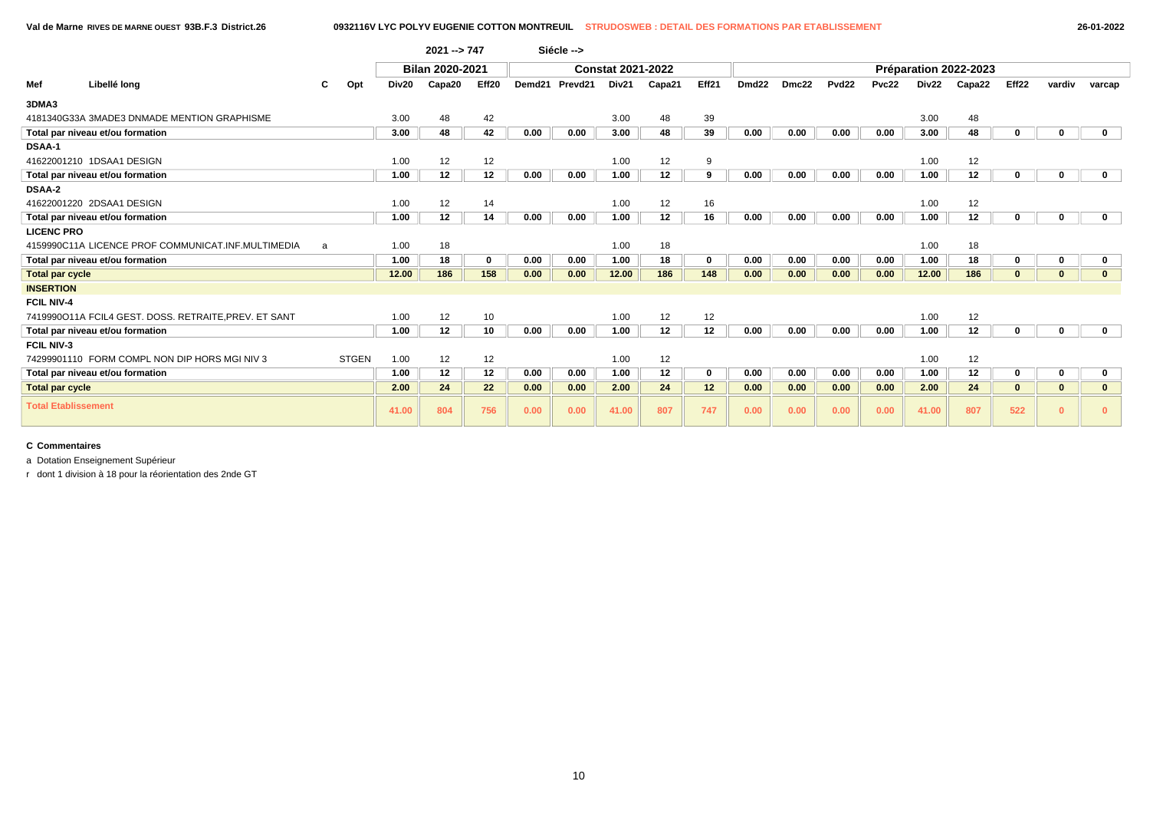|                                                               |       | $2021 - 747$           |             |        | Siécle -->          |                          |        |             |                   |       |                   |       |                   |                       |             |              |              |
|---------------------------------------------------------------|-------|------------------------|-------------|--------|---------------------|--------------------------|--------|-------------|-------------------|-------|-------------------|-------|-------------------|-----------------------|-------------|--------------|--------------|
|                                                               |       | <b>Bilan 2020-2021</b> |             |        |                     | <b>Constat 2021-2022</b> |        |             |                   |       |                   |       |                   | Préparation 2022-2023 |             |              |              |
| Libellé long<br>Mef<br>Opt                                    | Div20 | Capa20                 | Eff20       | Demd21 | Prevd <sub>21</sub> | Div21                    | Capa21 | Eff21       | Dmd <sub>22</sub> | Dmc22 | Pvd <sub>22</sub> | Pvc22 | Div <sub>22</sub> | Capa22                | Eff22       | vardiv       | varcap       |
| 3DMA3                                                         |       |                        |             |        |                     |                          |        |             |                   |       |                   |       |                   |                       |             |              |              |
| 4181340G33A 3MADE3 DNMADE MENTION GRAPHISME                   | 3.00  | 48                     | 42          |        |                     | 3.00                     | 48     | 39          |                   |       |                   |       | 3.00              | 48                    |             |              |              |
| Total par niveau et/ou formation                              | 3.00  | 48                     | 42          | 0.00   | 0.00                | 3.00                     | 48     | 39          | 0.00              | 0.00  | 0.00              | 0.00  | 3.00              | 48                    | 0           | 0            | $\mathbf 0$  |
| <b>DSAA-1</b>                                                 |       |                        |             |        |                     |                          |        |             |                   |       |                   |       |                   |                       |             |              |              |
| 41622001210 1DSAA1 DESIGN                                     | 1.00  | 12                     | 12          |        |                     | 1.00                     | 12     | 9           |                   |       |                   |       | 1.00              | 12                    |             |              |              |
| Total par niveau et/ou formation                              | 1.00  | 12                     | 12          | 0.00   | 0.00                | 1.00                     | 12     | 9           | 0.00              | 0.00  | 0.00              | 0.00  | 1.00              | 12                    | 0           | 0            | 0            |
| <b>DSAA-2</b>                                                 |       |                        |             |        |                     |                          |        |             |                   |       |                   |       |                   |                       |             |              |              |
| 41622001220 2DSAA1 DESIGN                                     | 1.00  | 12                     | 14          |        |                     | 1.00                     | 12     | 16          |                   |       |                   |       | 1.00              | 12                    |             |              |              |
| Total par niveau et/ou formation                              | 1.00  | 12                     | 14          | 0.00   | 0.00                | 1.00                     | 12     | 16          | 0.00              | 0.00  | 0.00              | 0.00  | 1.00              | 12                    | 0           | 0            | $\mathbf 0$  |
| <b>LICENC PRO</b>                                             |       |                        |             |        |                     |                          |        |             |                   |       |                   |       |                   |                       |             |              |              |
| 4159990C11A LICENCE PROF COMMUNICAT.INF.MULTIMEDIA<br>a       | 1.00  | 18                     |             |        |                     | 1.00                     | 18     |             |                   |       |                   |       | 1.00              | 18                    |             |              |              |
| Total par niveau et/ou formation                              | 1.00  | 18                     | $\mathbf 0$ | 0.00   | 0.00                | 1.00                     | 18     | $\mathbf 0$ | 0.00              | 0.00  | 0.00              | 0.00  | 1.00              | 18                    | $\mathbf 0$ | $\mathbf 0$  | 0            |
| <b>Total par cycle</b>                                        | 12.00 | 186                    | 158         | 0.00   | 0.00                | 12.00                    | 186    | 148         | 0.00              | 0.00  | 0.00              | 0.00  | 12.00             | 186                   | $\bf{0}$    | $\bf{0}$     | $\mathbf{0}$ |
| <b>INSERTION</b>                                              |       |                        |             |        |                     |                          |        |             |                   |       |                   |       |                   |                       |             |              |              |
| <b>FCIL NIV-4</b>                                             |       |                        |             |        |                     |                          |        |             |                   |       |                   |       |                   |                       |             |              |              |
| 7419990O11A FCIL4 GEST. DOSS. RETRAITE, PREV. ET SANT         | 1.00  | 12                     | 10          |        |                     | 1.00                     | 12     | 12          |                   |       |                   |       | 1.00              | 12                    |             |              |              |
| Total par niveau et/ou formation                              | 1.00  | 12                     | 10          | 0.00   | 0.00                | 1.00                     | 12     | 12          | 0.00              | 0.00  | 0.00              | 0.00  | 1.00              | 12                    | 0           | 0            | $\mathbf 0$  |
| <b>FCIL NIV-3</b>                                             |       |                        |             |        |                     |                          |        |             |                   |       |                   |       |                   |                       |             |              |              |
| <b>STGEN</b><br>74299901110 FORM COMPL NON DIP HORS MGI NIV 3 | 1.00  | 12                     | 12          |        |                     | 1.00                     | 12     |             |                   |       |                   |       | 1.00              | 12                    |             |              |              |
| Total par niveau et/ou formation                              | 1.00  | 12                     | 12          | 0.00   | 0.00                | 1.00                     | 12     | $\mathbf 0$ | 0.00              | 0.00  | 0.00              | 0.00  | 1.00              | 12                    | 0           | 0            | 0            |
| <b>Total par cycle</b>                                        | 2.00  | 24                     | 22          | 0.00   | 0.00                | 2.00                     | 24     | 12          | 0.00              | 0.00  | 0.00              | 0.00  | 2.00              | 24                    | $\bf{0}$    | $\mathbf{0}$ | $\bf{0}$     |
| <b>Total Etablissement</b>                                    | 41.00 | 804                    | 756         | 0.00   | 0.00                | 41.00                    | 807    | 747         | 0.00              | 0.00  | 0.00              | 0.00  | 41.00             | 807                   | 522         | $\mathbf{0}$ | $\Omega$     |

a Dotation Enseignement Supérieur

r dont 1 division à 18 pour la réorientation des 2nde GT

10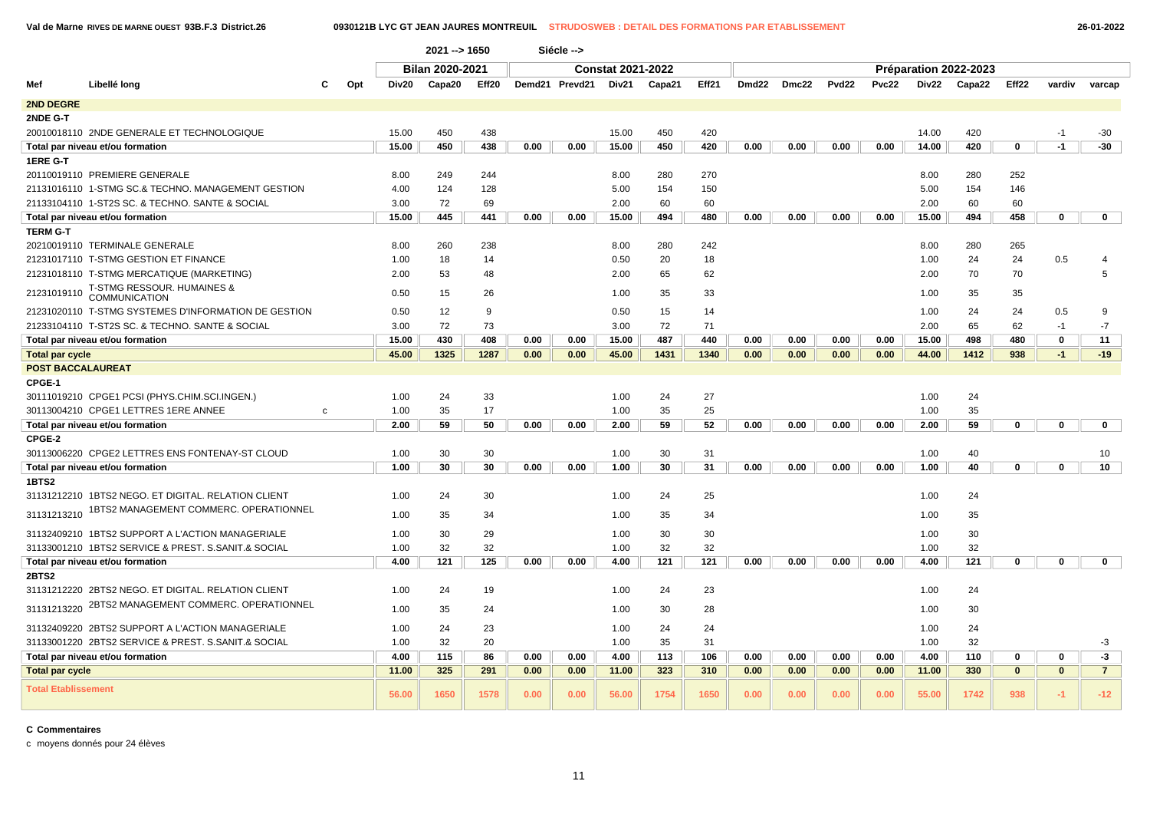**Val de Marne RIVES DE MARNE OUEST 93B.F.3 District.26 0930121B LYC GT JEAN JAURES MONTREUIL STRUDOSWEB : DETAIL DES FORMATIONS PAR ETABLISSEMENT 26-01-2022**

|                            |                                                      |              |       | $2021 - 1650$          |       |      | Siécle -->     |                          |        |       |                   |       |                   |              |       |                       |              |              |                |
|----------------------------|------------------------------------------------------|--------------|-------|------------------------|-------|------|----------------|--------------------------|--------|-------|-------------------|-------|-------------------|--------------|-------|-----------------------|--------------|--------------|----------------|
|                            |                                                      |              |       | <b>Bilan 2020-2021</b> |       |      |                | <b>Constat 2021-2022</b> |        |       |                   |       |                   |              |       | Préparation 2022-2023 |              |              |                |
| Mef                        | Libellé long                                         | Opt          | Div20 | Capa20                 | Eff20 |      | Demd21 Prevd21 | Div21                    | Capa21 | Eff21 | Dmd <sub>22</sub> | Dmc22 | Pvd <sub>22</sub> | <b>Pvc22</b> | Div22 | Capa22                | Eff22        | vardiv       | varcap         |
| 2ND DEGRE                  |                                                      |              |       |                        |       |      |                |                          |        |       |                   |       |                   |              |       |                       |              |              |                |
| 2NDE G-T                   |                                                      |              |       |                        |       |      |                |                          |        |       |                   |       |                   |              |       |                       |              |              |                |
|                            | 20010018110 2NDE GENERALE ET TECHNOLOGIQUE           |              | 15.00 | 450                    | 438   |      |                | 15.00                    | 450    | 420   |                   |       |                   |              | 14.00 | 420                   |              | $-1$         | $-30$          |
|                            | Total par niveau et/ou formation                     |              | 15.00 | 450                    | 438   | 0.00 | 0.00           | 15.00                    | 450    | 420   | 0.00              | 0.00  | 0.00              | 0.00         | 14.00 | 420                   | $\mathbf 0$  | $-1$         | $-30$          |
| 1ERE G-T                   |                                                      |              |       |                        |       |      |                |                          |        |       |                   |       |                   |              |       |                       |              |              |                |
|                            | 20110019110 PREMIERE GENERALE                        |              | 8.00  | 249                    | 244   |      |                | 8.00                     | 280    | 270   |                   |       |                   |              | 8.00  | 280                   | 252          |              |                |
|                            | 21131016110 1-STMG SC.& TECHNO. MANAGEMENT GESTION   |              | 4.00  | 124                    | 128   |      |                | 5.00                     | 154    | 150   |                   |       |                   |              | 5.00  | 154                   | 146          |              |                |
|                            | 21133104110 1-ST2S SC. & TECHNO. SANTE & SOCIAL      |              | 3.00  | 72                     | 69    |      |                | 2.00                     | 60     | 60    |                   |       |                   |              | 2.00  | 60                    | 60           |              |                |
|                            | Total par niveau et/ou formation                     |              | 15.00 | 445                    | 441   | 0.00 | 0.00           | 15.00                    | 494    | 480   | 0.00              | 0.00  | 0.00              | 0.00         | 15.00 | 494                   | 458          | $\mathbf 0$  | $\mathbf 0$    |
| <b>TERM G-T</b>            |                                                      |              |       |                        |       |      |                |                          |        |       |                   |       |                   |              |       |                       |              |              |                |
|                            | 20210019110 TERMINALE GENERALE                       |              | 8.00  | 260                    | 238   |      |                | 8.00                     | 280    | 242   |                   |       |                   |              | 8.00  | 280                   | 265          |              |                |
|                            | 21231017110 T-STMG GESTION ET FINANCE                |              | 1.00  | 18                     | 14    |      |                | 0.50                     | 20     | 18    |                   |       |                   |              | 1.00  | 24                    | 24           | 0.5          |                |
|                            | 21231018110 T-STMG MERCATIQUE (MARKETING)            |              | 2.00  | 53                     | 48    |      |                | 2.00                     | 65     | 62    |                   |       |                   |              | 2.00  | 70                    | 70           |              | 5              |
| 21231019110                | T-STMG RESSOUR. HUMAINES &<br><b>COMMUNICATION</b>   |              | 0.50  | 15                     | 26    |      |                | 1.00                     | 35     | 33    |                   |       |                   |              | 1.00  | 35                    | 35           |              |                |
|                            | 21231020110 T-STMG SYSTEMES D'INFORMATION DE GESTION |              | 0.50  | 12                     | 9     |      |                | 0.50                     | 15     | 14    |                   |       |                   |              | 1.00  | 24                    | 24           | 0.5          | 9              |
|                            | 21233104110 T-ST2S SC. & TECHNO. SANTE & SOCIAL      |              | 3.00  | 72                     | 73    |      |                | 3.00                     | 72     | 71    |                   |       |                   |              | 2.00  | 65                    | 62           | $-1$         | $-7$           |
|                            | Total par niveau et/ou formation                     |              | 15.00 | 430                    | 408   | 0.00 | 0.00           | 15.00                    | 487    | 440   | 0.00              | 0.00  | 0.00              | 0.00         | 15.00 | 498                   | 480          | 0            | 11             |
| <b>Total par cycle</b>     |                                                      |              | 45.00 | 1325                   | 1287  | 0.00 | 0.00           | 45.00                    | 1431   | 1340  | 0.00              | 0.00  | 0.00              | 0.00         | 44.00 | 1412                  | 938          | $-1$         | $-19$          |
| <b>POST BACCALAUREAT</b>   |                                                      |              |       |                        |       |      |                |                          |        |       |                   |       |                   |              |       |                       |              |              |                |
| CPGE-1                     |                                                      |              |       |                        |       |      |                |                          |        |       |                   |       |                   |              |       |                       |              |              |                |
|                            | 30111019210 CPGE1 PCSI (PHYS.CHIM.SCI.INGEN.)        |              | 1.00  | 24                     | 33    |      |                | 1.00                     | 24     | 27    |                   |       |                   |              | 1.00  | 24                    |              |              |                |
|                            | 30113004210 CPGE1 LETTRES 1ERE ANNEE                 | $\mathbf{C}$ | 1.00  | 35                     | 17    |      |                | 1.00                     | 35     | 25    |                   |       |                   |              | 1.00  | 35                    |              |              |                |
|                            | Total par niveau et/ou formation                     |              | 2.00  | 59                     | 50    | 0.00 | 0.00           | 2.00                     | 59     | 52    | 0.00              | 0.00  | 0.00              | 0.00         | 2.00  | 59                    | $\mathbf 0$  | $\mathbf{0}$ | $\mathbf{0}$   |
| CPGE-2                     |                                                      |              |       |                        |       |      |                |                          |        |       |                   |       |                   |              |       |                       |              |              |                |
|                            | 30113006220 CPGE2 LETTRES ENS FONTENAY-ST CLOUD      |              | 1.00  | 30                     | 30    |      |                | 1.00                     | 30     | 31    |                   |       |                   |              | 1.00  | 40                    |              |              | 10             |
|                            | Total par niveau et/ou formation                     |              | 1.00  | 30                     | 30    | 0.00 | 0.00           | 1.00                     | 30     | 31    | 0.00              | 0.00  | 0.00              | 0.00         | 1.00  | 40                    | 0            | $\mathbf 0$  | 10             |
| 1BTS2                      |                                                      |              |       |                        |       |      |                |                          |        |       |                   |       |                   |              |       |                       |              |              |                |
|                            | 31131212210 1BTS2 NEGO. ET DIGITAL. RELATION CLIENT  |              | 1.00  | 24                     | 30    |      |                | 1.00                     | 24     | 25    |                   |       |                   |              | 1.00  | 24                    |              |              |                |
| 31131213210                | 1BTS2 MANAGEMENT COMMERC. OPERATIONNEL               |              | 1.00  | 35                     | 34    |      |                | 1.00                     | 35     | 34    |                   |       |                   |              | 1.00  | 35                    |              |              |                |
|                            | 31132409210 1BTS2 SUPPORT A L'ACTION MANAGERIALE     |              | 1.00  | 30                     | 29    |      |                | 1.00                     | 30     | 30    |                   |       |                   |              | 1.00  | 30                    |              |              |                |
|                            | 31133001210 1BTS2 SERVICE & PREST. S.SANIT.& SOCIAL  |              | 1.00  | 32                     | 32    |      |                | 1.00                     | 32     | 32    |                   |       |                   |              | 1.00  | 32                    |              |              |                |
|                            | Total par niveau et/ou formation                     |              | 4.00  | 121                    | 125   | 0.00 | 0.00           | 4.00                     | 121    | 121   | 0.00              | 0.00  | 0.00              | 0.00         | 4.00  | 121                   | $\mathbf 0$  | $\mathbf 0$  | $\mathbf 0$    |
| <b>2BTS2</b>               |                                                      |              |       |                        |       |      |                |                          |        |       |                   |       |                   |              |       |                       |              |              |                |
|                            | 31131212220 2BTS2 NEGO, ET DIGITAL, RELATION CLIENT  |              | 1.00  | 24                     | 19    |      |                | 1.00                     | 24     | 23    |                   |       |                   |              | 1.00  | 24                    |              |              |                |
| 31131213220                | 2BTS2 MANAGEMENT COMMERC. OPERATIONNEL               |              | 1.00  | 35                     | 24    |      |                | 1.00                     | 30     | 28    |                   |       |                   |              | 1.00  | 30                    |              |              |                |
|                            | 31132409220 2BTS2 SUPPORT A L'ACTION MANAGERIALE     |              | 1.00  | 24                     | 23    |      |                | 1.00                     | 24     | 24    |                   |       |                   |              | 1.00  | 24                    |              |              |                |
|                            | 31133001220 2BTS2 SERVICE & PREST, S.SANIT.& SOCIAL  |              | 1.00  | 32                     | 20    |      |                | 1.00                     | 35     | 31    |                   |       |                   |              | 1.00  | 32                    |              |              | -3             |
|                            | Total par niveau et/ou formation                     |              | 4.00  | 115                    | 86    | 0.00 | 0.00           | 4.00                     | 113    | 106   | 0.00              | 0.00  | 0.00              | 0.00         | 4.00  | 110                   | $\mathbf 0$  | $\mathbf 0$  | $-3$           |
| <b>Total par cycle</b>     |                                                      |              | 11.00 | 325                    | 291   | 0.00 | 0.00           | 11.00                    | 323    | 310   | 0.00              | 0.00  | 0.00              | 0.00         | 11.00 | 330                   | $\mathbf{0}$ | $\mathbf{0}$ | $\overline{7}$ |
|                            |                                                      |              |       |                        |       |      |                |                          |        |       |                   |       |                   |              |       |                       |              |              |                |
| <b>Total Etablissement</b> |                                                      |              | 56.00 | 1650                   | 1578  | 0.00 | 0.00           | 56.00                    | 1754   | 1650  | 0.00              | 0.00  | 0.00              | 0.00         | 55.00 | 1742                  | 938          | $-1$         | $-12$          |

**C Commentaires**

c moyens donnés pour 24 élèves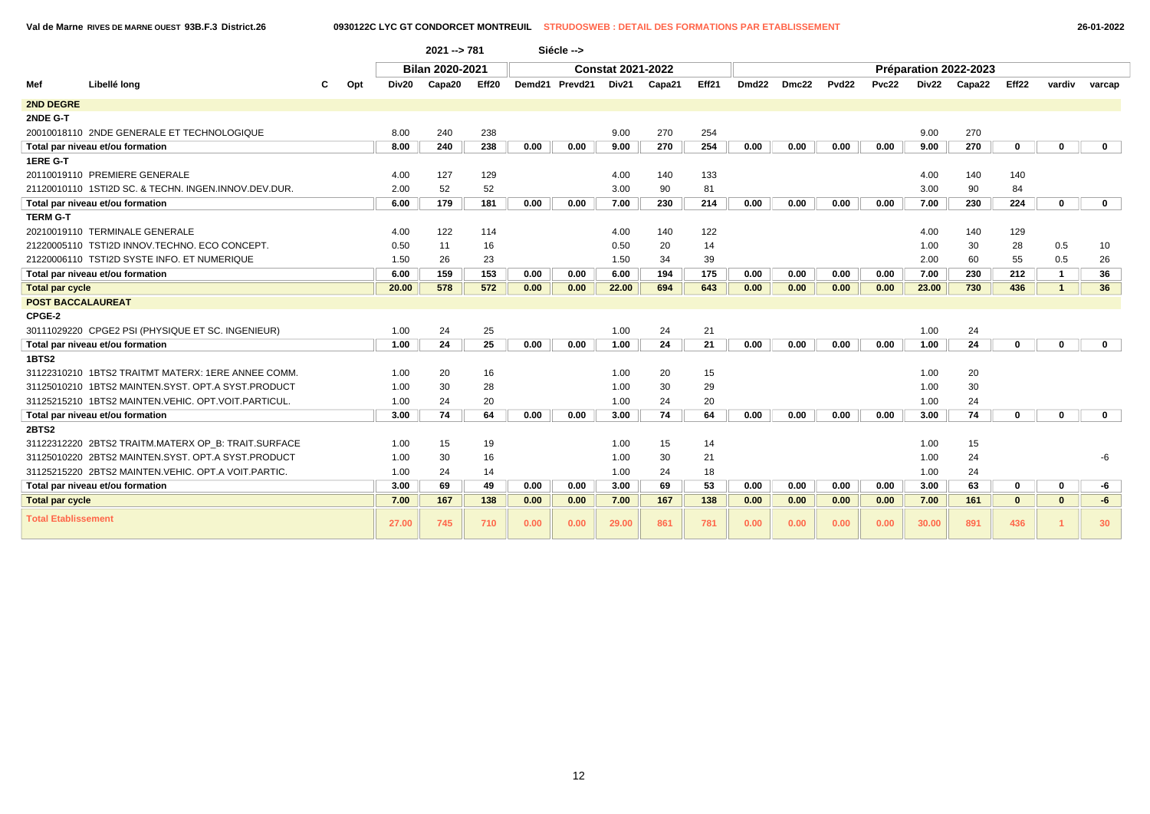**Val de Marne RIVES DE MARNE OUEST 93B.F.3 District.26 0930122C LYC GT CONDORCET MONTREUIL STRUDOSWEB : DETAIL DES FORMATIONS PAR ETABLISSEMENT 26-01-2022**

|                            |                                                      |       | 2021 -- > 781   |       |      | Siécle -->     |                          |        |       |                   |       |                   |       |       |                       |             |              |              |
|----------------------------|------------------------------------------------------|-------|-----------------|-------|------|----------------|--------------------------|--------|-------|-------------------|-------|-------------------|-------|-------|-----------------------|-------------|--------------|--------------|
|                            |                                                      |       | Bilan 2020-2021 |       |      |                | <b>Constat 2021-2022</b> |        |       |                   |       |                   |       |       | Préparation 2022-2023 |             |              |              |
| Mef                        | Libellé long<br>Opt                                  | Div20 | Capa20          | Eff20 |      | Demd21 Prevd21 | Div21                    | Capa21 | Eff21 | Dmd <sub>22</sub> | Dmc22 | Pvd <sub>22</sub> | Pvc22 | Div22 | Capa22                | Eff22       | vardiv       | varcap       |
| <b>2ND DEGRE</b>           |                                                      |       |                 |       |      |                |                          |        |       |                   |       |                   |       |       |                       |             |              |              |
| 2NDE G-T                   |                                                      |       |                 |       |      |                |                          |        |       |                   |       |                   |       |       |                       |             |              |              |
|                            | 20010018110 2NDE GENERALE ET TECHNOLOGIQUE           | 8.00  | 240             | 238   |      |                | 9.00                     | 270    | 254   |                   |       |                   |       | 9.00  | 270                   |             |              |              |
|                            | Total par niveau et/ou formation                     | 8.00  | 240             | 238   | 0.00 | 0.00           | 9.00                     | 270    | 254   | 0.00              | 0.00  | 0.00              | 0.00  | 9.00  | 270                   | 0           | $\mathbf{0}$ | $\mathbf 0$  |
| <b>1ERE G-T</b>            |                                                      |       |                 |       |      |                |                          |        |       |                   |       |                   |       |       |                       |             |              |              |
|                            | 20110019110 PREMIERE GENERALE                        | 4.00  | 127             | 129   |      |                | 4.00                     | 140    | 133   |                   |       |                   |       | 4.00  | 140                   | 140         |              |              |
|                            | 21120010110 1STI2D SC. & TECHN. INGEN.INNOV.DEV.DUR. | 2.00  | 52              | 52    |      |                | 3.00                     | 90     | 81    |                   |       |                   |       | 3.00  | 90                    | 84          |              |              |
|                            | Total par niveau et/ou formation                     | 6.00  | 179             | 181   | 0.00 | 0.00           | 7.00                     | 230    | 214   | 0.00              | 0.00  | 0.00              | 0.00  | 7.00  | 230                   | 224         | $\mathbf 0$  | $\mathbf{0}$ |
| <b>TERM G-T</b>            |                                                      |       |                 |       |      |                |                          |        |       |                   |       |                   |       |       |                       |             |              |              |
|                            | 20210019110 TERMINALE GENERALE                       | 4.00  | 122             | 114   |      |                | 4.00                     | 140    | 122   |                   |       |                   |       | 4.00  | 140                   | 129         |              |              |
|                            | 21220005110 TSTI2D INNOV.TECHNO. ECO CONCEPT.        | 0.50  | 11              | 16    |      |                | 0.50                     | 20     | 14    |                   |       |                   |       | 1.00  | 30                    | 28          | 0.5          | 10           |
|                            | 21220006110 TSTI2D SYSTE INFO. ET NUMERIQUE          | 1.50  | 26              | 23    |      |                | 1.50                     | 34     | 39    |                   |       |                   |       | 2.00  | 60                    | 55          | 0.5          | 26           |
|                            | Total par niveau et/ou formation                     | 6.00  | 159             | 153   | 0.00 | 0.00           | 6.00                     | 194    | 175   | 0.00              | 0.00  | 0.00              | 0.00  | 7.00  | 230                   | 212         | $\mathbf{1}$ | 36           |
| <b>Total par cycle</b>     |                                                      | 20.00 | 578             | 572   | 0.00 | 0.00           | 22.00                    | 694    | 643   | 0.00              | 0.00  | 0.00              | 0.00  | 23.00 | 730                   | 436         | $\mathbf{1}$ | 36           |
| <b>POST BACCALAUREAT</b>   |                                                      |       |                 |       |      |                |                          |        |       |                   |       |                   |       |       |                       |             |              |              |
| CPGE-2                     |                                                      |       |                 |       |      |                |                          |        |       |                   |       |                   |       |       |                       |             |              |              |
|                            | 30111029220 CPGE2 PSI (PHYSIQUE ET SC. INGENIEUR)    | 1.00  | 24              | 25    |      |                | 1.00                     | 24     | 21    |                   |       |                   |       | 1.00  | 24                    |             |              |              |
|                            | Total par niveau et/ou formation                     | 1.00  | 24              | 25    | 0.00 | 0.00           | 1.00                     | 24     | 21    | 0.00              | 0.00  | 0.00              | 0.00  | 1.00  | 24                    | $\mathbf 0$ | $\mathbf 0$  | $\mathbf{0}$ |
| 1BTS2                      |                                                      |       |                 |       |      |                |                          |        |       |                   |       |                   |       |       |                       |             |              |              |
|                            | 31122310210 1BTS2 TRAITMT MATERX: 1ERE ANNEE COMM.   | 1.00  | 20              | 16    |      |                | 1.00                     | 20     | 15    |                   |       |                   |       | 1.00  | 20                    |             |              |              |
|                            | 31125010210 1BTS2 MAINTEN.SYST, OPT.A SYST.PRODUCT   | 1.00  | 30              | 28    |      |                | 1.00                     | 30     | 29    |                   |       |                   |       | 1.00  | 30                    |             |              |              |
|                            | 31125215210 1BTS2 MAINTEN.VEHIC. OPT.VOIT.PARTICUL.  | 1.00  | 24              | 20    |      |                | 1.00                     | 24     | 20    |                   |       |                   |       | 1.00  | 24                    |             |              |              |
|                            | Total par niveau et/ou formation                     | 3.00  | 74              | 64    | 0.00 | 0.00           | 3.00                     | 74     | 64    | 0.00              | 0.00  | 0.00              | 0.00  | 3.00  | 74                    | 0           | $\Omega$     | $\mathbf{0}$ |
| <b>2BTS2</b>               |                                                      |       |                 |       |      |                |                          |        |       |                   |       |                   |       |       |                       |             |              |              |
|                            | 31122312220 2BTS2 TRAITM.MATERX OP B: TRAIT.SURFACE  | 1.00  | 15              | 19    |      |                | 1.00                     | 15     | 14    |                   |       |                   |       | 1.00  | 15                    |             |              |              |
|                            | 31125010220 2BTS2 MAINTEN.SYST, OPT.A SYST.PRODUCT   | 1.00  | 30              | 16    |      |                | 1.00                     | 30     | 21    |                   |       |                   |       | 1.00  | 24                    |             |              | -6           |
|                            | 31125215220 2BTS2 MAINTEN.VEHIC, OPT.A VOIT.PARTIC.  | 1.00  | 24              | 14    |      |                | 1.00                     | 24     | 18    |                   |       |                   |       | 1.00  | 24                    |             |              |              |
|                            | Total par niveau et/ou formation                     | 3.00  | 69              | 49    | 0.00 | 0.00           | 3.00                     | 69     | 53    | 0.00              | 0.00  | 0.00              | 0.00  | 3.00  | 63                    | 0           | $\mathbf 0$  | -6           |
| <b>Total par cycle</b>     |                                                      | 7.00  | 167             | 138   | 0.00 | 0.00           | 7.00                     | 167    | 138   | 0.00              | 0.00  | 0.00              | 0.00  | 7.00  | 161                   | $\bf{0}$    | $\mathbf{0}$ | $-6$         |
| <b>Total Etablissement</b> |                                                      | 27.00 | 745             | 710   | 0.00 | 0.00           | 29.00                    | 861    | 781   | 0.00              | 0.00  | 0.00              | 0.00  | 30.00 | 891                   | 436         |              | 30           |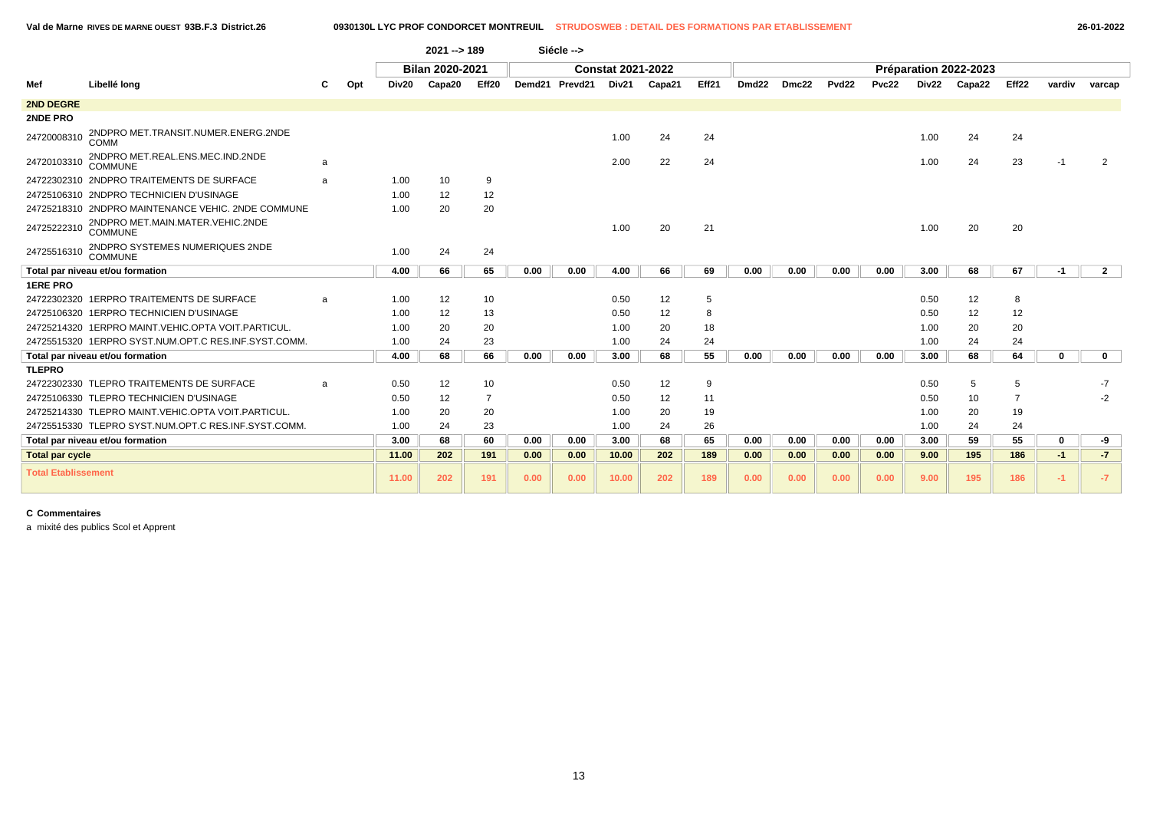|                            |                                                      |   |     |       | $2021 - 189$           |       |      | Siécle -->     |                          |        |       |       |       |                   |       |       |                       |       |        |              |
|----------------------------|------------------------------------------------------|---|-----|-------|------------------------|-------|------|----------------|--------------------------|--------|-------|-------|-------|-------------------|-------|-------|-----------------------|-------|--------|--------------|
|                            |                                                      |   |     |       | <b>Bilan 2020-2021</b> |       |      |                | <b>Constat 2021-2022</b> |        |       |       |       |                   |       |       | Préparation 2022-2023 |       |        |              |
| Mef                        | Libellé long                                         |   | Opt | Div20 | Capa20                 | Eff20 |      | Demd21 Prevd21 | Div21                    | Capa21 | Eff21 | Dmd22 | Dmc22 | Pvd <sub>22</sub> | Pvc22 | Div22 | Capa22                | Eff22 | vardiv | varcap       |
| <b>2ND DEGRE</b>           |                                                      |   |     |       |                        |       |      |                |                          |        |       |       |       |                   |       |       |                       |       |        |              |
| <b>2NDE PRO</b>            |                                                      |   |     |       |                        |       |      |                |                          |        |       |       |       |                   |       |       |                       |       |        |              |
| 24720008310                | 2NDPRO MET.TRANSIT.NUMER.ENERG.2NDE<br>COMM          |   |     |       |                        |       |      |                | 1.00                     | 24     | 24    |       |       |                   |       | 1.00  | 24                    | 24    |        |              |
| 24720103310                | 2NDPRO MET.REAL.ENS.MEC.IND.2NDE<br>COMMUNE          | a |     |       |                        |       |      |                | 2.00                     | 22     | 24    |       |       |                   |       | 1.00  | 24                    | 23    | -1     |              |
|                            | 24722302310 2NDPRO TRAITEMENTS DE SURFACE            | a |     | 1.00  | 10                     | 9     |      |                |                          |        |       |       |       |                   |       |       |                       |       |        |              |
|                            | 24725106310 2NDPRO TECHNICIEN D'USINAGE              |   |     | 1.00  | 12                     | 12    |      |                |                          |        |       |       |       |                   |       |       |                       |       |        |              |
|                            | 24725218310 2NDPRO MAINTENANCE VEHIC. 2NDE COMMUNE   |   |     | 1.00  | 20                     | 20    |      |                |                          |        |       |       |       |                   |       |       |                       |       |        |              |
| 24725222310                | 2NDPRO MET.MAIN.MATER.VEHIC.2NDE<br><b>COMMUNE</b>   |   |     |       |                        |       |      |                | 1.00                     | 20     | 21    |       |       |                   |       | 1.00  | 20                    | 20    |        |              |
| 24725516310                | 2NDPRO SYSTEMES NUMERIQUES 2NDE<br>COMMUNE           |   |     | 1.00  | 24                     | 24    |      |                |                          |        |       |       |       |                   |       |       |                       |       |        |              |
|                            | Total par niveau et/ou formation                     |   |     | 4.00  | 66                     | 65    | 0.00 | 0.00           | 4.00                     | 66     | 69    | 0.00  | 0.00  | 0.00              | 0.00  | 3.00  | 68                    | 67    | -1     | $\mathbf{2}$ |
| <b>1ERE PRO</b>            |                                                      |   |     |       |                        |       |      |                |                          |        |       |       |       |                   |       |       |                       |       |        |              |
|                            | 24722302320 1ERPRO TRAITEMENTS DE SURFACE            | a |     | 1.00  | 12                     | 10    |      |                | 0.50                     | 12     | 5     |       |       |                   |       | 0.50  | 12                    | 8     |        |              |
|                            | 24725106320 1ERPRO TECHNICIEN D'USINAGE              |   |     | 1.00  | 12                     | 13    |      |                | 0.50                     | 12     | 8     |       |       |                   |       | 0.50  | 12                    | 12    |        |              |
|                            | 24725214320 1ERPRO MAINT.VEHIC.OPTA VOIT.PARTICUL.   |   |     | 1.00  | 20                     | 20    |      |                | 1.00                     | 20     | 18    |       |       |                   |       | 1.00  | 20                    | 20    |        |              |
|                            | 24725515320 1ERPRO SYST.NUM.OPT.C RES.INF.SYST.COMM. |   |     | 1.00  | 24                     | 23    |      |                | 1.00                     | 24     | 24    |       |       |                   |       | 1.00  | 24                    | 24    |        |              |
|                            | Total par niveau et/ou formation                     |   |     | 4.00  | 68                     | 66    | 0.00 | 0.00           | 3.00                     | 68     | 55    | 0.00  | 0.00  | 0.00              | 0.00  | 3.00  | 68                    | 64    | 0      | $\mathbf 0$  |
| <b>TLEPRO</b>              |                                                      |   |     |       |                        |       |      |                |                          |        |       |       |       |                   |       |       |                       |       |        |              |
|                            | 24722302330 TLEPRO TRAITEMENTS DE SURFACE            | a |     | 0.50  | 12                     | 10    |      |                | 0.50                     | 12     | 9     |       |       |                   |       | 0.50  | 5                     | 5     |        | $-7$         |
|                            | 24725106330 TLEPRO TECHNICIEN D'USINAGE              |   |     | 0.50  | 12                     | 7     |      |                | 0.50                     | 12     | 11    |       |       |                   |       | 0.50  | 10                    | 7     |        | $-2$         |
|                            | 24725214330 TLEPRO MAINT.VEHIC.OPTA VOIT.PARTICUL.   |   |     | 1.00  | 20                     | 20    |      |                | 1.00                     | 20     | 19    |       |       |                   |       | 1.00  | 20                    | 19    |        |              |
|                            | 24725515330 TLEPRO SYST.NUM.OPT.C RES.INF.SYST.COMM. |   |     | 1.00  | 24                     | 23    |      |                | 1.00                     | 24     | 26    |       |       |                   |       | 1.00  | 24                    | 24    |        |              |
|                            | Total par niveau et/ou formation                     |   |     | 3.00  | 68                     | 60    | 0.00 | 0.00           | 3.00                     | 68     | 65    | 0.00  | 0.00  | 0.00              | 0.00  | 3.00  | 59                    | 55    | 0      | -9           |
| <b>Total par cycle</b>     |                                                      |   |     | 11.00 | 202                    | 191   | 0.00 | 0.00           | 10.00                    | 202    | 189   | 0.00  | 0.00  | 0.00              | 0.00  | 9.00  | 195                   | 186   | $-1$   | $-7$         |
| <b>Total Etablissement</b> |                                                      |   |     | 11.00 | 202                    | 191   | 0.00 | 0.00           | 10.00                    | 202    | 189   | 0.00  | 0.00  | 0.00              | 0.00  | 9.00  | 195                   | 186   | $-1$   | $-7$         |

a mixité des publics Scol et Apprent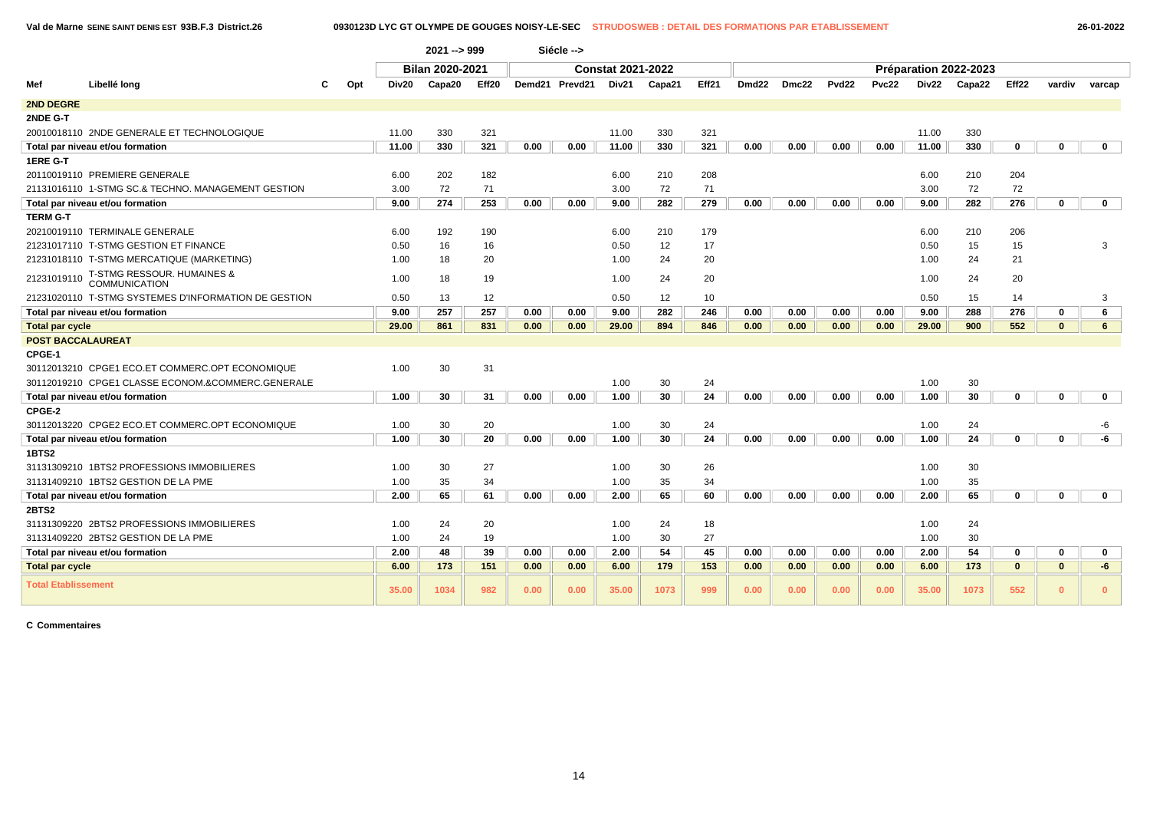**Val de Marne SEINE SAINT DENIS EST 93B.F.3 District.26 0930123D LYC GT OLYMPE DE GOUGES NOISY-LE-SEC STRUDOSWEB : DETAIL DES FORMATIONS PAR ETABLISSEMENT 26-01-2022**

|                            |                                                      |     |       | $2021 - 999$    |       |      | Siécle -->     |                          |        |       |                   |       |              |              |       |                       |              |              |              |
|----------------------------|------------------------------------------------------|-----|-------|-----------------|-------|------|----------------|--------------------------|--------|-------|-------------------|-------|--------------|--------------|-------|-----------------------|--------------|--------------|--------------|
|                            |                                                      |     |       | Bilan 2020-2021 |       |      |                | <b>Constat 2021-2022</b> |        |       |                   |       |              |              |       | Préparation 2022-2023 |              |              |              |
| Mef                        | Libellé long                                         | Opt | Div20 | Capa20          | Eff20 |      | Demd21 Prevd21 | Div21                    | Capa21 | Eff21 | Dmd <sub>22</sub> | Dmc22 | <b>Pvd22</b> | <b>Pvc22</b> | Div22 | Capa22                | Eff22        | vardiv       | varcap       |
| <b>2ND DEGRE</b>           |                                                      |     |       |                 |       |      |                |                          |        |       |                   |       |              |              |       |                       |              |              |              |
| 2NDE G-T                   |                                                      |     |       |                 |       |      |                |                          |        |       |                   |       |              |              |       |                       |              |              |              |
|                            | 20010018110 2NDE GENERALE ET TECHNOLOGIQUE           |     | 11.00 | 330             | 321   |      |                | 11.00                    | 330    | 321   |                   |       |              |              | 11.00 | 330                   |              |              |              |
|                            | Total par niveau et/ou formation                     |     | 11.00 | 330             | 321   | 0.00 | 0.00           | 11.00                    | 330    | 321   | 0.00              | 0.00  | 0.00         | 0.00         | 11.00 | 330                   | $\mathbf 0$  | $\mathbf 0$  | $\mathbf{0}$ |
| 1ERE G-T                   |                                                      |     |       |                 |       |      |                |                          |        |       |                   |       |              |              |       |                       |              |              |              |
|                            | 20110019110 PREMIERE GENERALE                        |     | 6.00  | 202             | 182   |      |                | 6.00                     | 210    | 208   |                   |       |              |              | 6.00  | 210                   | 204          |              |              |
|                            | 21131016110 1-STMG SC.& TECHNO, MANAGEMENT GESTION   |     | 3.00  | 72              | 71    |      |                | 3.00                     | 72     | 71    |                   |       |              |              | 3.00  | 72                    | 72           |              |              |
|                            | Total par niveau et/ou formation                     |     | 9.00  | 274             | 253   | 0.00 | 0.00           | 9.00                     | 282    | 279   | 0.00              | 0.00  | 0.00         | 0.00         | 9.00  | 282                   | 276          | $\bf{0}$     | $\mathbf{0}$ |
| <b>TERM G-T</b>            |                                                      |     |       |                 |       |      |                |                          |        |       |                   |       |              |              |       |                       |              |              |              |
|                            | 20210019110 TERMINALE GENERALE                       |     | 6.00  | 192             | 190   |      |                | 6.00                     | 210    | 179   |                   |       |              |              | 6.00  | 210                   | 206          |              |              |
|                            | 21231017110 T-STMG GESTION ET FINANCE                |     | 0.50  | 16              | 16    |      |                | 0.50                     | 12     | 17    |                   |       |              |              | 0.50  | 15                    | 15           |              | 3            |
|                            | 21231018110 T-STMG MERCATIQUE (MARKETING)            |     | 1.00  | 18              | 20    |      |                | 1.00                     | 24     | 20    |                   |       |              |              | 1.00  | 24                    | 21           |              |              |
| 21231019110                | T-STMG RESSOUR. HUMAINES & COMMUNICATION             |     | 1.00  | 18              | 19    |      |                | 1.00                     | 24     | 20    |                   |       |              |              | 1.00  | 24                    | 20           |              |              |
|                            | 21231020110 T-STMG SYSTEMES D'INFORMATION DE GESTION |     | 0.50  | 13              | 12    |      |                | 0.50                     | 12     | 10    |                   |       |              |              | 0.50  | 15                    | 14           |              | 3            |
|                            | Total par niveau et/ou formation                     |     | 9.00  | 257             | 257   | 0.00 | 0.00           | 9.00                     | 282    | 246   | 0.00              | 0.00  | 0.00         | 0.00         | 9.00  | 288                   | 276          | 0            | 6            |
| <b>Total par cycle</b>     |                                                      |     | 29.00 | 861             | 831   | 0.00 | 0.00           | 29.00                    | 894    | 846   | 0.00              | 0.00  | 0.00         | 0.00         | 29.00 | 900                   | 552          | $\mathbf{0}$ | 6            |
| <b>POST BACCALAUREAT</b>   |                                                      |     |       |                 |       |      |                |                          |        |       |                   |       |              |              |       |                       |              |              |              |
| CPGE-1                     |                                                      |     |       |                 |       |      |                |                          |        |       |                   |       |              |              |       |                       |              |              |              |
|                            | 30112013210 CPGE1 ECO.ET COMMERC.OPT ECONOMIQUE      |     | 1.00  | 30              | 31    |      |                |                          |        |       |                   |       |              |              |       |                       |              |              |              |
|                            | 30112019210 CPGE1 CLASSE ECONOM.&COMMERC.GENERALE    |     |       |                 |       |      |                | 1.00                     | 30     | 24    |                   |       |              |              | 1.00  | 30                    |              |              |              |
|                            | Total par niveau et/ou formation                     |     | 1.00  | 30              | 31    | 0.00 | 0.00           | 1.00                     | 30     | 24    | 0.00              | 0.00  | 0.00         | 0.00         | 1.00  | 30                    | $\Omega$     | $\mathbf{0}$ | $\mathbf{0}$ |
| CPGE-2                     |                                                      |     |       |                 |       |      |                |                          |        |       |                   |       |              |              |       |                       |              |              |              |
|                            | 30112013220 CPGE2 ECO.ET COMMERC.OPT ECONOMIQUE      |     | 1.00  | 30              | 20    |      |                | 1.00                     | 30     | 24    |                   |       |              |              | 1.00  | 24                    |              |              | -6           |
|                            | Total par niveau et/ou formation                     |     | 1.00  | 30              | 20    | 0.00 | 0.00           | 1.00                     | 30     | 24    | 0.00              | 0.00  | 0.00         | 0.00         | 1.00  | 24                    | $\bf{0}$     | $\bf{0}$     | -6           |
| 1BTS2                      |                                                      |     |       |                 |       |      |                |                          |        |       |                   |       |              |              |       |                       |              |              |              |
|                            | 31131309210 1BTS2 PROFESSIONS IMMOBILIERES           |     | 1.00  | 30              | 27    |      |                | 1.00                     | 30     | 26    |                   |       |              |              | 1.00  | 30                    |              |              |              |
|                            | 31131409210 1BTS2 GESTION DE LA PME                  |     | 1.00  | 35              | 34    |      |                | 1.00                     | 35     | 34    |                   |       |              |              | 1.00  | 35                    |              |              |              |
|                            | Total par niveau et/ou formation                     |     | 2.00  | 65              | 61    | 0.00 | 0.00           | 2.00                     | 65     | 60    | 0.00              | 0.00  | 0.00         | 0.00         | 2.00  | 65                    | $\mathbf 0$  | $\mathbf 0$  | $\mathbf{0}$ |
| <b>2BTS2</b>               |                                                      |     |       |                 |       |      |                |                          |        |       |                   |       |              |              |       |                       |              |              |              |
|                            | 31131309220 2BTS2 PROFESSIONS IMMOBILIERES           |     | 1.00  | 24              | 20    |      |                | 1.00                     | 24     | 18    |                   |       |              |              | 1.00  | 24                    |              |              |              |
|                            | 31131409220 2BTS2 GESTION DE LA PME                  |     | 1.00  | 24              | 19    |      |                | 1.00                     | 30     | 27    |                   |       |              |              | 1.00  | 30                    |              |              |              |
|                            | Total par niveau et/ou formation                     |     | 2.00  | 48              | 39    | 0.00 | 0.00           | 2.00                     | 54     | 45    | 0.00              | 0.00  | 0.00         | 0.00         | 2.00  | 54                    | 0            | 0            | $\mathbf 0$  |
| <b>Total par cycle</b>     |                                                      |     | 6.00  | 173             | 151   | 0.00 | 0.00           | 6.00                     | 179    | 153   | 0.00              | 0.00  | 0.00         | 0.00         | 6.00  | 173                   | $\mathbf{0}$ | $\mathbf{0}$ | -6           |
| <b>Total Etablissement</b> |                                                      |     | 35.00 | 1034            | 982   | 0.00 | 0.00           | 35.00                    | 1073   | 999   | 0.00              | 0.00  | 0.00         | 0.00         | 35.00 | 1073                  | 552          | $\mathbf{0}$ | $\Omega$     |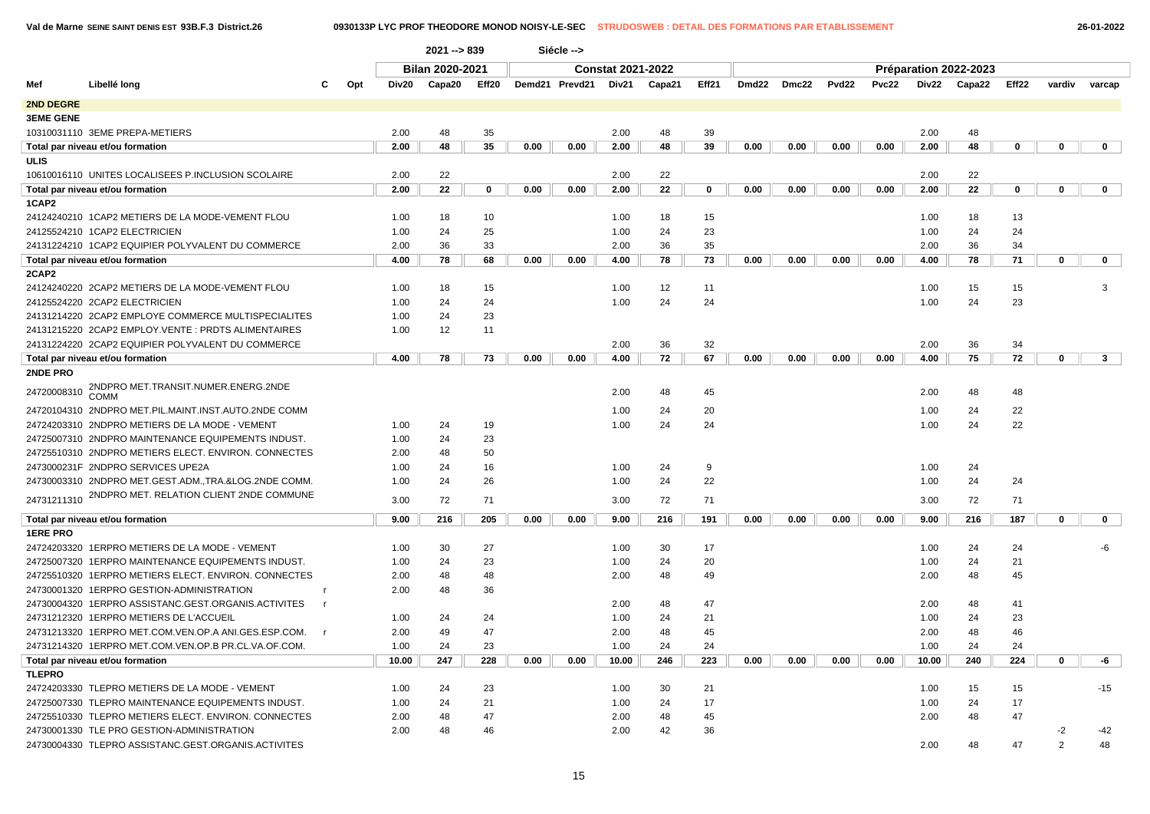|  | 26-01-2022 |
|--|------------|
|--|------------|

|                  |                                                       |              |       | 2021 -- > 839   |       |      | Siécle -->     |                          |        |             |       |       |                   |       |       |                       |             |               |                |
|------------------|-------------------------------------------------------|--------------|-------|-----------------|-------|------|----------------|--------------------------|--------|-------------|-------|-------|-------------------|-------|-------|-----------------------|-------------|---------------|----------------|
|                  |                                                       |              |       | Bilan 2020-2021 |       |      |                | <b>Constat 2021-2022</b> |        |             |       |       |                   |       |       | Préparation 2022-2023 |             |               |                |
| Mef              | Libellé long                                          | Opt          | Div20 | Capa20          | Eff20 |      | Demd21 Prevd21 | Div21                    | Capa21 | Eff21       | Dmd22 | Dmc22 | Pvd <sub>22</sub> | Pvc22 | Div22 | Capa22                | Eff22       | vardiv        | varcap         |
| 2ND DEGRE        |                                                       |              |       |                 |       |      |                |                          |        |             |       |       |                   |       |       |                       |             |               |                |
| <b>3EME GENE</b> |                                                       |              |       |                 |       |      |                |                          |        |             |       |       |                   |       |       |                       |             |               |                |
|                  | 10310031110 3EME PREPA-METIERS                        |              | 2.00  | 48              | 35    |      |                | 2.00                     | 48     | 39          |       |       |                   |       | 2.00  | 48                    |             |               |                |
|                  | Total par niveau et/ou formation                      |              | 2.00  | 48              | 35    | 0.00 | 0.00           | 2.00                     | 48     | 39          | 0.00  | 0.00  | 0.00              | 0.00  | 2.00  | 48                    | 0           | 0             | $\mathbf 0$    |
| <b>ULIS</b>      |                                                       |              |       |                 |       |      |                |                          |        |             |       |       |                   |       |       |                       |             |               |                |
|                  | 10610016110 UNITES LOCALISEES P.INCLUSION SCOLAIRE    |              | 2.00  | 22              |       |      |                | 2.00                     | 22     |             |       |       |                   |       | 2.00  | 22                    |             |               |                |
|                  | Total par niveau et/ou formation                      |              | 2.00  | 22              | 0     | 0.00 | 0.00           | 2.00                     | 22     | $\mathbf 0$ | 0.00  | 0.00  | 0.00              | 0.00  | 2.00  | 22                    | $\mathbf 0$ | $\mathbf{0}$  | $\mathbf 0$    |
| 1CAP2            |                                                       |              |       |                 |       |      |                |                          |        |             |       |       |                   |       |       |                       |             |               |                |
|                  | 24124240210 1CAP2 METIERS DE LA MODE-VEMENT FLOU      |              | 1.00  | 18              | 10    |      |                | 1.00                     | 18     | 15          |       |       |                   |       | 1.00  | 18                    | 13          |               |                |
|                  | 24125524210 1CAP2 ELECTRICIEN                         |              | 1.00  | 24              | 25    |      |                | 1.00                     | 24     | 23          |       |       |                   |       | 1.00  | 24                    | 24          |               |                |
|                  | 24131224210 1CAP2 EQUIPIER POLYVALENT DU COMMERCE     |              | 2.00  | 36              | 33    |      |                | 2.00                     | 36     | 35          |       |       |                   |       | 2.00  | 36                    | 34          |               |                |
|                  | Total par niveau et/ou formation                      |              | 4.00  | 78              | 68    | 0.00 | 0.00           | 4.00                     | 78     | 73          | 0.00  | 0.00  | 0.00              | 0.00  | 4.00  | 78                    | 71          | $\mathbf 0$   | $\mathbf 0$    |
| 2CAP2            |                                                       |              |       |                 |       |      |                |                          |        |             |       |       |                   |       |       |                       |             |               |                |
|                  | 24124240220 2CAP2 METIERS DE LA MODE-VEMENT FLOU      |              | 1.00  | 18              | 15    |      |                | 1.00                     | 12     | 11          |       |       |                   |       | 1.00  | 15                    | 15          |               | 3              |
|                  | 24125524220 2CAP2 ELECTRICIEN                         |              | 1.00  | 24              | 24    |      |                | 1.00                     | 24     | 24          |       |       |                   |       | 1.00  | 24                    | 23          |               |                |
|                  | 24131214220 2CAP2 EMPLOYE COMMERCE MULTISPECIALITES   |              | 1.00  | 24              | 23    |      |                |                          |        |             |       |       |                   |       |       |                       |             |               |                |
|                  | 24131215220 2CAP2 EMPLOY.VENTE : PRDTS ALIMENTAIRES   |              | 1.00  | 12              | 11    |      |                |                          |        |             |       |       |                   |       |       |                       |             |               |                |
|                  | 24131224220 2CAP2 EQUIPIER POLYVALENT DU COMMERCE     |              |       |                 |       |      |                | 2.00                     | 36     | 32          |       |       |                   |       | 2.00  | 36                    | 34          |               |                |
|                  | Total par niveau et/ou formation                      |              | 4.00  | 78              | 73    | 0.00 | 0.00           | 4.00                     | 72     | 67          | 0.00  | 0.00  | 0.00              | 0.00  | 4.00  | 75                    | 72          | 0             | 3 <sup>1</sup> |
| 2NDE PRO         |                                                       |              |       |                 |       |      |                |                          |        |             |       |       |                   |       |       |                       |             |               |                |
| 24720008310      | 2NDPRO MET.TRANSIT.NUMER.ENERG.2NDE<br>COMM           |              |       |                 |       |      |                | 2.00                     | 48     | 45          |       |       |                   |       | 2.00  | 48                    | 48          |               |                |
|                  | 24720104310 2NDPRO MET.PIL.MAINT.INST.AUTO.2NDE COMM  |              |       |                 |       |      |                | 1.00                     | 24     | 20          |       |       |                   |       | 1.00  | 24                    | 22          |               |                |
|                  | 24724203310 2NDPRO METIERS DE LA MODE - VEMENT        |              | 1.00  | 24              | 19    |      |                | 1.00                     | 24     | 24          |       |       |                   |       | 1.00  | 24                    | 22          |               |                |
|                  | 24725007310 2NDPRO MAINTENANCE EQUIPEMENTS INDUST.    |              | 1.00  | 24              | 23    |      |                |                          |        |             |       |       |                   |       |       |                       |             |               |                |
|                  | 24725510310 2NDPRO METIERS ELECT. ENVIRON. CONNECTES  |              | 2.00  | 48              | 50    |      |                |                          |        |             |       |       |                   |       |       |                       |             |               |                |
|                  | 2473000231F 2NDPRO SERVICES UPE2A                     |              | 1.00  | 24              | 16    |      |                | 1.00                     | 24     | 9           |       |       |                   |       | 1.00  | 24                    |             |               |                |
|                  | 24730003310 2NDPRO MET.GEST.ADM., TRA.&LOG.2NDE COMM. |              | 1.00  | 24              | 26    |      |                | 1.00                     | 24     | 22          |       |       |                   |       | 1.00  | 24                    | 24          |               |                |
| 24731211310      | 2NDPRO MET. RELATION CLIENT 2NDE COMMUNE              |              |       |                 |       |      |                |                          |        |             |       |       |                   |       |       |                       |             |               |                |
|                  |                                                       |              | 3.00  | 72              | 71    |      |                | 3.00                     | 72     | 71          |       |       |                   |       | 3.00  | 72                    | 71          |               |                |
|                  | Total par niveau et/ou formation                      |              | 9.00  | 216             | 205   | 0.00 | 0.00           | 9.00                     | 216    | 191         | 0.00  | 0.00  | 0.00              | 0.00  | 9.00  | 216                   | 187         | 0             | $\mathbf 0$    |
| <b>1ERE PRO</b>  |                                                       |              |       |                 |       |      |                |                          |        |             |       |       |                   |       |       |                       |             |               |                |
|                  | 24724203320 1ERPRO METIERS DE LA MODE - VEMENT        |              | 1.00  | 30              | 27    |      |                | 1.00                     | 30     | 17          |       |       |                   |       | 1.00  | 24                    | 24          |               | -6             |
|                  | 24725007320 1ERPRO MAINTENANCE EQUIPEMENTS INDUST.    |              | 1.00  | 24              | 23    |      |                | 1.00                     | 24     | 20          |       |       |                   |       | 1.00  | 24                    | 21          |               |                |
|                  | 24725510320 1ERPRO METIERS ELECT. ENVIRON. CONNECTES  |              | 2.00  | 48              | 48    |      |                | 2.00                     | 48     | 49          |       |       |                   |       | 2.00  | 48                    | 45          |               |                |
|                  | 24730001320 1ERPRO GESTION-ADMINISTRATION             | $\mathbf{r}$ | 2.00  | 48              | 36    |      |                |                          |        |             |       |       |                   |       |       |                       |             |               |                |
|                  | 24730004320 1ERPRO ASSISTANC.GEST.ORGANIS.ACTIVITES   | $\mathsf{r}$ |       |                 |       |      |                | 2.00                     | 48     | 47          |       |       |                   |       | 2.00  | 48                    | 41          |               |                |
|                  | 24731212320 1ERPRO METIERS DE L'ACCUEIL               |              | 1.00  | 24              | 24    |      |                | 1.00                     | 24     | 21          |       |       |                   |       | 1.00  | 24                    | 23          |               |                |
|                  | 24731213320 1ERPRO MET.COM.VEN.OP.A ANI.GES.ESP.COM.  | $\mathsf{r}$ | 2.00  | 49              | 47    |      |                | 2.00                     | 48     | 45          |       |       |                   |       | 2.00  | 48                    | 46          |               |                |
|                  | 24731214320 1ERPRO MET.COM.VEN.OP.B PR.CL.VA.OF.COM.  |              | 1.00  | 24              | 23    |      |                | 1.00                     | 24     | 24          |       |       |                   |       | 1.00  | 24                    | 24          |               |                |
|                  | Total par niveau et/ou formation                      |              | 10.00 | 247             | 228   | 0.00 | 0.00           | 10.00                    | 246    | 223         | 0.00  | 0.00  | 0.00              | 0.00  | 10.00 | 240                   | 224         | 0             | -6             |
| <b>TLEPRO</b>    |                                                       |              |       |                 |       |      |                |                          |        |             |       |       |                   |       |       |                       |             |               |                |
|                  | 24724203330 TLEPRO METIERS DE LA MODE - VEMENT        |              | 1.00  | 24              | 23    |      |                | 1.00                     | 30     | 21          |       |       |                   |       | 1.00  | 15                    | 15          |               | $-15$          |
|                  | 24725007330 TLEPRO MAINTENANCE EQUIPEMENTS INDUST.    |              | 1.00  | 24              | 21    |      |                | 1.00                     | 24     | 17          |       |       |                   |       | 1.00  | 24                    | 17          |               |                |
|                  | 24725510330 TLEPRO METIERS ELECT. ENVIRON. CONNECTES  |              | 2.00  | 48              | 47    |      |                | 2.00                     | 48     | 45          |       |       |                   |       | 2.00  | 48                    | 47          |               |                |
|                  | 24730001330 TLE PRO GESTION-ADMINISTRATION            |              | 2.00  | 48              | 46    |      |                | 2.00                     | 42     | 36          |       |       |                   |       |       |                       |             | $-2$          | -42            |
|                  | 24730004330 TLEPRO ASSISTANC.GEST.ORGANIS.ACTIVITES   |              |       |                 |       |      |                |                          |        |             |       |       |                   |       | 2.00  | 48                    | 47          | $\mathcal{P}$ | 48             |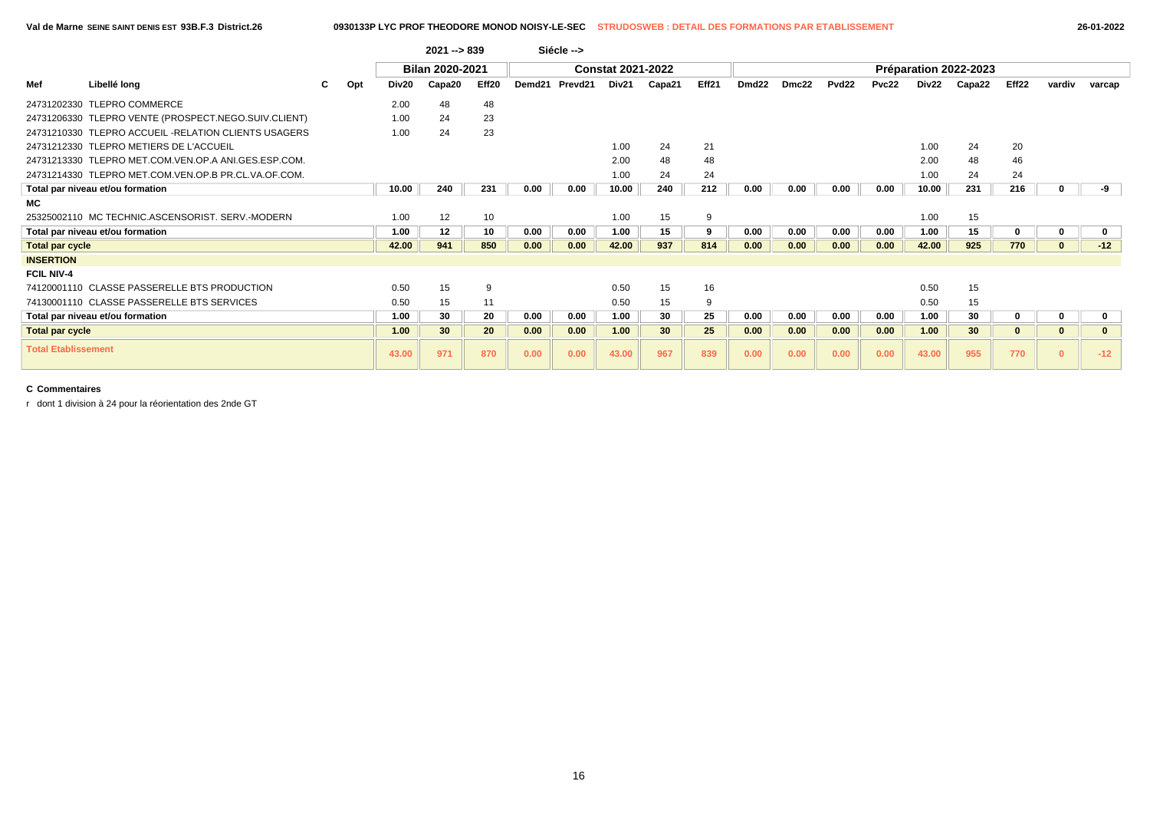### **Val de Marne SEINE SAINT DENIS EST 93B.F.3 District.26 0930133P LYC PROF THEODORE MONOD NOISY-LE-SEC STRUDOSWEB : DETAIL DES FORMATIONS PAR ETABLISSEMENT 26-01-2022**

|                            |                                                      |     |       | $2021 - 839$           |       |                    | Siécle -->          |                          |        |       |                   |       |       |       |       |                       |              |              |              |
|----------------------------|------------------------------------------------------|-----|-------|------------------------|-------|--------------------|---------------------|--------------------------|--------|-------|-------------------|-------|-------|-------|-------|-----------------------|--------------|--------------|--------------|
|                            |                                                      |     |       | <b>Bilan 2020-2021</b> |       |                    |                     | <b>Constat 2021-2022</b> |        |       |                   |       |       |       |       | Préparation 2022-2023 |              |              |              |
| Mef                        | Libellé long                                         | Opt | Div20 | Capa20                 | Eff20 | Demd <sub>21</sub> | Prevd <sub>21</sub> | Div21                    | Capa21 | Eff21 | Dmd <sub>22</sub> | Dmc22 | Pvd22 | Pvc22 | Div22 | Capa22                | Eff22        | vardiv       | varcap       |
|                            | 24731202330 TLEPRO COMMERCE                          |     | 2.00  | 48                     | 48    |                    |                     |                          |        |       |                   |       |       |       |       |                       |              |              |              |
|                            | 24731206330 TLEPRO VENTE (PROSPECT.NEGO.SUIV.CLIENT) |     | 1.00  | 24                     | 23    |                    |                     |                          |        |       |                   |       |       |       |       |                       |              |              |              |
|                            | 24731210330 TLEPRO ACCUEIL -RELATION CLIENTS USAGERS |     | 1.00  | 24                     | 23    |                    |                     |                          |        |       |                   |       |       |       |       |                       |              |              |              |
|                            | 24731212330 TLEPRO METIERS DE L'ACCUEIL              |     |       |                        |       |                    |                     | 1.00                     | 24     | 21    |                   |       |       |       | 1.00  | 24                    | 20           |              |              |
|                            | 24731213330 TLEPRO MET.COM.VEN.OP.A ANI.GES.ESP.COM. |     |       |                        |       |                    |                     | 2.00                     | 48     | 48    |                   |       |       |       | 2.00  | 48                    | 46           |              |              |
|                            | 24731214330 TLEPRO MET.COM.VEN.OP.B PR.CL.VA.OF.COM. |     |       |                        |       |                    |                     | 1.00                     | 24     | 24    |                   |       |       |       | 1.00  | 24                    | 24           |              |              |
|                            | Total par niveau et/ou formation                     |     | 10.00 | 240                    | 231   | 0.00               | 0.00                | 10.00                    | 240    | 212   | 0.00              | 0.00  | 0.00  | 0.00  | 10.00 | 231                   | 216          |              | -9           |
| MC.                        |                                                      |     |       |                        |       |                    |                     |                          |        |       |                   |       |       |       |       |                       |              |              |              |
|                            | 25325002110 MC TECHNIC ASCENSORIST, SERV-MODERN      |     | 1.00  | 12                     | 10    |                    |                     | 1.00                     | 15     | 9     |                   |       |       |       | 1.00  | 15                    |              |              |              |
|                            | Total par niveau et/ou formation                     |     | 1.00  | 12                     | 10    | 0.00               | 0.00                | 1.00                     | 15     | 9     | 0.00              | 0.00  | 0.00  | 0.00  | 1.00  | 15                    | 0            | 0            | $\mathbf 0$  |
| <b>Total par cycle</b>     |                                                      |     | 42.00 | 941                    | 850   | 0.00               | 0.00                | 42.00                    | 937    | 814   | 0.00              | 0.00  | 0.00  | 0.00  | 42.00 | 925                   | 770          | $\mathbf{0}$ | $-12$        |
| <b>INSERTION</b>           |                                                      |     |       |                        |       |                    |                     |                          |        |       |                   |       |       |       |       |                       |              |              |              |
| <b>FCIL NIV-4</b>          |                                                      |     |       |                        |       |                    |                     |                          |        |       |                   |       |       |       |       |                       |              |              |              |
|                            | 74120001110 CLASSE PASSERELLE BTS PRODUCTION         |     | 0.50  | 15                     | 9     |                    |                     | 0.50                     | 15     | 16    |                   |       |       |       | 0.50  | 15                    |              |              |              |
|                            | 74130001110 CLASSE PASSERELLE BTS SERVICES           |     | 0.50  | 15                     | 11    |                    |                     | 0.50                     | 15     | 9     |                   |       |       |       | 0.50  | 15                    |              |              |              |
|                            | Total par niveau et/ou formation                     |     | 1.00  | 30                     | 20    | 0.00               | 0.00                | 1.00                     | 30     | 25    | 0.00              | 0.00  | 0.00  | 0.00  | 1.00  | 30                    | $\mathbf{0}$ | 0            | 0            |
| <b>Total par cycle</b>     |                                                      |     | 1.00  | 30                     | 20    | 0.00               | 0.00                | 1.00                     | 30     | 25    | 0.00              | 0.00  | 0.00  | 0.00  | 1.00  | 30 <sub>2</sub>       | $\mathbf{0}$ | $\mathbf{0}$ | $\mathbf{0}$ |
| <b>Total Etablissement</b> |                                                      |     | 43.00 | 971                    | 870   | 0.00               | 0.00                | 43.00                    | 967    | 839   | 0.00              | 0.00  | 0.00  | 0.00  | 43.00 | 955                   | 770          | $\Omega$     | $-12$        |

## **C Commentaires**

r dont 1 division à 24 pour la réorientation des 2nde GT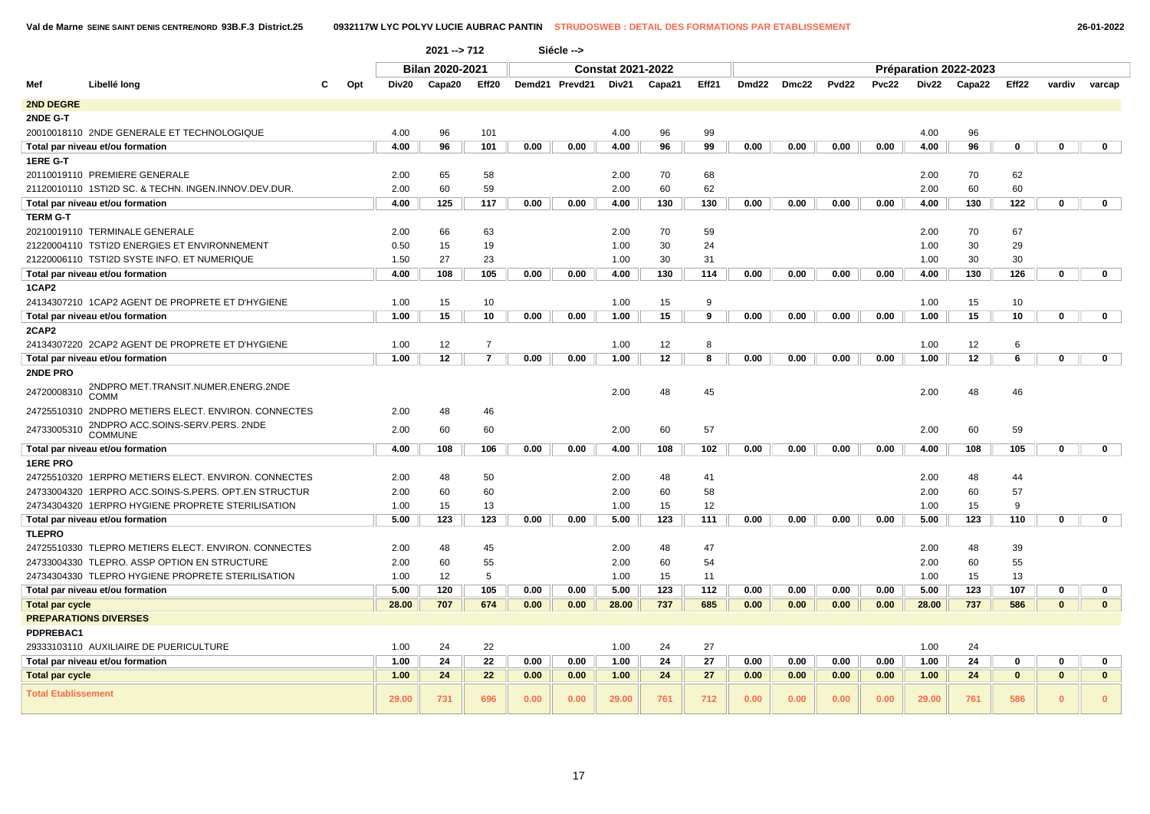|                            |                                                      |     |       | $2021 - 712$           |                |      | Siécle -->     |                          |        |       |       |       |                   |              |       |                       |          |              |              |
|----------------------------|------------------------------------------------------|-----|-------|------------------------|----------------|------|----------------|--------------------------|--------|-------|-------|-------|-------------------|--------------|-------|-----------------------|----------|--------------|--------------|
|                            |                                                      |     |       | <b>Bilan 2020-2021</b> |                |      |                | <b>Constat 2021-2022</b> |        |       |       |       |                   |              |       | Préparation 2022-2023 |          |              |              |
| Mef                        | Libellé long                                         | Opt | Div20 | Capa20                 | Eff20          |      | Demd21 Prevd21 | Div21                    | Capa21 | Eff21 | Dmd22 | Dmc22 | Pvd <sub>22</sub> | <b>Pvc22</b> | Div22 | Capa22                | Eff22    | vardiv       | varcap       |
| 2ND DEGRE                  |                                                      |     |       |                        |                |      |                |                          |        |       |       |       |                   |              |       |                       |          |              |              |
| 2NDE G-T                   |                                                      |     |       |                        |                |      |                |                          |        |       |       |       |                   |              |       |                       |          |              |              |
|                            | 20010018110 2NDE GENERALE ET TECHNOLOGIQUE           |     | 4.00  | 96                     | 101            |      |                | 4.00                     | 96     | 99    |       |       |                   |              | 4.00  | 96                    |          |              |              |
|                            | Total par niveau et/ou formation                     |     | 4.00  | 96                     | 101            | 0.00 | 0.00           | 4.00                     | 96     | 99    | 0.00  | 0.00  | 0.00              | 0.00         | 4.00  | 96                    | 0        | $\Omega$     | $\mathbf 0$  |
| 1ERE G-T                   |                                                      |     |       |                        |                |      |                |                          |        |       |       |       |                   |              |       |                       |          |              |              |
|                            | 20110019110 PREMIERE GENERALE                        |     | 2.00  | 65                     | 58             |      |                | 2.00                     | 70     | 68    |       |       |                   |              | 2.00  | 70                    | 62       |              |              |
|                            | 21120010110 1STI2D SC. & TECHN. INGEN.INNOV.DEV.DUR. |     | 2.00  | 60                     | 59             |      |                | 2.00                     | 60     | 62    |       |       |                   |              | 2.00  | 60                    | 60       |              |              |
|                            | Total par niveau et/ou formation                     |     | 4.00  | 125                    | 117            | 0.00 | 0.00           | 4.00                     | 130    | 130   | 0.00  | 0.00  | 0.00              | 0.00         | 4.00  | 130                   | 122      | 0            | $\mathbf 0$  |
| <b>TERM G-T</b>            |                                                      |     |       |                        |                |      |                |                          |        |       |       |       |                   |              |       |                       |          |              |              |
|                            | 20210019110 TERMINALE GENERALE                       |     | 2.00  | 66                     | 63             |      |                | 2.00                     | 70     | 59    |       |       |                   |              | 2.00  | 70                    | 67       |              |              |
|                            | 21220004110 TSTI2D ENERGIES ET ENVIRONNEMENT         |     | 0.50  | 15                     | 19             |      |                | 1.00                     | 30     | 24    |       |       |                   |              | 1.00  | 30                    | 29       |              |              |
|                            | 21220006110 TSTI2D SYSTE INFO. ET NUMERIQUE          |     | 1.50  | 27                     | 23             |      |                | 1.00                     | 30     | 31    |       |       |                   |              | 1.00  | 30                    | 30       |              |              |
|                            | Total par niveau et/ou formation                     |     | 4.00  | 108                    | 105            | 0.00 | 0.00           | 4.00                     | 130    | 114   | 0.00  | 0.00  | 0.00              | 0.00         | 4.00  | 130                   | 126      | 0            | $\mathbf 0$  |
| 1CAP2                      |                                                      |     |       |                        |                |      |                |                          |        |       |       |       |                   |              |       |                       |          |              |              |
|                            | 24134307210 1CAP2 AGENT DE PROPRETE ET D'HYGIENE     |     | 1.00  | 15                     | 10             |      |                | 1.00                     | 15     | 9     |       |       |                   |              | 1.00  | 15                    | 10       |              |              |
|                            | Total par niveau et/ou formation                     |     | 1.00  | 15                     | 10             | 0.00 | 0.00           | 1.00                     | 15     | 9     | 0.00  | 0.00  | 0.00              | 0.00         | 1.00  | 15                    | 10       | 0            | $\mathbf 0$  |
| 2CAP2                      |                                                      |     |       |                        |                |      |                |                          |        |       |       |       |                   |              |       |                       |          |              |              |
|                            | 24134307220 2CAP2 AGENT DE PROPRETE ET D'HYGIENE     |     | 1.00  | 12                     | $\overline{7}$ |      |                | 1.00                     | 12     | 8     |       |       |                   |              | 1.00  | 12                    | 6        |              |              |
|                            | Total par niveau et/ou formation                     |     | 1.00  | 12                     | $\overline{7}$ | 0.00 | 0.00           | 1.00                     | 12     | 8     | 0.00  | 0.00  | 0.00              | 0.00         | 1.00  | 12                    | 6        | $\Omega$     | $\mathbf 0$  |
| 2NDE PRO                   |                                                      |     |       |                        |                |      |                |                          |        |       |       |       |                   |              |       |                       |          |              |              |
| 24720008310                | 2NDPRO MET.TRANSIT.NUMER.ENERG.2NDE<br>COMM          |     |       |                        |                |      |                | 2.00                     | 48     | 45    |       |       |                   |              | 2.00  | 48                    | 46       |              |              |
|                            | 24725510310 2NDPRO METIERS ELECT. ENVIRON. CONNECTES |     | 2.00  | 48                     | 46             |      |                |                          |        |       |       |       |                   |              |       |                       |          |              |              |
| 24733005310                | 2NDPRO ACC.SOINS-SERV.PERS. 2NDE<br><b>COMMUNE</b>   |     | 2.00  | 60                     | 60             |      |                | 2.00                     | 60     | 57    |       |       |                   |              | 2.00  | 60                    | 59       |              |              |
|                            | Total par niveau et/ou formation                     |     | 4.00  | 108                    | 106            | 0.00 | 0.00           | 4.00                     | 108    | 102   | 0.00  | 0.00  | 0.00              | 0.00         | 4.00  | 108                   | 105      | 0            | 0            |
| <b>1ERE PRO</b>            |                                                      |     |       |                        |                |      |                |                          |        |       |       |       |                   |              |       |                       |          |              |              |
|                            | 24725510320 1ERPRO METIERS ELECT. ENVIRON. CONNECTES |     | 2.00  | 48                     | 50             |      |                | 2.00                     | 48     | 41    |       |       |                   |              | 2.00  | 48                    | 44       |              |              |
|                            | 24733004320 1ERPRO ACC.SOINS-S.PERS. OPT.EN STRUCTUR |     | 2.00  | 60                     | 60             |      |                | 2.00                     | 60     | 58    |       |       |                   |              | 2.00  | 60                    | 57       |              |              |
|                            | 24734304320 1ERPRO HYGIENE PROPRETE STERILISATION    |     | 1.00  | 15                     | 13             |      |                | 1.00                     | 15     | 12    |       |       |                   |              | 1.00  | 15                    | 9        |              |              |
|                            | Total par niveau et/ou formation                     |     | 5.00  | 123                    | 123            | 0.00 | 0.00           | 5.00                     | 123    | 111   | 0.00  | 0.00  | 0.00              | 0.00         | 5.00  | 123                   | 110      | 0            | $\mathbf 0$  |
| <b>TLEPRO</b>              |                                                      |     |       |                        |                |      |                |                          |        |       |       |       |                   |              |       |                       |          |              |              |
|                            | 24725510330 TLEPRO METIERS ELECT. ENVIRON. CONNECTES |     | 2.00  | 48                     | 45             |      |                | 2.00                     | 48     | 47    |       |       |                   |              | 2.00  | 48                    | 39       |              |              |
|                            | 24733004330 TLEPRO. ASSP OPTION EN STRUCTURE         |     | 2.00  | 60                     | 55             |      |                | 2.00                     | 60     | 54    |       |       |                   |              | 2.00  | 60                    | 55       |              |              |
|                            | 24734304330 TLEPRO HYGIENE PROPRETE STERILISATION    |     | 1.00  | 12                     | 5              |      |                | 1.00                     | 15     | 11    |       |       |                   |              | 1.00  | 15                    | 13       |              |              |
|                            | Total par niveau et/ou formation                     |     | 5.00  | 120                    | 105            | 0.00 | 0.00           | 5.00                     | 123    | 112   | 0.00  | 0.00  | 0.00              | 0.00         | 5.00  | 123                   | 107      | 0            | 0            |
| <b>Total par cycle</b>     |                                                      |     | 28.00 | 707                    | 674            | 0.00 | 0.00           | 28.00                    | 737    | 685   | 0.00  | 0.00  | 0.00              | 0.00         | 28.00 | 737                   | 586      | $\mathbf{0}$ | $\mathbf{0}$ |
|                            | <b>PREPARATIONS DIVERSES</b>                         |     |       |                        |                |      |                |                          |        |       |       |       |                   |              |       |                       |          |              |              |
| PDPREBAC1                  |                                                      |     |       |                        |                |      |                |                          |        |       |       |       |                   |              |       |                       |          |              |              |
|                            | 29333103110 AUXILIAIRE DE PUERICULTURE               |     | 1.00  | 24                     | 22             |      |                | 1.00                     | 24     | 27    |       |       |                   |              | 1.00  | 24                    |          |              |              |
|                            | Total par niveau et/ou formation                     |     | 1.00  | 24                     | 22             | 0.00 | 0.00           | 1.00                     | 24     | 27    | 0.00  | 0.00  | 0.00              | 0.00         | 1.00  | 24                    | $\Omega$ | $\Omega$     | 0            |
| <b>Total par cycle</b>     |                                                      |     | 1.00  | 24                     | 22             | 0.00 | 0.00           | 1.00                     | 24     | 27    | 0.00  | 0.00  | 0.00              | 0.00         | 1.00  | 24                    | $\bf{0}$ | $\mathbf{0}$ | $\mathbf{0}$ |
| <b>Total Etablissement</b> |                                                      |     | 29.00 | 731                    | 696            | 0.00 | 0.00           | 29.00                    | 761    | 712   | 0.00  | 0.00  | 0.00              | 0.00         | 29.00 | 761                   | 586      | $\Omega$     | $\mathbf{0}$ |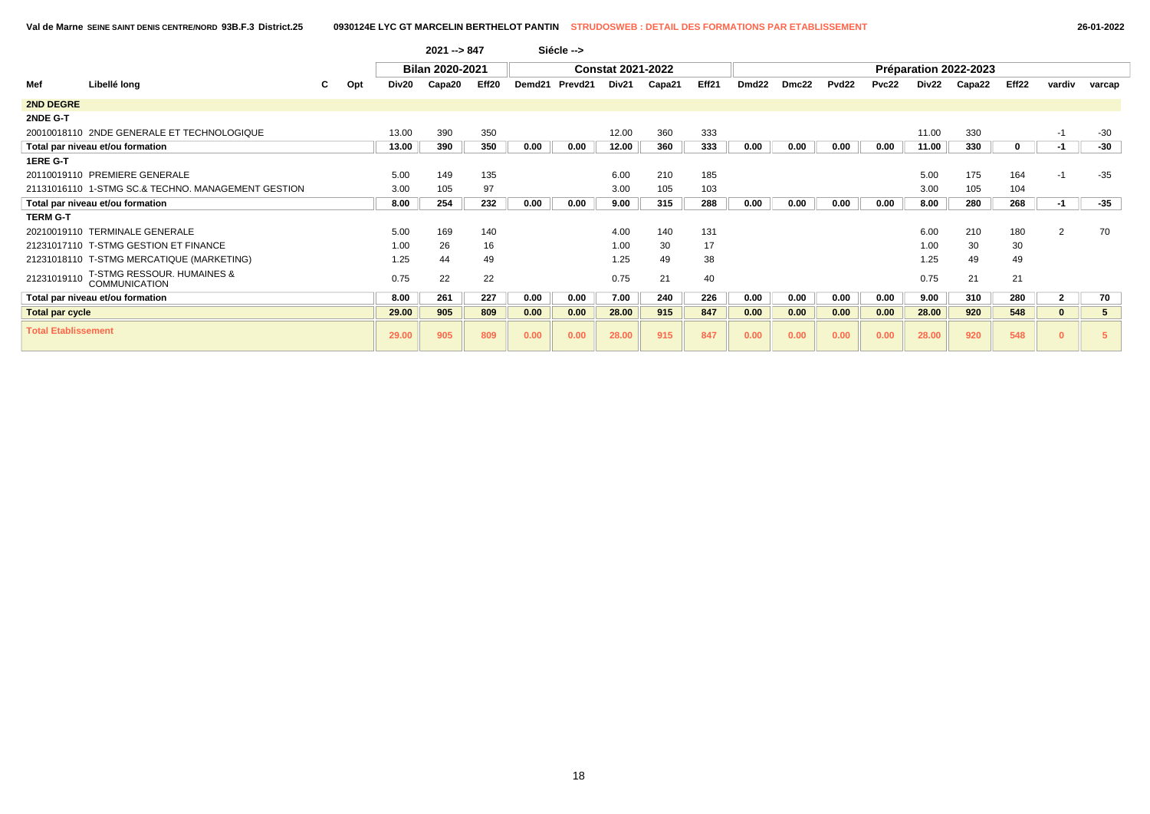|                            |                                                               |     |                   | $2021 - 847$           |       |        | Siécle -->          |                          |        |       |                   |       |                   |       |       |                       |       |                |             |
|----------------------------|---------------------------------------------------------------|-----|-------------------|------------------------|-------|--------|---------------------|--------------------------|--------|-------|-------------------|-------|-------------------|-------|-------|-----------------------|-------|----------------|-------------|
|                            |                                                               |     |                   | <b>Bilan 2020-2021</b> |       |        |                     | <b>Constat 2021-2022</b> |        |       |                   |       |                   |       |       | Préparation 2022-2023 |       |                |             |
| Mef                        | Libellé long                                                  | Opt | Div <sub>20</sub> | Capa20                 | Eff20 | Demd21 | Prevd <sub>21</sub> | Div21                    | Capa21 | Eff21 | Dmd <sub>22</sub> | Dmc22 | Pvd <sub>22</sub> | Pvc22 | Div22 | Capa22                | Eff22 | vardiv         | varcap      |
| <b>2ND DEGRE</b>           |                                                               |     |                   |                        |       |        |                     |                          |        |       |                   |       |                   |       |       |                       |       |                |             |
| 2NDE G-T                   |                                                               |     |                   |                        |       |        |                     |                          |        |       |                   |       |                   |       |       |                       |       |                |             |
|                            | 20010018110 2NDE GENERALE ET TECHNOLOGIQUE                    |     | 13.00             | 390                    | 350   |        |                     | 12.00                    | 360    | 333   |                   |       |                   |       | 11.00 | 330                   |       | $-1$           | $-30$       |
|                            | Total par niveau et/ou formation                              |     | 13.00             | 390                    | 350   | 0.00   | 0.00                | 12.00                    | 360    | 333   | 0.00              | 0.00  | 0.00              | 0.00  | 11.00 | 330                   | 0     | $-1$           | -30         |
| 1ERE G-T                   |                                                               |     |                   |                        |       |        |                     |                          |        |       |                   |       |                   |       |       |                       |       |                |             |
|                            | 20110019110 PREMIERE GENERALE                                 |     | 5.00              | 149                    | 135   |        |                     | 6.00                     | 210    | 185   |                   |       |                   |       | 5.00  | 175                   | 164   | $-1$           | $-35$       |
|                            | 21131016110 1-STMG SC.& TECHNO, MANAGEMENT GESTION            |     | 3.00              | 105                    | 97    |        |                     | 3.00                     | 105    | 103   |                   |       |                   |       | 3.00  | 105                   | 104   |                |             |
|                            | Total par niveau et/ou formation                              |     | 8.00              | 254                    | 232   | 0.00   | 0.00                | 9.00                     | 315    | 288   | 0.00              | 0.00  | 0.00              | 0.00  | 8.00  | 280                   | 268   | $-1$           | -35         |
| <b>TERM G-T</b>            |                                                               |     |                   |                        |       |        |                     |                          |        |       |                   |       |                   |       |       |                       |       |                |             |
|                            | 20210019110 TERMINALE GENERALE                                |     | 5.00              | 169                    | 140   |        |                     | 4.00                     | 140    | 131   |                   |       |                   |       | 6.00  | 210                   | 180   | $\overline{2}$ | 70          |
|                            | 21231017110 T-STMG GESTION ET FINANCE                         |     | 1.00              | 26                     | 16    |        |                     | 1.00                     | 30     | 17    |                   |       |                   |       | 1.00  | 30                    | 30    |                |             |
|                            | 21231018110 T-STMG MERCATIQUE (MARKETING)                     |     | 1.25              | 44                     | 49    |        |                     | 1.25                     | 49     | 38    |                   |       |                   |       | 1.25  | 49                    | 49    |                |             |
| 21231019110                | <b>T-STMG RESSOUR. HUMAINES &amp;</b><br><b>COMMUNICATION</b> |     | 0.75              | 22                     | 22    |        |                     | 0.75                     | 21     | 40    |                   |       |                   |       | 0.75  | 21                    | 21    |                |             |
|                            | Total par niveau et/ou formation                              |     | 8.00              | 261                    | 227   | 0.00   | 0.00                | 7.00                     | 240    | 226   | 0.00              | 0.00  | 0.00              | 0.00  | 9.00  | 310                   | 280   | $\mathbf{2}$   | 70          |
| <b>Total par cycle</b>     |                                                               |     | 29.00             | 905                    | 809   | 0.00   | 0.00                | 28.00                    | 915    | 847   | 0.00              | 0.00  | 0.00              | 0.00  | 28.00 | 920                   | 548   | $\bf{0}$       | $5^{\circ}$ |
| <b>Total Etablissement</b> |                                                               |     | 29.00             | 905                    | 809   | 0.00   | 0.00                | 28.00                    | 915    | 847   | 0.00              | 0.00  | 0.00              | 0.00  | 28.00 | 920                   | 548   | 0              | 5           |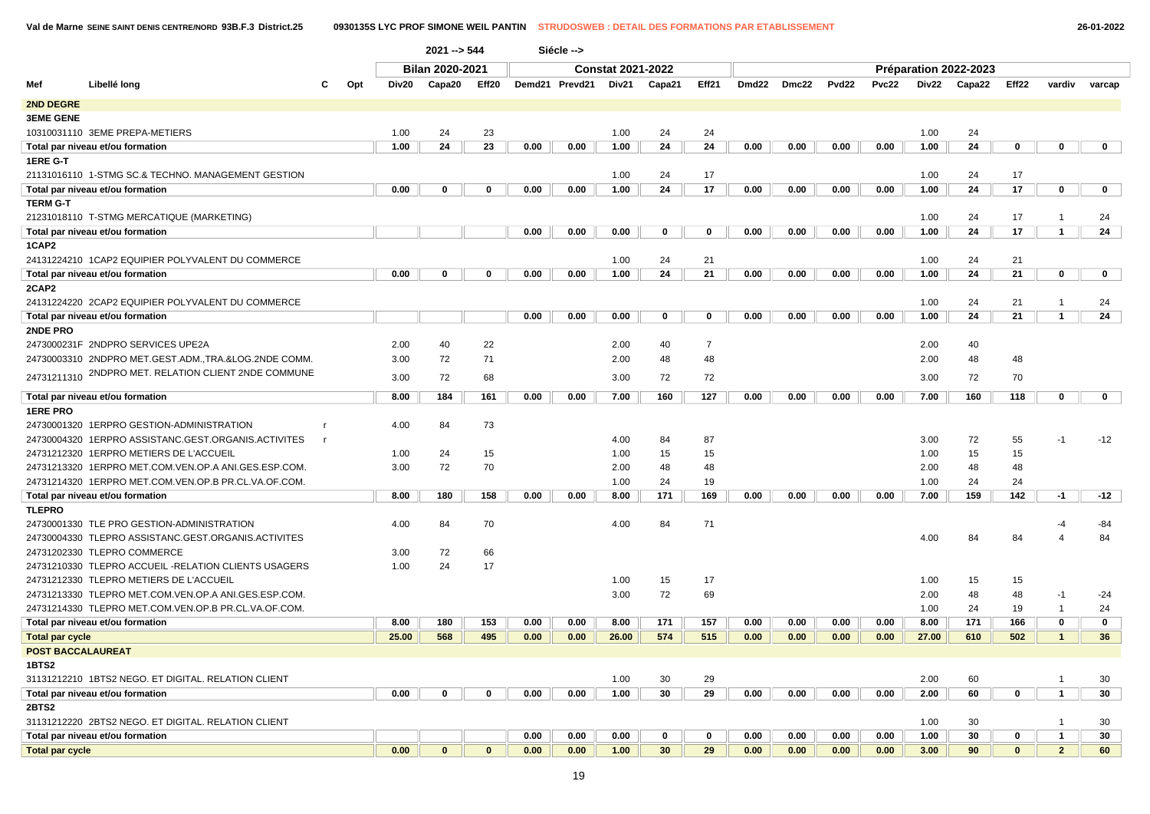**Val de Marne SEINE SAINT DENIS CENTRE/NORD 93B.F.3 District.25 0930135S LYC PROF SIMONE WEIL PANTIN STRUDOSWEB : DETAIL DES FORMATIONS PAR ETABLISSEMENT 26-01-2022**

|                          |                                                      |              |     |       | $2021 - 544$           |              |      | Siécle -->     |                          |             |                |      |             |                   |              |       |                       |              |                |              |
|--------------------------|------------------------------------------------------|--------------|-----|-------|------------------------|--------------|------|----------------|--------------------------|-------------|----------------|------|-------------|-------------------|--------------|-------|-----------------------|--------------|----------------|--------------|
|                          |                                                      |              |     |       | <b>Bilan 2020-2021</b> |              |      |                | <b>Constat 2021-2022</b> |             |                |      |             |                   |              |       | Préparation 2022-2023 |              |                |              |
| Mef                      | Libellé long                                         | C            | Opt | Div20 | Capa20                 | Eff20        |      | Demd21 Prevd21 | Div21                    | Capa21      | Eff21          |      | Dmd22 Dmc22 | Pvd <sub>22</sub> | <b>Pvc22</b> | Div22 | Capa22                | Eff22        | vardiv         | varcap       |
| <b>2ND DEGRE</b>         |                                                      |              |     |       |                        |              |      |                |                          |             |                |      |             |                   |              |       |                       |              |                |              |
| <b>3EME GENE</b>         |                                                      |              |     |       |                        |              |      |                |                          |             |                |      |             |                   |              |       |                       |              |                |              |
|                          | 10310031110 3EME PREPA-METIERS                       |              |     | 1.00  | 24                     | 23           |      |                | 1.00                     | 24          | 24             |      |             |                   |              | 1.00  | 24                    |              |                |              |
|                          | Total par niveau et/ou formation                     |              |     | 1.00  | 24                     | 23           | 0.00 | 0.00           | 1.00                     | 24          | 24             | 0.00 | 0.00        | 0.00              | 0.00         | 1.00  | 24                    | $\mathbf 0$  | 0              | $\mathbf 0$  |
| 1ERE G-T                 |                                                      |              |     |       |                        |              |      |                |                          |             |                |      |             |                   |              |       |                       |              |                |              |
|                          | 21131016110 1-STMG SC.& TECHNO. MANAGEMENT GESTION   |              |     |       |                        |              |      |                | 1.00                     | 24          | 17             |      |             |                   |              | 1.00  | 24                    | 17           |                |              |
|                          | Total par niveau et/ou formation                     |              |     | 0.00  | $\mathbf 0$            | 0            | 0.00 | 0.00           | 1.00                     | 24          | 17             | 0.00 | 0.00        | 0.00              | 0.00         | 1.00  | 24                    | 17           | 0              | $\mathbf{0}$ |
| TERM G-T                 |                                                      |              |     |       |                        |              |      |                |                          |             |                |      |             |                   |              |       |                       |              |                |              |
|                          | 21231018110 T-STMG MERCATIQUE (MARKETING)            |              |     |       |                        |              |      |                |                          |             |                |      |             |                   |              | 1.00  | 24                    | 17           | $\overline{1}$ | 24           |
|                          | Total par niveau et/ou formation                     |              |     |       |                        |              | 0.00 | 0.00           | 0.00                     | $\mathbf 0$ | 0              | 0.00 | 0.00        | 0.00              | 0.00         | 1.00  | 24                    | 17           | $\mathbf{1}$   | 24           |
| 1CAP2                    |                                                      |              |     |       |                        |              |      |                |                          |             |                |      |             |                   |              |       |                       |              |                |              |
|                          | 24131224210 1CAP2 EQUIPIER POLYVALENT DU COMMERCE    |              |     |       |                        |              |      |                | 1.00                     | 24          | 21             |      |             |                   |              | 1.00  | 24                    | 21           |                |              |
|                          | Total par niveau et/ou formation                     |              |     | 0.00  | $\mathbf 0$            | 0            | 0.00 | 0.00           | 1.00                     | 24          | 21             | 0.00 | 0.00        | 0.00              | 0.00         | 1.00  | 24                    | 21           | 0              | $\mathbf 0$  |
| 2CAP2                    |                                                      |              |     |       |                        |              |      |                |                          |             |                |      |             |                   |              |       |                       |              |                |              |
|                          | 24131224220 2CAP2 EQUIPIER POLYVALENT DU COMMERCE    |              |     |       |                        |              |      |                |                          |             |                |      |             |                   |              | 1.00  | 24                    | 21           | $\overline{1}$ | 24           |
|                          | Total par niveau et/ou formation                     |              |     |       |                        |              | 0.00 | 0.00           | 0.00                     | 0           | $\mathbf 0$    | 0.00 | 0.00        | 0.00              | 0.00         | 1.00  | 24                    | 21           | $\mathbf{1}$   | 24           |
| <b>2NDE PRO</b>          |                                                      |              |     |       |                        |              |      |                |                          |             |                |      |             |                   |              |       |                       |              |                |              |
|                          | 2473000231F 2NDPRO SERVICES UPE2A                    |              |     | 2.00  | 40                     | 22           |      |                | 2.00                     | 40          | $\overline{7}$ |      |             |                   |              | 2.00  | 40                    |              |                |              |
|                          | 24730003310 2NDPRO MET.GEST.ADM.,TRA.&LOG.2NDE COMM. |              |     | 3.00  | 72                     | 71           |      |                | 2.00                     | 48          | 48             |      |             |                   |              | 2.00  | 48                    | 48           |                |              |
| 24731211310              | 2NDPRO MET. RELATION CLIENT 2NDE COMMUNE             |              |     |       | 72                     |              |      |                | 3.00                     |             | 72             |      |             |                   |              |       | 72                    | 70           |                |              |
|                          |                                                      |              |     | 3.00  |                        | 68           |      |                |                          | 72          |                |      |             |                   |              | 3.00  |                       |              |                |              |
|                          | Total par niveau et/ou formation                     |              |     | 8.00  | 184                    | 161          | 0.00 | 0.00           | 7.00                     | 160         | 127            | 0.00 | 0.00        | 0.00              | 0.00         | 7.00  | 160                   | 118          | $\mathbf 0$    | $\mathbf 0$  |
| <b>1ERE PRO</b>          |                                                      |              |     |       |                        |              |      |                |                          |             |                |      |             |                   |              |       |                       |              |                |              |
|                          | 24730001320 1ERPRO GESTION-ADMINISTRATION            |              |     | 4.00  | 84                     | 73           |      |                |                          |             |                |      |             |                   |              |       |                       |              |                |              |
|                          | 24730004320 1ERPRO ASSISTANC.GEST.ORGANIS.ACTIVITES  | $\mathsf{r}$ |     |       |                        |              |      |                | 4.00                     | 84          | 87             |      |             |                   |              | 3.00  | 72                    | 55           | $-1$           | $-12$        |
|                          | 24731212320 1ERPRO METIERS DE L'ACCUEIL              |              |     | 1.00  | 24                     | 15           |      |                | 1.00                     | 15          | 15             |      |             |                   |              | 1.00  | 15                    | 15           |                |              |
|                          | 24731213320 1ERPRO MET.COM.VEN.OP.A ANI.GES.ESP.COM. |              |     | 3.00  | 72                     | 70           |      |                | 2.00                     | 48          | 48             |      |             |                   |              | 2.00  | 48                    | 48           |                |              |
|                          | 24731214320 1ERPRO MET.COM.VEN.OP.B PR.CL.VA.OF.COM. |              |     |       |                        |              |      |                | 1.00                     | 24          | 19             |      |             |                   |              | 1.00  | 24                    | 24           |                |              |
|                          | Total par niveau et/ou formation                     |              |     | 8.00  | 180                    | 158          | 0.00 | 0.00           | 8.00                     | 171         | 169            | 0.00 | 0.00        | 0.00              | 0.00         | 7.00  | 159                   | 142          | $-1$           | $-12$        |
| TLEPRO                   |                                                      |              |     |       |                        |              |      |                |                          |             |                |      |             |                   |              |       |                       |              |                |              |
|                          | 24730001330 TLE PRO GESTION-ADMINISTRATION           |              |     | 4.00  | 84                     | 70           |      |                | 4.00                     | 84          | 71             |      |             |                   |              |       |                       |              |                | -84          |
|                          | 24730004330 TLEPRO ASSISTANC.GEST.ORGANIS.ACTIVITES  |              |     |       |                        |              |      |                |                          |             |                |      |             |                   |              | 4.00  | 84                    | 84           | $\overline{4}$ | 84           |
|                          | 24731202330 TLEPRO COMMERCE                          |              |     | 3.00  | 72                     | 66           |      |                |                          |             |                |      |             |                   |              |       |                       |              |                |              |
|                          | 24731210330 TLEPRO ACCUEIL -RELATION CLIENTS USAGERS |              |     | 1.00  | 24                     | 17           |      |                |                          |             |                |      |             |                   |              |       |                       |              |                |              |
|                          | 24731212330 TLEPRO METIERS DE L'ACCUEIL              |              |     |       |                        |              |      |                | 1.00                     | 15          | 17             |      |             |                   |              | 1.00  | 15                    | 15           |                |              |
|                          | 24731213330 TLEPRO MET.COM.VEN.OP.A ANI.GES.ESP.COM. |              |     |       |                        |              |      |                | 3.00                     | 72          | 69             |      |             |                   |              | 2.00  | 48                    | 48           | $-1$           | $-24$        |
|                          | 24731214330 TLEPRO MET.COM.VEN.OP.B PR.CL.VA.OF.COM. |              |     |       |                        |              |      |                |                          |             |                |      |             |                   |              | 1.00  | 24                    | 19           | -1             | 24           |
|                          | Total par niveau et/ou formation                     |              |     | 8.00  | 180                    | 153          | 0.00 | 0.00           | 8.00                     | 171         | 157            | 0.00 | 0.00        | 0.00              | 0.00         | 8.00  | 171                   | 166          | $\mathbf 0$    | $\mathbf 0$  |
| <b>Total par cycle</b>   |                                                      |              |     | 25.00 | 568                    | 495          | 0.00 | 0.00           | 26.00                    | 574         | 515            | 0.00 | 0.00        | 0.00              | 0.00         | 27.00 | 610                   | 502          | $\mathbf{1}$   | 36           |
| <b>POST BACCALAUREAT</b> |                                                      |              |     |       |                        |              |      |                |                          |             |                |      |             |                   |              |       |                       |              |                |              |
| 1BTS2                    |                                                      |              |     |       |                        |              |      |                |                          |             |                |      |             |                   |              |       |                       |              |                |              |
|                          | 31131212210 1BTS2 NEGO. ET DIGITAL. RELATION CLIENT  |              |     |       |                        |              |      |                | 1.00                     | 30          | 29             |      |             |                   |              | 2.00  | 60                    |              | $\overline{1}$ | 30           |
|                          | Total par niveau et/ou formation                     |              |     | 0.00  | $\mathbf 0$            | 0            | 0.00 | 0.00           | 1.00                     | 30          | 29             | 0.00 | 0.00        | 0.00              | 0.00         | 2.00  | 60                    | $\mathbf 0$  | 1              | 30           |
| 2BTS2                    |                                                      |              |     |       |                        |              |      |                |                          |             |                |      |             |                   |              |       |                       |              |                |              |
|                          | 31131212220 2BTS2 NEGO. ET DIGITAL. RELATION CLIENT  |              |     |       |                        |              |      |                |                          |             |                |      |             |                   |              | 1.00  | 30                    |              | $\mathbf{1}$   | 30           |
|                          | Total par niveau et/ou formation                     |              |     |       |                        |              | 0.00 | 0.00           | 0.00                     | 0           | 0              | 0.00 | 0.00        | 0.00              | 0.00         | 1.00  | 30                    | $\mathbf 0$  | $\mathbf{1}$   | 30           |
| <b>Total par cycle</b>   |                                                      |              |     | 0.00  | $\mathbf{0}$           | $\mathbf{0}$ | 0.00 | 0.00           | 1.00                     | 30          | 29             | 0.00 | 0.00        | 0.00              | 0.00         | 3.00  | 90                    | $\mathbf{0}$ | $\overline{2}$ | 60           |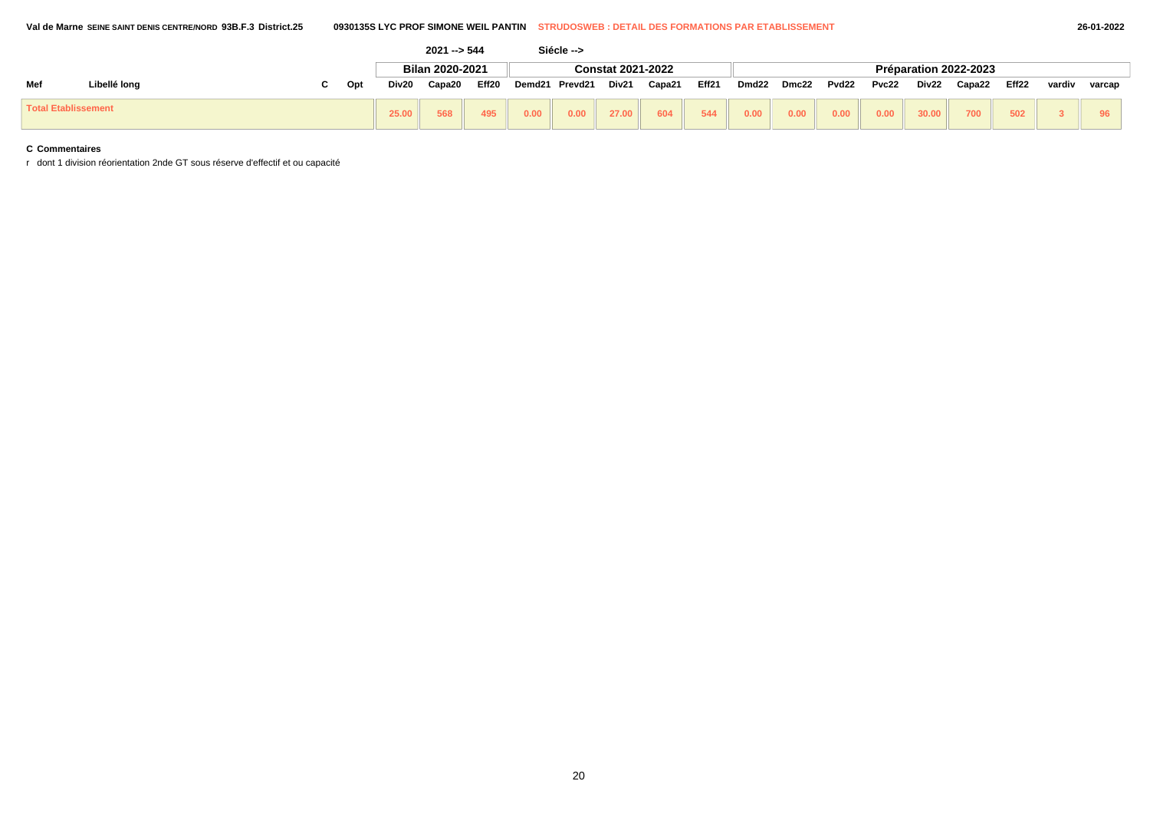|                            |              |     |       | $2021 - 544$    |       |        | Siécle --> |                          |        |       |       |       |       |       |       |                       |       |        |        |
|----------------------------|--------------|-----|-------|-----------------|-------|--------|------------|--------------------------|--------|-------|-------|-------|-------|-------|-------|-----------------------|-------|--------|--------|
|                            |              |     |       | Bilan 2020-2021 |       |        |            | <b>Constat 2021-2022</b> |        |       |       |       |       |       |       | Préparation 2022-2023 |       |        |        |
| Mef                        | Libellé long | Opt | Div20 | Capa20          | Eff20 | Demd21 | Prevd21    | Div21                    | Capa21 | Eff21 | Dmd22 | Dmc22 | Pvd22 | Pvc22 | Div22 | Capa22                | Eff22 | vardiv | varcap |
| <b>Total Etablissement</b> |              |     | 25.00 | 568             | 495   | 0.00   | 0.00       | 27.00                    | 604    | 544   | 0.00  | 0.00  | 0.00  | 0.00  | 30.00 | 700                   | 502   |        |        |

r dont 1 division réorientation 2nde GT sous réserve d'effectif et ou capacité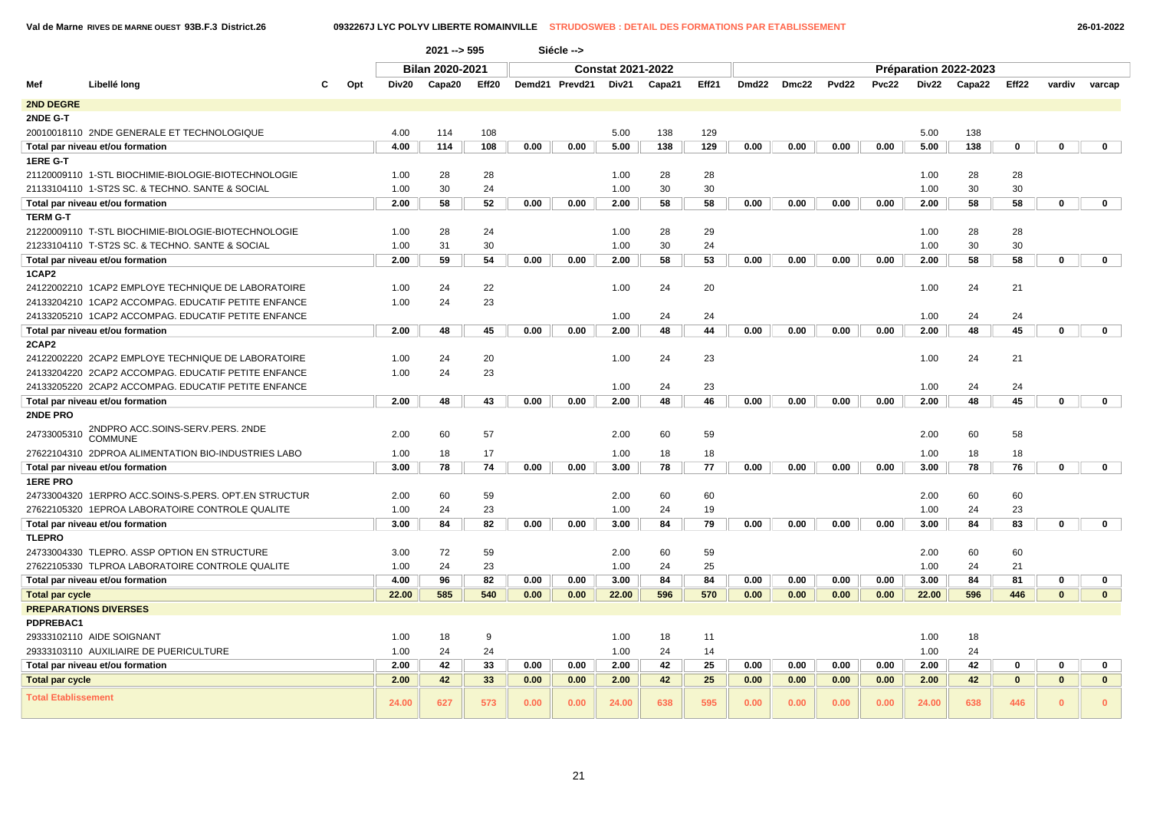**Val de Marne RIVES DE MARNE OUEST 93B.F.3 District.26 0932267J LYC POLYV LIBERTE ROMAINVILLE STRUDOSWEB : DETAIL DES FORMATIONS PAR ETABLISSEMENT 26-01-2022**

|                            |                                                      |       | $2021 - 595$           |       |      | Siécle -->     |                          |        |       |                   |       |                   |       |       |                       |              |              |              |
|----------------------------|------------------------------------------------------|-------|------------------------|-------|------|----------------|--------------------------|--------|-------|-------------------|-------|-------------------|-------|-------|-----------------------|--------------|--------------|--------------|
|                            |                                                      |       | <b>Bilan 2020-2021</b> |       |      |                | <b>Constat 2021-2022</b> |        |       |                   |       |                   |       |       | Préparation 2022-2023 |              |              |              |
| Mef                        | Libellé long<br>Opt                                  | Div20 | Capa20                 | Eff20 |      | Demd21 Prevd21 | Div21                    | Capa21 | Eff21 | Dmd <sub>22</sub> | Dmc22 | Pvd <sub>22</sub> | Pvc22 | Div22 | Capa22                | Eff22        | vardiv       | varcap       |
| 2ND DEGRE                  |                                                      |       |                        |       |      |                |                          |        |       |                   |       |                   |       |       |                       |              |              |              |
| 2NDE G-T                   |                                                      |       |                        |       |      |                |                          |        |       |                   |       |                   |       |       |                       |              |              |              |
|                            | 20010018110 2NDE GENERALE ET TECHNOLOGIQUE           | 4.00  | 114                    | 108   |      |                | 5.00                     | 138    | 129   |                   |       |                   |       | 5.00  | 138                   |              |              |              |
|                            | Total par niveau et/ou formation                     | 4.00  | 114                    | 108   | 0.00 | 0.00           | 5.00                     | 138    | 129   | 0.00              | 0.00  | 0.00              | 0.00  | 5.00  | 138                   | 0            | 0            | $\mathbf 0$  |
| 1ERE G-T                   |                                                      |       |                        |       |      |                |                          |        |       |                   |       |                   |       |       |                       |              |              |              |
|                            | 21120009110 1-STL BIOCHIMIE-BIOLOGIE-BIOTECHNOLOGIE  | 1.00  | 28                     | 28    |      |                | 1.00                     | 28     | 28    |                   |       |                   |       | 1.00  | 28                    | 28           |              |              |
|                            | 21133104110 1-ST2S SC. & TECHNO. SANTE & SOCIAL      | 1.00  | 30                     | 24    |      |                | 1.00                     | 30     | 30    |                   |       |                   |       | 1.00  | 30                    | 30           |              |              |
|                            | Total par niveau et/ou formation                     | 2.00  | 58                     | 52    | 0.00 | 0.00           | 2.00                     | 58     | 58    | 0.00              | 0.00  | 0.00              | 0.00  | 2.00  | 58                    | 58           | $\mathbf 0$  | $\mathbf 0$  |
| <b>TERM G-T</b>            |                                                      |       |                        |       |      |                |                          |        |       |                   |       |                   |       |       |                       |              |              |              |
|                            | 21220009110 T-STL BIOCHIMIE-BIOLOGIE-BIOTECHNOLOGIE  | 1.00  | 28                     | 24    |      |                | 1.00                     | 28     | 29    |                   |       |                   |       | 1.00  | 28                    | 28           |              |              |
|                            | 21233104110 T-ST2S SC. & TECHNO. SANTE & SOCIAL      | 1.00  | 31                     | 30    |      |                | 1.00                     | 30     | 24    |                   |       |                   |       | 1.00  | 30                    | 30           |              |              |
|                            | Total par niveau et/ou formation                     | 2.00  | 59                     | 54    | 0.00 | 0.00           | 2.00                     | 58     | 53    | 0.00              | 0.00  | 0.00              | 0.00  | 2.00  | 58                    | 58           | $\mathbf 0$  | $\mathbf{0}$ |
| 1CAP2                      |                                                      |       |                        |       |      |                |                          |        |       |                   |       |                   |       |       |                       |              |              |              |
|                            | 24122002210 1CAP2 EMPLOYE TECHNIQUE DE LABORATOIRE   | 1.00  | 24                     | 22    |      |                | 1.00                     | 24     | 20    |                   |       |                   |       | 1.00  | 24                    | 21           |              |              |
|                            | 24133204210 1CAP2 ACCOMPAG. EDUCATIF PETITE ENFANCE  | 1.00  | 24                     | 23    |      |                |                          |        |       |                   |       |                   |       |       |                       |              |              |              |
|                            | 24133205210 1CAP2 ACCOMPAG. EDUCATIF PETITE ENFANCE  |       |                        |       |      |                | 1.00                     | 24     | 24    |                   |       |                   |       | 1.00  | 24                    | 24           |              |              |
|                            |                                                      | 2.00  | 48                     | 45    | 0.00 | 0.00           | 2.00                     | 48     | 44    | 0.00              | 0.00  | 0.00              | 0.00  | 2.00  | 48                    | 45           | $\mathbf 0$  | $\mathbf 0$  |
| 2CAP2                      | Total par niveau et/ou formation                     |       |                        |       |      |                |                          |        |       |                   |       |                   |       |       |                       |              |              |              |
|                            | 24122002220 2CAP2 EMPLOYE TECHNIQUE DE LABORATOIRE   | 1.00  | 24                     | 20    |      |                | 1.00                     | 24     | 23    |                   |       |                   |       | 1.00  | 24                    | 21           |              |              |
|                            | 24133204220 2CAP2 ACCOMPAG. EDUCATIF PETITE ENFANCE  | 1.00  | 24                     | 23    |      |                |                          |        |       |                   |       |                   |       |       |                       |              |              |              |
|                            |                                                      |       |                        |       |      |                | 1.00                     | 24     | 23    |                   |       |                   |       | 1.00  | 24                    | 24           |              |              |
|                            | 24133205220 2CAP2 ACCOMPAG. EDUCATIF PETITE ENFANCE  |       |                        |       |      |                |                          |        |       |                   |       |                   |       |       |                       |              |              |              |
|                            | Total par niveau et/ou formation                     | 2.00  | 48                     | 43    | 0.00 | 0.00           | 2.00                     | 48     | 46    | 0.00              | 0.00  | 0.00              | 0.00  | 2.00  | 48                    | 45           | $\mathbf 0$  | $\mathbf 0$  |
| 2NDE PRO                   |                                                      |       |                        |       |      |                |                          |        |       |                   |       |                   |       |       |                       |              |              |              |
| 24733005310                | 2NDPRO ACC.SOINS-SERV.PERS. 2NDE<br><b>COMMUNE</b>   | 2.00  | 60                     | 57    |      |                | 2.00                     | 60     | 59    |                   |       |                   |       | 2.00  | 60                    | 58           |              |              |
|                            | 27622104310 2DPROA ALIMENTATION BIO-INDUSTRIES LABO  | 1.00  | 18                     | 17    |      |                | 1.00                     | 18     | 18    |                   |       |                   |       | 1.00  | 18                    | 18           |              |              |
|                            | Total par niveau et/ou formation                     | 3.00  | 78                     | 74    | 0.00 | 0.00           | 3.00                     | 78     | 77    | 0.00              | 0.00  | 0.00              | 0.00  | 3.00  | 78                    | 76           | $\mathbf 0$  | $\mathbf{0}$ |
| <b>1ERE PRO</b>            |                                                      |       |                        |       |      |                |                          |        |       |                   |       |                   |       |       |                       |              |              |              |
|                            | 24733004320 1ERPRO ACC.SOINS-S.PERS. OPT.EN STRUCTUR | 2.00  | 60                     | 59    |      |                | 2.00                     | 60     | 60    |                   |       |                   |       | 2.00  | 60                    | 60           |              |              |
|                            | 27622105320 1EPROA LABORATOIRE CONTROLE QUALITE      | 1.00  | 24                     | 23    |      |                | 1.00                     | 24     | 19    |                   |       |                   |       | 1.00  | 24                    | 23           |              |              |
|                            | Total par niveau et/ou formation                     | 3.00  | 84                     | 82    | 0.00 | 0.00           | 3.00                     | 84     | 79    | 0.00              | 0.00  | 0.00              | 0.00  | 3.00  | 84                    | 83           | $\mathbf 0$  | $\mathbf{0}$ |
| <b>TLEPRO</b>              |                                                      |       |                        |       |      |                |                          |        |       |                   |       |                   |       |       |                       |              |              |              |
|                            | 24733004330 TLEPRO. ASSP OPTION EN STRUCTURE         | 3.00  | 72                     | 59    |      |                | 2.00                     | 60     | 59    |                   |       |                   |       | 2.00  | 60                    | 60           |              |              |
|                            | 27622105330 TLPROA LABORATOIRE CONTROLE QUALITE      | 1.00  | 24                     | 23    |      |                | 1.00                     | 24     | 25    |                   |       |                   |       | 1.00  | 24                    | 21           |              |              |
|                            | Total par niveau et/ou formation                     | 4.00  | 96                     | 82    | 0.00 | 0.00           | 3.00                     | 84     | 84    | 0.00              | 0.00  | 0.00              | 0.00  | 3.00  | 84                    | 81           | 0            | $\mathbf 0$  |
| <b>Total par cycle</b>     |                                                      | 22.00 | 585                    | 540   | 0.00 | 0.00           | 22.00                    | 596    | 570   | 0.00              | 0.00  | 0.00              | 0.00  | 22.00 | 596                   | 446          | $\mathbf{0}$ | $\mathbf{0}$ |
|                            | <b>PREPARATIONS DIVERSES</b>                         |       |                        |       |      |                |                          |        |       |                   |       |                   |       |       |                       |              |              |              |
| PDPREBAC1                  |                                                      |       |                        |       |      |                |                          |        |       |                   |       |                   |       |       |                       |              |              |              |
|                            | 29333102110 AIDE SOIGNANT                            | 1.00  | 18                     | 9     |      |                | 1.00                     | 18     | 11    |                   |       |                   |       | 1.00  | 18                    |              |              |              |
|                            | 29333103110 AUXILIAIRE DE PUERICULTURE               | 1.00  | 24                     | 24    |      |                | 1.00                     | 24     | 14    |                   |       |                   |       | 1.00  | 24                    |              |              |              |
|                            | Total par niveau et/ou formation                     | 2.00  | 42                     | 33    | 0.00 | 0.00           | 2.00                     | 42     | 25    | 0.00              | 0.00  | 0.00              | 0.00  | 2.00  | 42                    | 0            | 0            | 0            |
| <b>Total par cycle</b>     |                                                      | 2.00  | 42                     | 33    | 0.00 | 0.00           | 2.00                     | 42     | 25    | 0.00              | 0.00  | 0.00              | 0.00  | 2.00  | 42                    | $\mathbf{0}$ | $\mathbf{0}$ | $\mathbf{0}$ |
| <b>Total Etablissement</b> |                                                      | 24.00 | 627                    | 573   | 0.00 | 0.00           | 24.00                    | 638    | 595   | 0.00              | 0.00  | 0.00              | 0.00  | 24.00 | 638                   | 446          | $\mathbf{0}$ | $\mathbf{0}$ |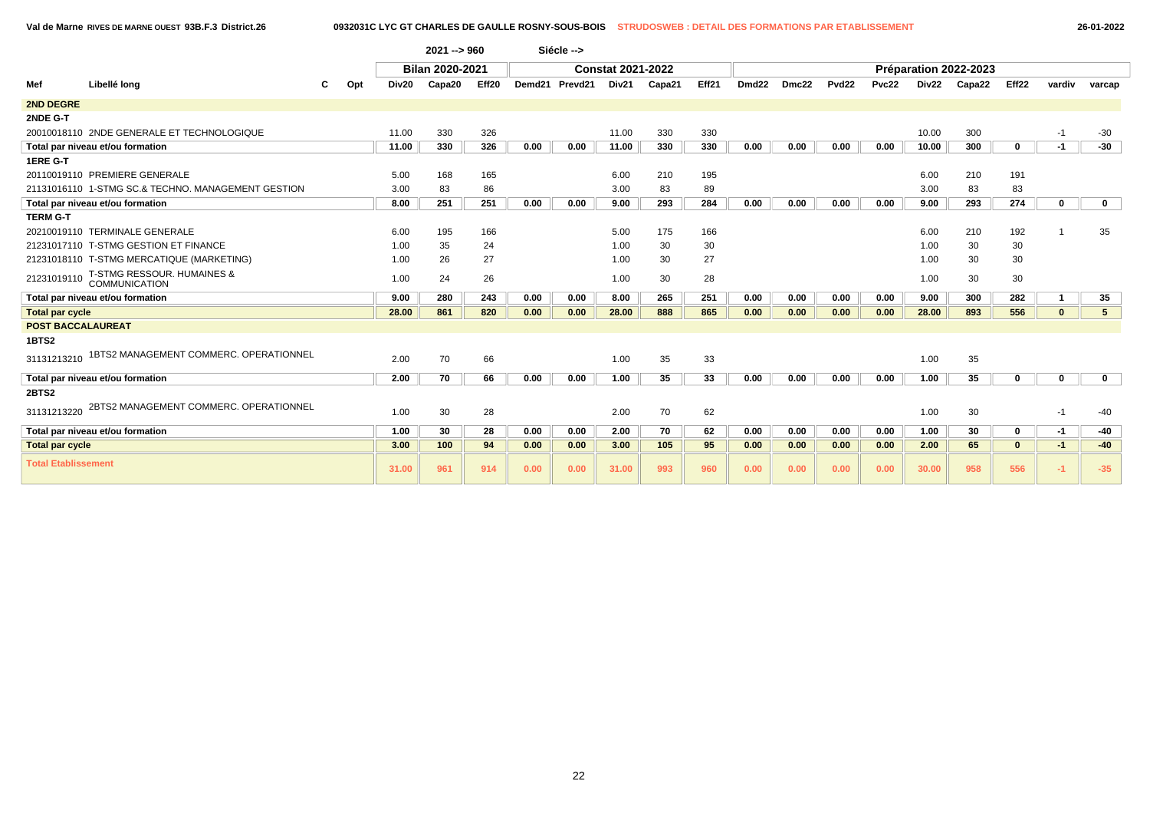**Val de Marne RIVES DE MARNE OUEST 93B.F.3 District.26 0932031C LYC GT CHARLES DE GAULLE ROSNY-SOUS-BOIS STRUDOSWEB : DETAIL DES FORMATIONS PAR ETABLISSEMENT 26-01-2022**

|                            |                                                    |     |       | $2021 - 960$    |                   |        | Siécle --> |                          |        |       |       |       |                   |       |       |                       |              |              |                |
|----------------------------|----------------------------------------------------|-----|-------|-----------------|-------------------|--------|------------|--------------------------|--------|-------|-------|-------|-------------------|-------|-------|-----------------------|--------------|--------------|----------------|
|                            |                                                    |     |       | Bilan 2020-2021 |                   |        |            | <b>Constat 2021-2022</b> |        |       |       |       |                   |       |       | Préparation 2022-2023 |              |              |                |
| Mef                        | Libellé long                                       | Opt | Div20 | Capa20          | Eff <sub>20</sub> | Demd21 | Prevd21    | Div21                    | Capa21 | Eff21 | Dmd22 | Dmc22 | Pvd <sub>22</sub> | Pvc22 | Div22 | Capa22                | Eff22        | vardiv       | varcap         |
| <b>2ND DEGRE</b>           |                                                    |     |       |                 |                   |        |            |                          |        |       |       |       |                   |       |       |                       |              |              |                |
| 2NDE G-T                   |                                                    |     |       |                 |                   |        |            |                          |        |       |       |       |                   |       |       |                       |              |              |                |
|                            | 20010018110 2NDE GENERALE ET TECHNOLOGIQUE         |     | 11.00 | 330             | 326               |        |            | 11.00                    | 330    | 330   |       |       |                   |       | 10.00 | 300                   |              | $-1$         | $-30$          |
|                            | Total par niveau et/ou formation                   |     | 11.00 | 330             | 326               | 0.00   | 0.00       | 11.00                    | 330    | 330   | 0.00  | 0.00  | 0.00              | 0.00  | 10.00 | 300                   | $\mathbf{0}$ | $-1$         | -30            |
| 1ERE G-T                   |                                                    |     |       |                 |                   |        |            |                          |        |       |       |       |                   |       |       |                       |              |              |                |
|                            | 20110019110 PREMIERE GENERALE                      |     | 5.00  | 168             | 165               |        |            | 6.00                     | 210    | 195   |       |       |                   |       | 6.00  | 210                   | 191          |              |                |
|                            | 21131016110 1-STMG SC.& TECHNO, MANAGEMENT GESTION |     | 3.00  | 83              | 86                |        |            | 3.00                     | 83     | 89    |       |       |                   |       | 3.00  | 83                    | 83           |              |                |
|                            | Total par niveau et/ou formation                   |     | 8.00  | 251             | 251               | 0.00   | 0.00       | 9.00                     | 293    | 284   | 0.00  | 0.00  | 0.00              | 0.00  | 9.00  | 293                   | 274          | $\mathbf 0$  | $\mathbf 0$    |
| <b>TERM G-T</b>            |                                                    |     |       |                 |                   |        |            |                          |        |       |       |       |                   |       |       |                       |              |              |                |
|                            | 20210019110 TERMINALE GENERALE                     |     | 6.00  | 195             | 166               |        |            | 5.00                     | 175    | 166   |       |       |                   |       | 6.00  | 210                   | 192          |              | 35             |
|                            | 21231017110 T-STMG GESTION ET FINANCE              |     | 1.00  | 35              | 24                |        |            | 1.00                     | 30     | 30    |       |       |                   |       | 1.00  | 30                    | 30           |              |                |
|                            | 21231018110 T-STMG MERCATIQUE (MARKETING)          |     | 1.00  | 26              | 27                |        |            | 1.00                     | 30     | 27    |       |       |                   |       | 1.00  | 30                    | 30           |              |                |
|                            | 21231019110 T-STMG RESSOUR. HUMAINES &             |     | 1.00  | 24              | 26                |        |            | 1.00                     | 30     | 28    |       |       |                   |       | 1.00  | 30                    | 30           |              |                |
|                            | Total par niveau et/ou formation                   |     | 9.00  | 280             | 243               | 0.00   | 0.00       | 8.00                     | 265    | 251   | 0.00  | 0.00  | 0.00              | 0.00  | 9.00  | 300                   | 282          |              | 35             |
| <b>Total par cycle</b>     |                                                    |     | 28.00 | 861             | 820               | 0.00   | 0.00       | 28.00                    | 888    | 865   | 0.00  | 0.00  | 0.00              | 0.00  | 28.00 | 893                   | 556          | $\mathbf{0}$ | 5 <sub>5</sub> |
| <b>POST BACCALAUREAT</b>   |                                                    |     |       |                 |                   |        |            |                          |        |       |       |       |                   |       |       |                       |              |              |                |
| 1BTS2                      |                                                    |     |       |                 |                   |        |            |                          |        |       |       |       |                   |       |       |                       |              |              |                |
| 31131213210                | 1BTS2 MANAGEMENT COMMERC. OPERATIONNEL             |     | 2.00  | 70              | 66                |        |            | 1.00                     | 35     | 33    |       |       |                   |       | 1.00  | 35                    |              |              |                |
|                            | Total par niveau et/ou formation                   |     | 2.00  | 70              | 66                | 0.00   | 0.00       | 1.00                     | 35     | 33    | 0.00  | 0.00  | 0.00              | 0.00  | 1.00  | 35                    | $\mathbf{0}$ | $\mathbf 0$  | $\mathbf 0$    |
| <b>2BTS2</b>               |                                                    |     |       |                 |                   |        |            |                          |        |       |       |       |                   |       |       |                       |              |              |                |
| 31131213220                | 2BTS2 MANAGEMENT COMMERC. OPERATIONNEL             |     | 1.00  | 30              | 28                |        |            | 2.00                     | 70     | 62    |       |       |                   |       | 1.00  | 30                    |              | $-1$         | $-40$          |
|                            | Total par niveau et/ou formation                   |     | 1.00  | 30              | 28                | 0.00   | 0.00       | 2.00                     | 70     | 62    | 0.00  | 0.00  | 0.00              | 0.00  | 1.00  | 30                    | 0            | $-1$         | -40            |
| <b>Total par cycle</b>     |                                                    |     | 3.00  | 100             | 94                | 0.00   | 0.00       | 3.00                     | 105    | 95    | 0.00  | 0.00  | 0.00              | 0.00  | 2.00  | 65                    | 0            | $-1$         | $-40$          |
| <b>Total Etablissement</b> |                                                    |     | 31.00 | 961             | 914               | 0.00   | 0.00       | 31.00                    | 993    | 960   | 0.00  | 0.00  | 0.00              | 0.00  | 30.00 | 958                   | 556          | $-1$         | $-35$          |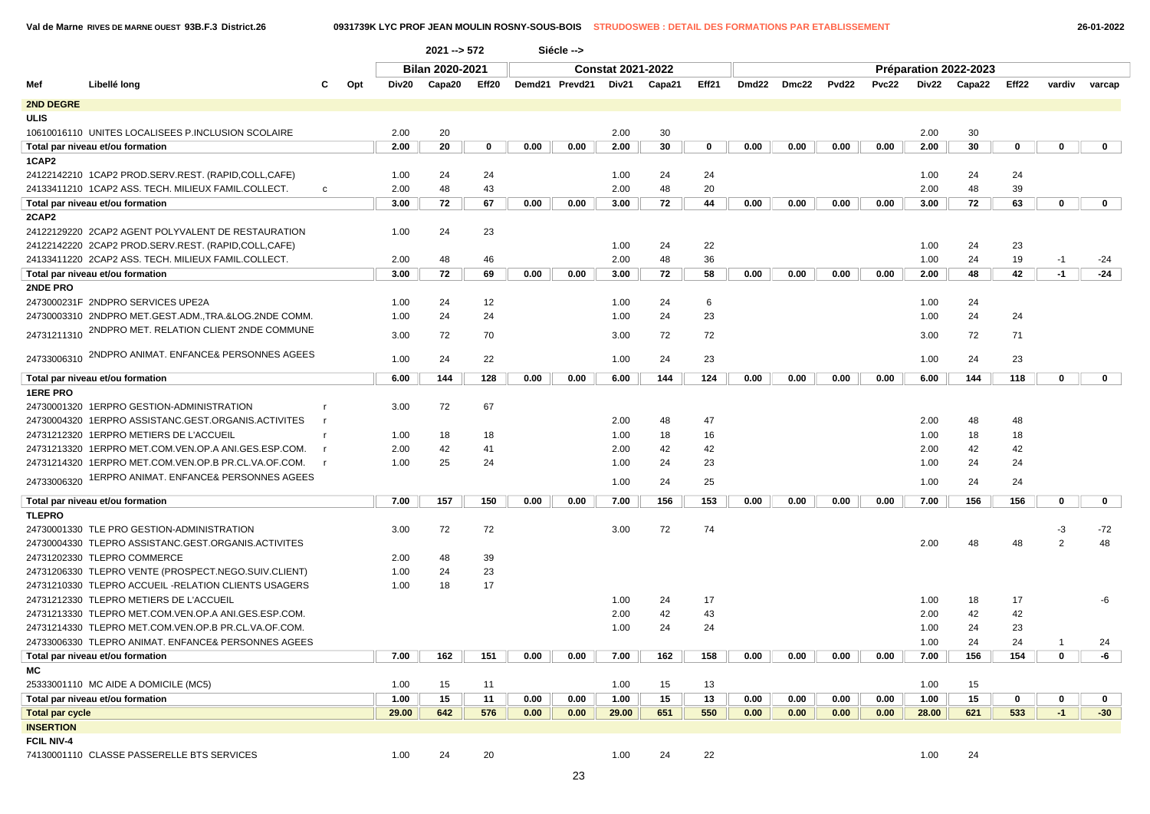**Val de Marne RIVES DE MARNE OUEST 93B.F.3 District.26 0931739K LYC PROF JEAN MOULIN ROSNY-SOUS-BOIS STRUDOSWEB : DETAIL DES FORMATIONS PAR ETABLISSEMENT 26-01-2022**

|                        |                                                      |              |     |                        | $2021 - 572$ |             |                          | Siécle -->     |       |        |             |       |                       |              |              |       |        |             |                |        |             |
|------------------------|------------------------------------------------------|--------------|-----|------------------------|--------------|-------------|--------------------------|----------------|-------|--------|-------------|-------|-----------------------|--------------|--------------|-------|--------|-------------|----------------|--------|-------------|
|                        |                                                      |              |     | <b>Bilan 2020-2021</b> |              |             | <b>Constat 2021-2022</b> |                |       |        |             |       | Préparation 2022-2023 |              |              |       |        |             |                |        |             |
| Mef                    | Libellé long                                         |              | Opt | Div20                  | Capa20       | Eff20       |                          | Demd21 Prevd21 | Div21 | Capa21 | Eff21       | Dmd22 | Dmc22                 | <b>Pvd22</b> | <b>Pvc22</b> | Div22 | Capa22 | Eff22       | vardiv         | varcap |             |
| 2ND DEGRE              |                                                      |              |     |                        |              |             |                          |                |       |        |             |       |                       |              |              |       |        |             |                |        |             |
| <b>ULIS</b>            |                                                      |              |     |                        |              |             |                          |                |       |        |             |       |                       |              |              |       |        |             |                |        |             |
|                        | 10610016110 UNITES LOCALISEES P.INCLUSION SCOLAIRE   |              |     | 2.00                   | 20           |             |                          |                | 2.00  | 30     |             |       |                       |              |              | 2.00  | 30     |             |                |        |             |
|                        | Total par niveau et/ou formation                     |              |     | 2.00                   | 20           | $\mathbf 0$ | 0.00                     | 0.00           | 2.00  | 30     | $\mathbf 0$ | 0.00  | 0.00                  | 0.00         | 0.00         | 2.00  | 30     | 0           | $\mathbf 0$    |        | $\mathbf 0$ |
| 1CAP2                  |                                                      |              |     |                        |              |             |                          |                |       |        |             |       |                       |              |              |       |        |             |                |        |             |
|                        | 24122142210 1CAP2 PROD.SERV.REST. (RAPID,COLL,CAFE)  |              |     | 1.00                   | 24           | 24          |                          |                | 1.00  | 24     | 24          |       |                       |              |              | 1.00  | 24     | 24          |                |        |             |
|                        | 24133411210 1CAP2 ASS. TECH. MILIEUX FAMIL.COLLECT.  | $\mathbf{c}$ |     | 2.00                   | 48           | 43          |                          |                | 2.00  | 48     | 20          |       |                       |              |              | 2.00  | 48     | 39          |                |        |             |
|                        | Total par niveau et/ou formation                     |              |     | 3.00                   | 72           | 67          | 0.00                     | 0.00           | 3.00  | 72     | 44          | 0.00  | 0.00                  | 0.00         | 0.00         | 3.00  | 72     | 63          | $\mathbf 0$    |        | $\mathbf 0$ |
| 2CAP2                  |                                                      |              |     |                        |              |             |                          |                |       |        |             |       |                       |              |              |       |        |             |                |        |             |
|                        | 24122129220 2CAP2 AGENT POLYVALENT DE RESTAURATION   |              |     | 1.00                   | 24           | 23          |                          |                |       |        |             |       |                       |              |              |       |        |             |                |        |             |
|                        | 24122142220 2CAP2 PROD.SERV.REST. (RAPID,COLL,CAFE)  |              |     |                        |              |             |                          |                | 1.00  | 24     | 22          |       |                       |              |              | 1.00  | 24     | 23          |                |        |             |
|                        | 24133411220 2CAP2 ASS. TECH. MILIEUX FAMIL.COLLECT.  |              |     | 2.00                   | 48           | 46          |                          |                | 2.00  | 48     | 36          |       |                       |              |              | 1.00  | 24     | 19          | $-1$           |        | $-24$       |
|                        | Total par niveau et/ou formation                     |              |     | 3.00                   | 72           | 69          | 0.00                     | 0.00           | 3.00  | 72     | 58          | 0.00  | 0.00                  | 0.00         | 0.00         | 2.00  | 48     | 42          | $-1$           |        | $-24$       |
| 2NDE PRO               |                                                      |              |     |                        |              |             |                          |                |       |        |             |       |                       |              |              |       |        |             |                |        |             |
|                        | 2473000231F 2NDPRO SERVICES UPE2A                    |              |     | 1.00                   | 24           | 12          |                          |                | 1.00  | 24     | 6           |       |                       |              |              | 1.00  | 24     |             |                |        |             |
|                        | 24730003310 2NDPRO MET.GEST.ADM.,TRA.&LOG.2NDE COMM. |              |     | 1.00                   | 24           | 24          |                          |                | 1.00  | 24     | 23          |       |                       |              |              | 1.00  | 24     | 24          |                |        |             |
| 24731211310            | 2NDPRO MET. RELATION CLIENT 2NDE COMMUNE             |              |     | 3.00                   | 72           | 70          |                          |                | 3.00  | 72     | 72          |       |                       |              |              | 3.00  | 72     | 71          |                |        |             |
| 24733006310            | 2NDPRO ANIMAT. ENFANCE& PERSONNES AGEES              |              |     | 1.00                   | 24           | 22          |                          |                | 1.00  | 24     | 23          |       |                       |              |              | 1.00  | 24     | 23          |                |        |             |
|                        | Total par niveau et/ou formation                     |              |     | 6.00                   | 144          | 128         | 0.00                     | 0.00           | 6.00  | 144    | 124         | 0.00  | 0.00                  | 0.00         | 0.00         | 6.00  | 144    | 118         | $\mathbf 0$    |        | $\mathbf 0$ |
| <b>1ERE PRO</b>        |                                                      |              |     |                        |              |             |                          |                |       |        |             |       |                       |              |              |       |        |             |                |        |             |
|                        | 24730001320 1ERPRO GESTION-ADMINISTRATION            |              |     | 3.00                   | 72           | 67          |                          |                |       |        |             |       |                       |              |              |       |        |             |                |        |             |
|                        | 24730004320 1ERPRO ASSISTANC.GEST.ORGANIS.ACTIVITES  | $\mathbf{r}$ |     |                        |              |             |                          |                | 2.00  | 48     | 47          |       |                       |              |              | 2.00  | 48     | 48          |                |        |             |
|                        | 24731212320 1ERPRO METIERS DE L'ACCUEIL              |              |     | 1.00                   | 18           | 18          |                          |                | 1.00  | 18     | 16          |       |                       |              |              | 1.00  | 18     | 18          |                |        |             |
|                        | 24731213320 1ERPRO MET.COM.VEN.OP.A ANI.GES.ESP.COM. | $\mathbf{r}$ |     | 2.00                   | 42           | 41          |                          |                | 2.00  | 42     | 42          |       |                       |              |              | 2.00  | 42     | 42          |                |        |             |
|                        | 24731214320 1ERPRO MET.COM.VEN.OP.B PR.CL.VA.OF.COM. |              |     | 1.00                   | 25           | 24          |                          |                | 1.00  | 24     | 23          |       |                       |              |              | 1.00  | 24     | 24          |                |        |             |
| 24733006320            | 1ERPRO ANIMAT. ENFANCE& PERSONNES AGEES              |              |     |                        |              |             |                          |                | 1.00  | 24     | 25          |       |                       |              |              | 1.00  | 24     | 24          |                |        |             |
|                        | Total par niveau et/ou formation                     |              |     | 7.00                   | 157          | 150         | 0.00                     | 0.00           | 7.00  | 156    | 153         | 0.00  | 0.00                  | 0.00         | 0.00         | 7.00  | 156    | 156         | $\mathbf 0$    |        | $\mathbf 0$ |
| <b>TLEPRO</b>          |                                                      |              |     |                        |              |             |                          |                |       |        |             |       |                       |              |              |       |        |             |                |        |             |
|                        | 24730001330 TLE PRO GESTION-ADMINISTRATION           |              |     | 3.00                   | 72           | 72          |                          |                | 3.00  | 72     | 74          |       |                       |              |              |       |        |             | -3             |        | $-72$       |
|                        | 24730004330 TLEPRO ASSISTANC.GEST.ORGANIS.ACTIVITES  |              |     |                        |              |             |                          |                |       |        |             |       |                       |              |              | 2.00  | 48     | 48          | $\overline{2}$ |        | 48          |
|                        | 24731202330 TLEPRO COMMERCE                          |              |     | 2.00                   | 48           | 39          |                          |                |       |        |             |       |                       |              |              |       |        |             |                |        |             |
|                        | 24731206330 TLEPRO VENTE (PROSPECT.NEGO.SUIV.CLIENT) |              |     | 1.00                   | 24           | 23          |                          |                |       |        |             |       |                       |              |              |       |        |             |                |        |             |
|                        | 24731210330 TLEPRO ACCUEIL -RELATION CLIENTS USAGERS |              |     | 1.00                   | 18           | 17          |                          |                |       |        |             |       |                       |              |              |       |        |             |                |        |             |
|                        | 24731212330 TLEPRO METIERS DE L'ACCUEIL              |              |     |                        |              |             |                          |                | 1.00  | 24     | 17          |       |                       |              |              | 1.00  | 18     | 17          |                |        | -6          |
|                        | 24731213330 TLEPRO MET.COM.VEN.OP.A ANI.GES.ESP.COM. |              |     |                        |              |             |                          |                | 2.00  | 42     | 43          |       |                       |              |              | 2.00  | 42     | 42          |                |        |             |
|                        | 24731214330 TLEPRO MET.COM.VEN.OP.B PR.CL.VA.OF.COM. |              |     |                        |              |             |                          |                | 1.00  | 24     | 24          |       |                       |              |              | 1.00  | 24     | 23          |                |        |             |
|                        | 24733006330 TLEPRO ANIMAT. ENFANCE& PERSONNES AGEES  |              |     |                        |              |             |                          |                |       |        |             |       |                       |              |              | 1.00  | 24     | 24          | $\mathbf{1}$   |        | 24          |
|                        | Total par niveau et/ou formation                     |              |     | 7.00                   | 162          | 151         | 0.00                     | 0.00           | 7.00  | 162    | 158         | 0.00  | 0.00                  | 0.00         | 0.00         | 7.00  | 156    | 154         | $\mathbf 0$    |        | -6          |
| МC                     |                                                      |              |     |                        |              |             |                          |                |       |        |             |       |                       |              |              |       |        |             |                |        |             |
|                        | 25333001110 MC AIDE A DOMICILE (MC5)                 |              |     | 1.00                   | 15           | 11          |                          |                | 1.00  | 15     | 13          |       |                       |              |              | 1.00  | 15     |             |                |        |             |
|                        | Total par niveau et/ou formation                     |              |     | 1.00                   | 15           | 11          | 0.00                     | 0.00           | 1.00  | 15     | 13          | 0.00  | 0.00                  | 0.00         | 0.00         | 1.00  | 15     | $\mathbf 0$ | 0              |        | $\mathbf 0$ |
| <b>Total par cycle</b> |                                                      |              |     | 29.00                  | 642          | 576         | 0.00                     | 0.00           | 29.00 | 651    | 550         | 0.00  | 0.00                  | 0.00         | 0.00         | 28.00 | 621    | 533         | $-1$           |        | $-30$       |
| <b>INSERTION</b>       |                                                      |              |     |                        |              |             |                          |                |       |        |             |       |                       |              |              |       |        |             |                |        |             |
| <b>FCIL NIV-4</b>      |                                                      |              |     |                        |              |             |                          |                |       |        |             |       |                       |              |              |       |        |             |                |        |             |
|                        | 74130001110 CLASSE PASSERELLE BTS SERVICES           |              |     | 1.00                   | 24           | 20          |                          |                | 1.00  | 24     | 22          |       |                       |              |              | 1.00  | 24     |             |                |        |             |